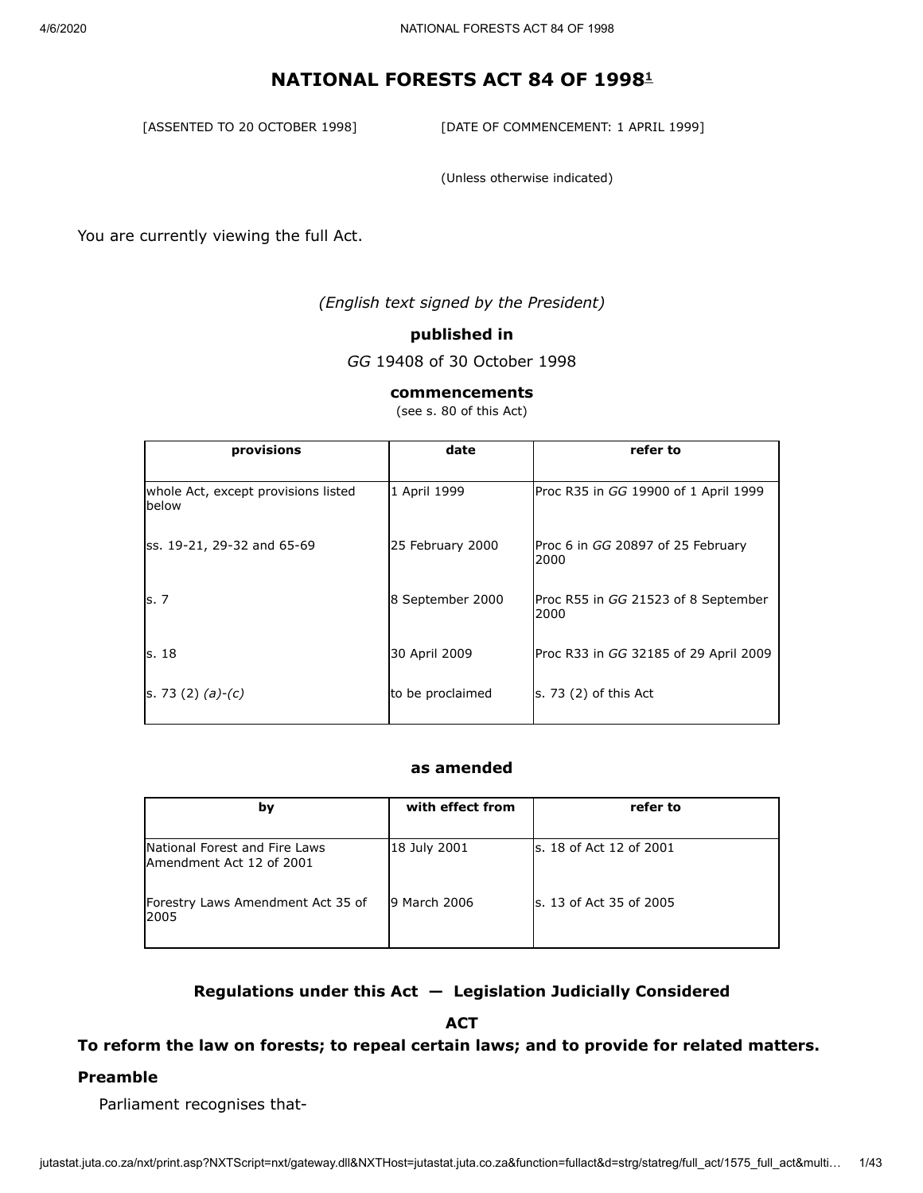# **NATIONAL FORESTS ACT 84 OF 1998 [1](#page-4-0)**

[ASSENTED TO 20 OCTOBER 1998] [DATE OF COMMENCEMENT: 1 APRIL 1999]

(Unless otherwise indicated)

You are currently viewing the full Act.

*(English text signed by the President)*

#### **published in**

*GG* 19408 of 30 October 1998

#### **commencements**

(see s. 80 of this Act)

| provisions                                   | date             | refer to                                    |
|----------------------------------------------|------------------|---------------------------------------------|
| whole Act, except provisions listed<br>below | 1 April 1999     | Proc R35 in GG 19900 of 1 April 1999        |
| ss. 19-21, 29-32 and 65-69                   | 25 February 2000 | Proc 6 in GG 20897 of 25 February<br>2000   |
| ls. 7                                        | 8 September 2000 | Proc R55 in GG 21523 of 8 September<br>2000 |
| s. 18                                        | 30 April 2009    | Proc R33 in GG 32185 of 29 April 2009       |
| s. 73 $(2)$ $(a)-(c)$                        | to be proclaimed | $ s. 73 (2)$ of this Act                    |

#### **as amended**

| by                                                        | with effect from | refer to                |
|-----------------------------------------------------------|------------------|-------------------------|
| National Forest and Fire Laws<br>Amendment Act 12 of 2001 | 18 July 2001     | s. 18 of Act 12 of 2001 |
| Forestry Laws Amendment Act 35 of<br>2005                 | 9 March 2006     | s. 13 of Act 35 of 2005 |

### **Regulations under this Act — Legislation Judicially Considered**

**ACT**

#### **To reform the law on forests; to repeal certain laws; and to provide for related matters.**

#### **Preamble**

Parliament recognises that-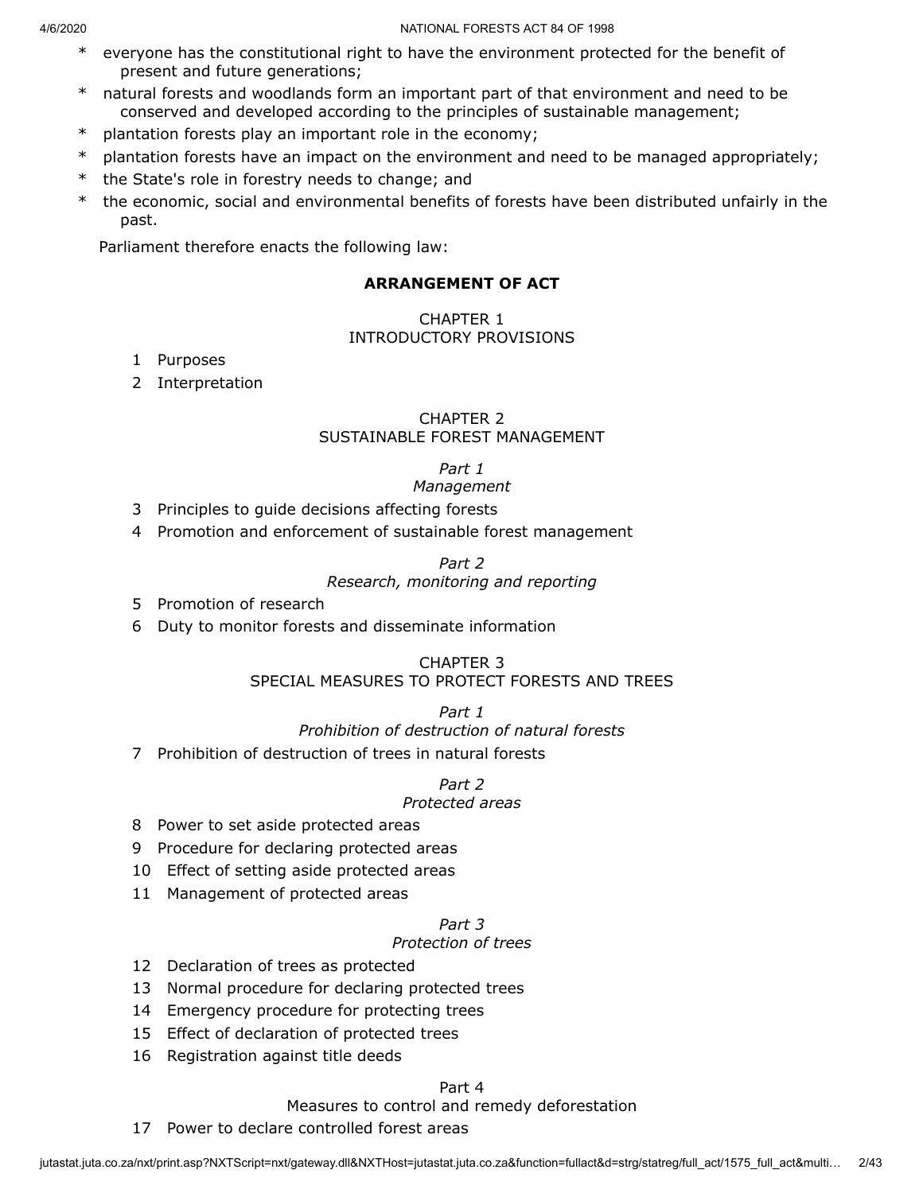- \* everyone has the constitutional right to have the environment protected for the benefit of present and future generations;
- \* natural forests and woodlands form an important part of that environment and need to be conserved and developed according to the principles of sustainable management;
- \* plantation forests play an important role in the economy;
- \* plantation forests have an impact on the environment and need to be managed appropriately;
- \* the State's role in forestry needs to change; and
- \* the economic, social and environmental benefits of forests have been distributed unfairly in the past.

Parliament therefore enacts the following law:

#### **ARRANGEMENT OF ACT**

### CHAPTER 1 INTRODUCTORY PROVISIONS

- 1 Purposes
- 2 Interpretation

### CHAPTER 2 SUSTAINABLE FOREST MANAGEMENT

#### *Part 1*

### *Management*

- 3 Principles to guide decisions affecting forests
- 4 Promotion and enforcement of sustainable forest management

#### *Part 2*

### *Research, monitoring and reporting*

- 5 Promotion of research
- 6 Duty to monitor forests and disseminate information

# CHAPTER 3

# SPECIAL MEASURES TO PROTECT FORESTS AND TREES

#### *Part 1*

# *Prohibition of destruction of natural forests*

7 Prohibition of destruction of trees in natural forests

#### *Part 2*

### *Protected areas*

- 8 Power to set aside protected areas
- 9 Procedure for declaring protected areas
- 10 Effect of setting aside protected areas
- 11 Management of protected areas

# *Part 3*

# *Protection of trees*

- 12 Declaration of trees as protected
- 13 Normal procedure for declaring protected trees
- 14 Emergency procedure for protecting trees
- 15 Effect of declaration of protected trees
- 16 Registration against title deeds

#### Part 4

### Measures to control and remedy deforestation

17 Power to declare controlled forest areas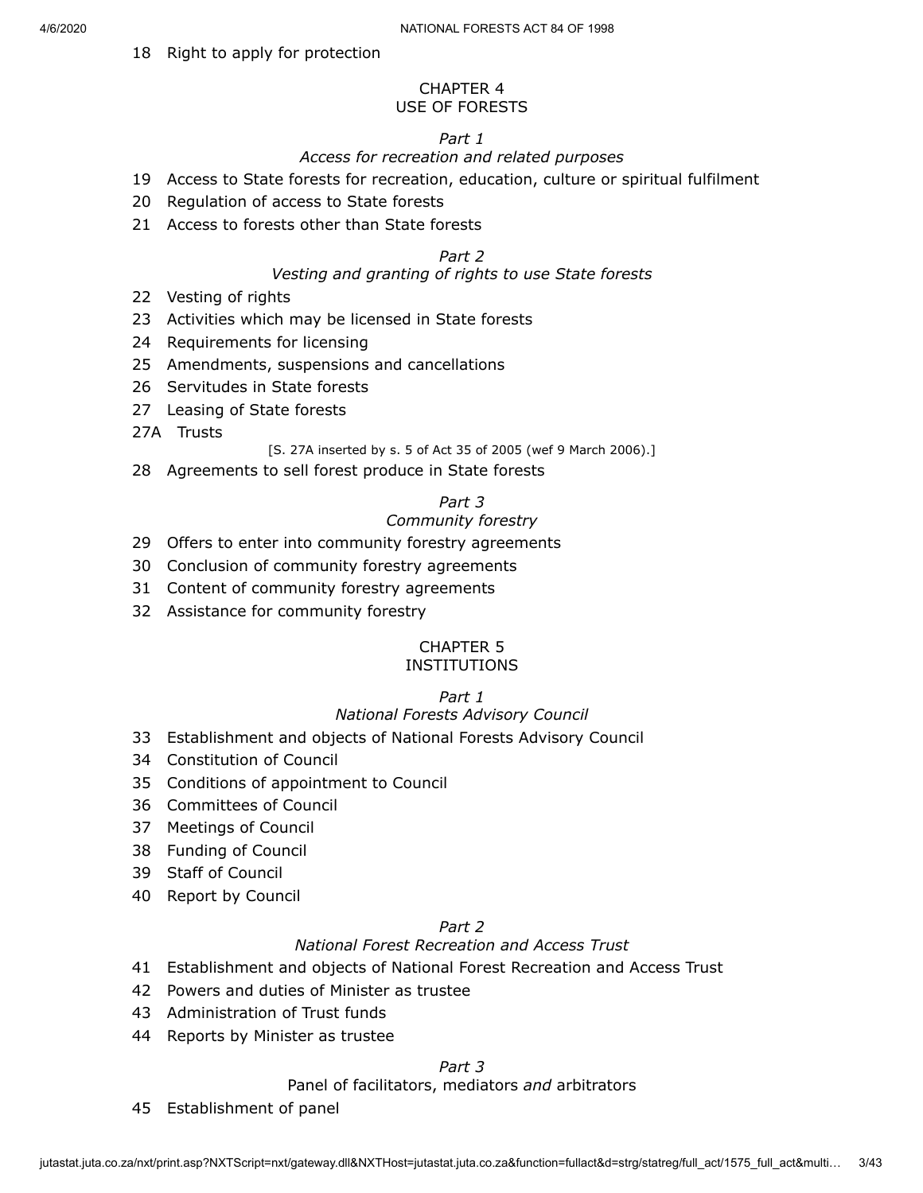18 Right to apply for protection

#### CHAPTER 4 USE OF FORESTS

### *Part 1*

# *Access for recreation and related purposes*

- 19 Access to State forests for recreation, education, culture or spiritual fulfilment
- 20 Regulation of access to State forests
- 21 Access to forests other than State forests

# *Part 2*

#### *Vesting and granting of rights to use State forests*

- 22 Vesting of rights
- 23 Activities which may be licensed in State forests
- 24 Requirements for licensing
- 25 Amendments, suspensions and cancellations
- 26 Servitudes in State forests
- 27 Leasing of State forests
- 27A Trusts

#### [S. 27A inserted by s. 5 of Act 35 of 2005 (wef 9 March 2006).]

28 Agreements to sell forest produce in State forests

# *Part 3*

# *Community forestry*

- 29 Offers to enter into community forestry agreements
- 30 Conclusion of community forestry agreements
- 31 Content of community forestry agreements
- 32 Assistance for community forestry

#### CHAPTER 5 INSTITUTIONS

# *Part 1*

#### *National Forests Advisory Council*

- 33 Establishment and objects of National Forests Advisory Council
- 34 Constitution of Council
- 35 Conditions of appointment to Council
- 36 Committees of Council
- 37 Meetings of Council
- 38 Funding of Council
- 39 Staff of Council
- 40 Report by Council

# *Part 2*

# *National Forest Recreation and Access Trust*

- 41 Establishment and objects of National Forest Recreation and Access Trust
- 42 Powers and duties of Minister as trustee
- 43 Administration of Trust funds
- 44 Reports by Minister as trustee

#### *Part 3*

#### Panel of facilitators, mediators *and* arbitrators

45 Establishment of panel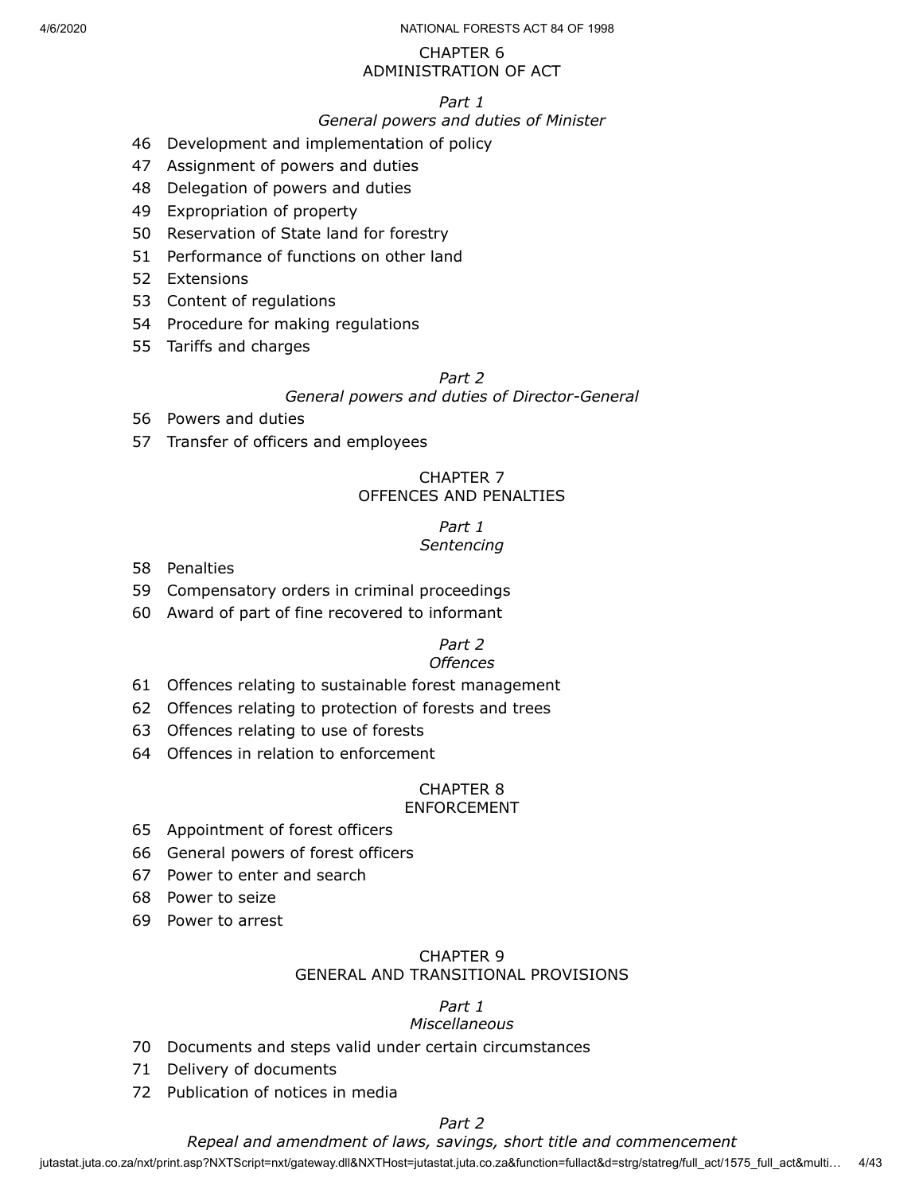4/6/2020 NATIONAL FORESTS ACT 84 OF 1998

#### CHAPTER 6 ADMINISTRATION OF ACT

# *Part 1*

# *General powers and duties of Minister*

# 46 Development and implementation of policy

- 47 Assignment of powers and duties
- 48 Delegation of powers and duties
- 49 Expropriation of property
- 50 Reservation of State land for forestry
- 51 Performance of functions on other land
- 52 Extensions
- 53 Content of regulations
- 54 Procedure for making regulations
- 55 Tariffs and charges

# *Part 2*

# *General powers and duties of Director-General*

- 56 Powers and duties
- 57 Transfer of officers and employees

# CHAPTER 7 OFFENCES AND PENALTIES

#### *Part 1 Sentencing*

- 58 Penalties
- 59 Compensatory orders in criminal proceedings
- 60 Award of part of fine recovered to informant

#### *Part 2 Offences*

- 61 Offences relating to sustainable forest management
- 62 Offences relating to protection of forests and trees
- 63 Offences relating to use of forests
- 64 Offences in relation to enforcement

# CHAPTER 8

# ENFORCEMENT

- 65 Appointment of forest officers
- 66 General powers of forest officers
- 67 Power to enter and search
- 68 Power to seize
- 69 Power to arrest

# CHAPTER 9

# GENERAL AND TRANSITIONAL PROVISIONS

# *Part 1*

# *Miscellaneous*

- 70 Documents and steps valid under certain circumstances
- 71 Delivery of documents
- 72 Publication of notices in media

# *Part 2*

# *Repeal and amendment of laws, savings, short title and commencement*

jutastat.juta.co.za/nxt/print.asp?NXTScript=nxt/gateway.dll&NXTHost=jutastat.juta.co.za&function=fullact&d=strg/statreg/full\_act/1575\_full\_act&multi… 4/43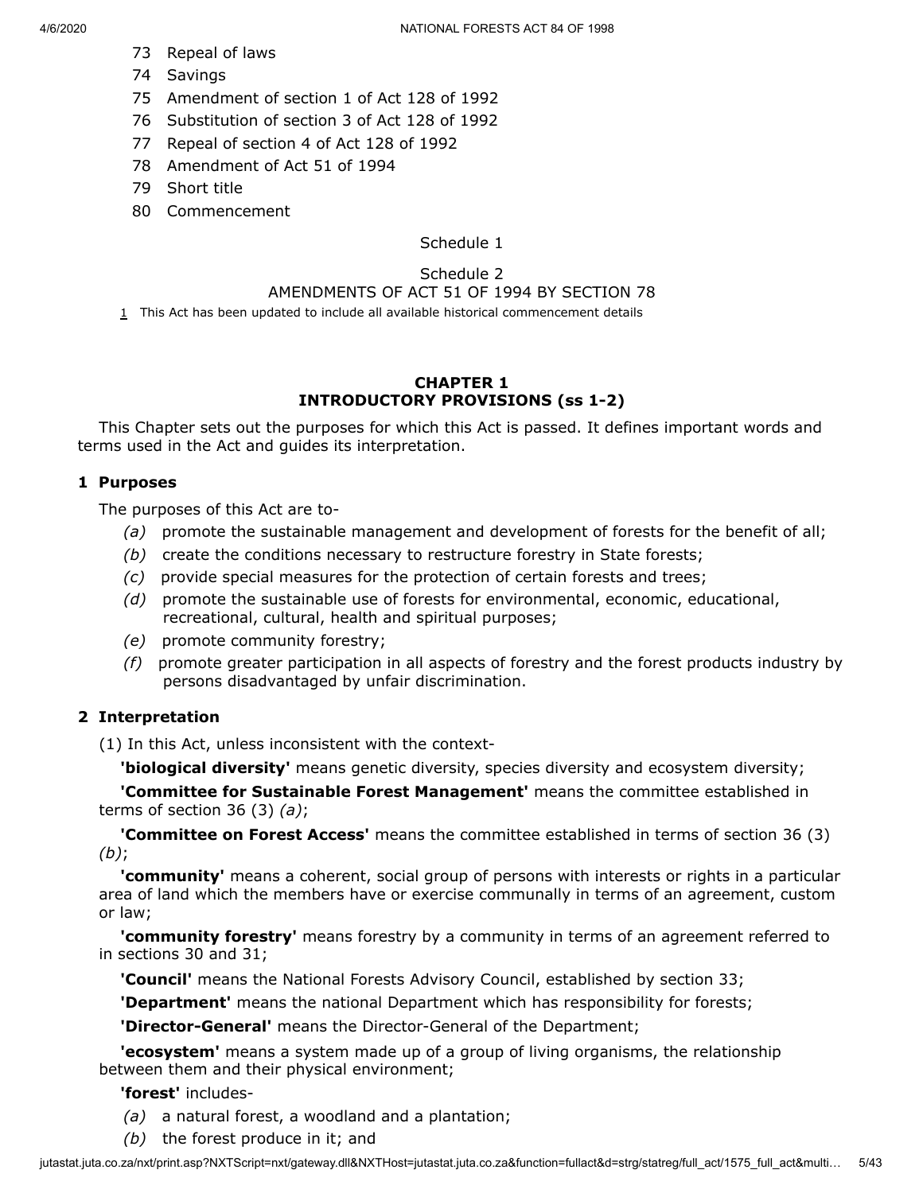- 73 Repeal of laws
- 74 Savings
- 75 Amendment of section 1 of Act 128 of 1992
- 76 Substitution of section 3 of Act 128 of 1992
- 77 Repeal of section 4 of Act 128 of 1992
- 78 Amendment of Act 51 of 1994
- 79 Short title
- 80 Commencement

### Schedule 1

# Schedule 2

### AMENDMENTS OF ACT 51 OF 1994 BY SECTION 78

<span id="page-4-0"></span> $1$  This Act has been updated to include all available historical commencement details

# **CHAPTER 1 INTRODUCTORY PROVISIONS (ss 1-2)**

This Chapter sets out the purposes for which this Act is passed. It defines important words and terms used in the Act and guides its interpretation.

# **1 Purposes**

The purposes of this Act are to-

- *(a)* promote the sustainable management and development of forests for the benefit of all;
- *(b)* create the conditions necessary to restructure forestry in State forests;
- *(c)* provide special measures for the protection of certain forests and trees;
- *(d)* promote the sustainable use of forests for environmental, economic, educational, recreational, cultural, health and spiritual purposes;
- *(e)* promote community forestry;
- *(f)* promote greater participation in all aspects of forestry and the forest products industry by persons disadvantaged by unfair discrimination.

# **2 Interpretation**

(1) In this Act, unless inconsistent with the context-

**'biological diversity'** means genetic diversity, species diversity and ecosystem diversity;

**'Committee for Sustainable Forest Management'** means the committee established in terms of section 36 (3) *(a)*;

**'Committee on Forest Access'** means the committee established in terms of section 36 (3) *(b)*;

**'community'** means a coherent, social group of persons with interests or rights in a particular area of land which the members have or exercise communally in terms of an agreement, custom or law;

**'community forestry'** means forestry by a community in terms of an agreement referred to in sections 30 and 31;

**'Council'** means the National Forests Advisory Council, established by section 33;

**'Department'** means the national Department which has responsibility for forests;

**'Director-General'** means the Director-General of the Department;

**'ecosystem'** means a system made up of a group of living organisms, the relationship between them and their physical environment;

**'forest'** includes-

- *(a)* a natural forest, a woodland and a plantation;
- *(b)* the forest produce in it; and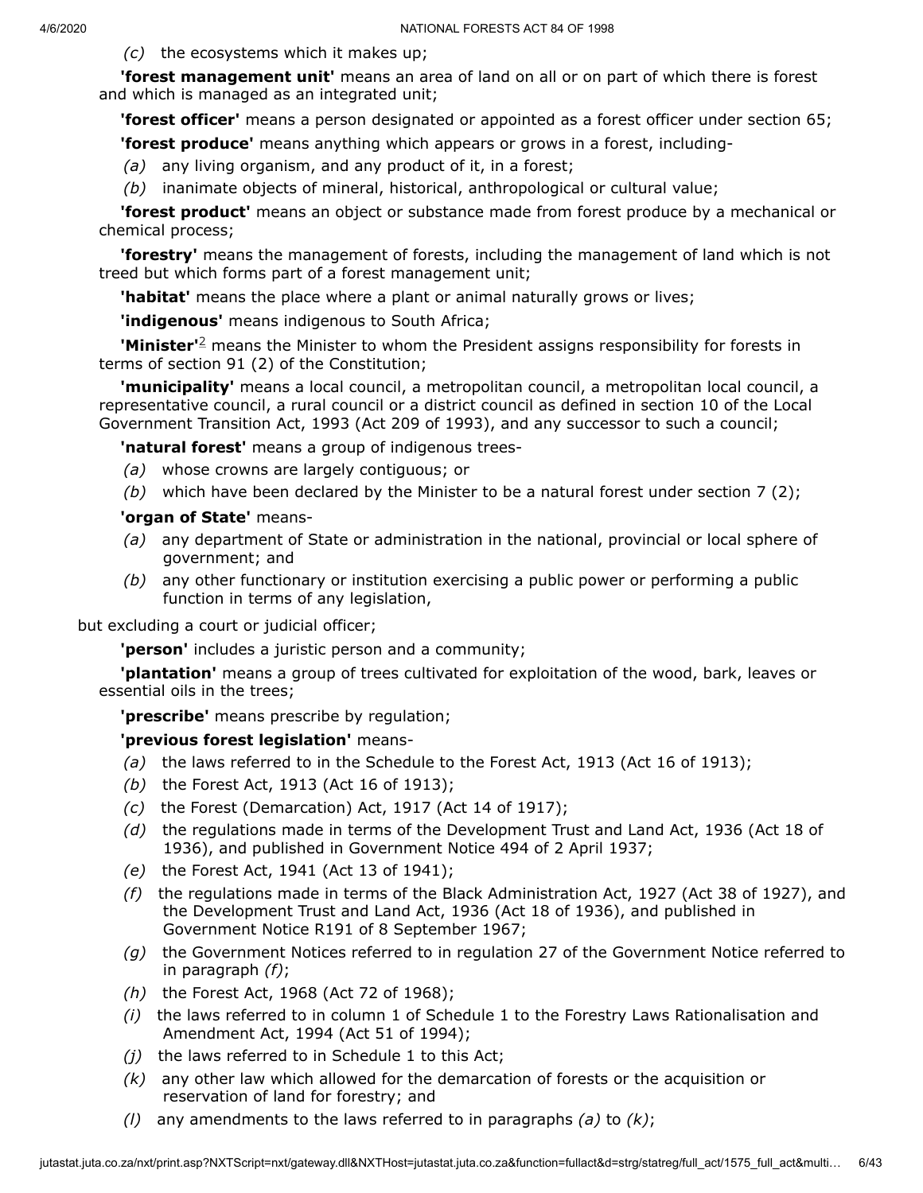*(c)* the ecosystems which it makes up;

**'forest management unit'** means an area of land on all or on part of which there is forest and which is managed as an integrated unit;

**'forest officer'** means a person designated or appointed as a forest officer under section 65;

**'forest produce'** means anything which appears or grows in a forest, including-

- *(a)* any living organism, and any product of it, in a forest;
- *(b)* inanimate objects of mineral, historical, anthropological or cultural value;

**'forest product'** means an object or substance made from forest produce by a mechanical or chemical process;

**'forestry'** means the management of forests, including the management of land which is not treed but which forms part of a forest management unit;

**'habitat'** means the place where a plant or animal naturally grows or lives;

**'indigenous'** means indigenous to South Africa;

**'Minister'**<sup>[2](#page-7-0)</sup> means the Minister to whom the President assigns responsibility for forests in terms of section 91 (2) of the Constitution;

**'municipality'** means a local council, a metropolitan council, a metropolitan local council, a representative council, a rural council or a district council as defined in section 10 of the Local Government Transition Act, 1993 (Act 209 of 1993), and any successor to such a council;

**'natural forest'** means a group of indigenous trees-

- *(a)* whose crowns are largely contiguous; or
- *(b)* which have been declared by the Minister to be a natural forest under section 7 (2);

#### **'organ of State'** means-

- *(a)* any department of State or administration in the national, provincial or local sphere of government; and
- *(b)* any other functionary or institution exercising a public power or performing a public function in terms of any legislation,

but excluding a court or judicial officer;

**'person'** includes a juristic person and a community;

**'plantation'** means a group of trees cultivated for exploitation of the wood, bark, leaves or essential oils in the trees;

**'prescribe'** means prescribe by regulation;

#### **'previous forest legislation'** means-

- *(a)* the laws referred to in the Schedule to the Forest Act, 1913 (Act 16 of 1913);
- *(b)* the Forest Act, 1913 (Act 16 of 1913);
- *(c)* the Forest (Demarcation) Act, 1917 (Act 14 of 1917);
- *(d)* the regulations made in terms of the Development Trust and Land Act, 1936 (Act 18 of 1936), and published in Government Notice 494 of 2 April 1937;
- *(e)* the Forest Act, 1941 (Act 13 of 1941);
- *(f)* the regulations made in terms of the Black Administration Act, 1927 (Act 38 of 1927), and the Development Trust and Land Act, 1936 (Act 18 of 1936), and published in Government Notice R191 of 8 September 1967;
- *(g)* the Government Notices referred to in regulation 27 of the Government Notice referred to in paragraph *(f)*;
- *(h)* the Forest Act, 1968 (Act 72 of 1968);
- *(i)* the laws referred to in column 1 of Schedule 1 to the Forestry Laws Rationalisation and Amendment Act, 1994 (Act 51 of 1994);
- *(j)* the laws referred to in Schedule 1 to this Act;
- *(k)* any other law which allowed for the demarcation of forests or the acquisition or reservation of land for forestry; and
- *(l)* any amendments to the laws referred to in paragraphs *(a)* to *(k)*;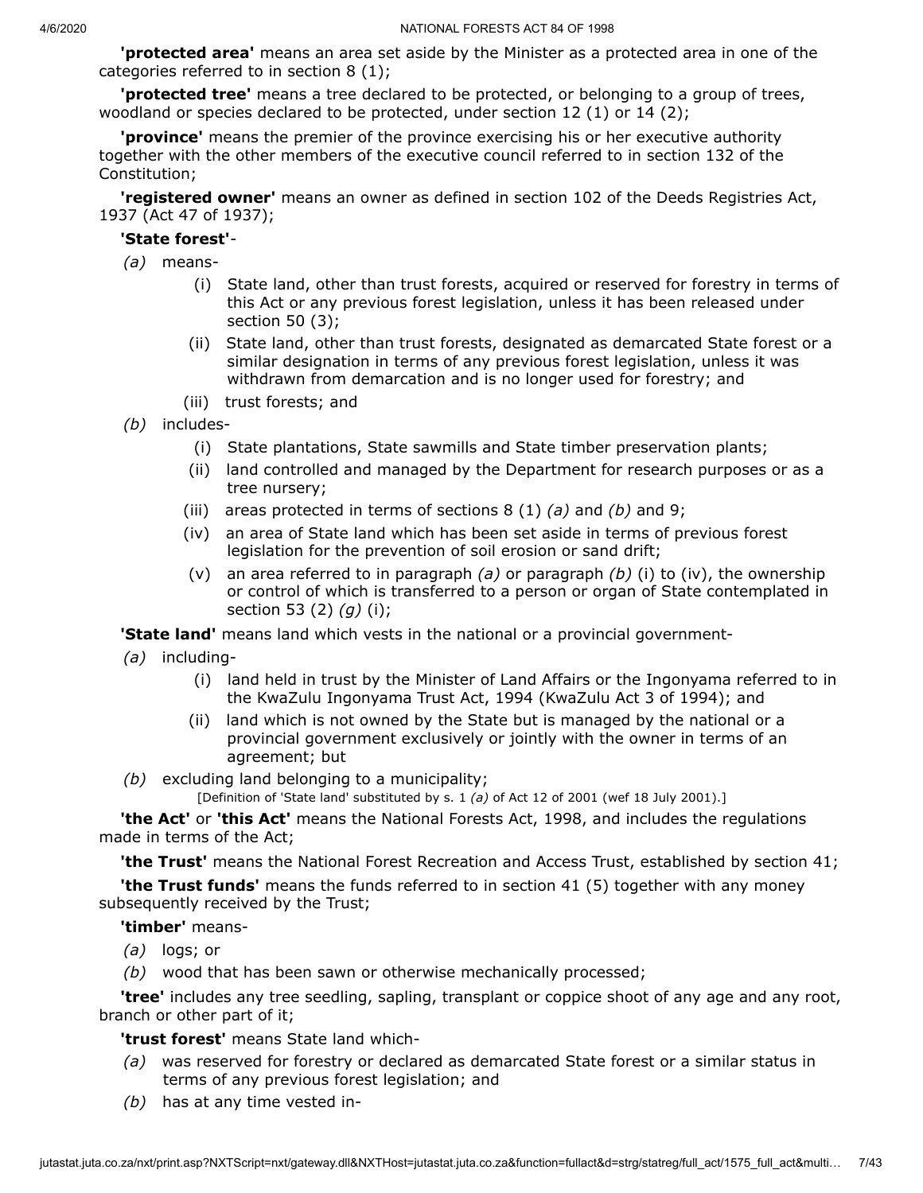**'protected area'** means an area set aside by the Minister as a protected area in one of the categories referred to in section 8 (1);

**'protected tree'** means a tree declared to be protected, or belonging to a group of trees, woodland or species declared to be protected, under section 12 (1) or 14 (2);

**'province'** means the premier of the province exercising his or her executive authority together with the other members of the executive council referred to in section 132 of the Constitution;

**'registered owner'** means an owner as defined in section 102 of the Deeds Registries Act, 1937 (Act 47 of 1937);

# **'State forest'**-

- *(a)* means-
	- (i) State land, other than trust forests, acquired or reserved for forestry in terms of this Act or any previous forest legislation, unless it has been released under section 50 (3);
	- (ii) State land, other than trust forests, designated as demarcated State forest or a similar designation in terms of any previous forest legislation, unless it was withdrawn from demarcation and is no longer used for forestry; and
	- (iii) trust forests; and
- *(b)* includes-
	- (i) State plantations, State sawmills and State timber preservation plants;
	- (ii) land controlled and managed by the Department for research purposes or as a tree nursery;
	- (iii) areas protected in terms of sections 8 (1) *(a)* and *(b)* and 9;
	- (iv) an area of State land which has been set aside in terms of previous forest legislation for the prevention of soil erosion or sand drift;
	- (v) an area referred to in paragraph *(a)* or paragraph *(b)* (i) to (iv), the ownership or control of which is transferred to a person or organ of State contemplated in section 53 (2) *(g)* (i);

**'State land'** means land which vests in the national or a provincial government-

- *(a)* including-
	- (i) land held in trust by the Minister of Land Affairs or the Ingonyama referred to in the KwaZulu Ingonyama Trust Act, 1994 (KwaZulu Act 3 of 1994); and
	- (ii) land which is not owned by the State but is managed by the national or a provincial government exclusively or jointly with the owner in terms of an agreement; but
- *(b)* excluding land belonging to a municipality;
	- [Definition of 'State land' substituted by s. 1 *(a)* of Act 12 of 2001 (wef 18 July 2001).]

**'the Act'** or **'this Act'** means the National Forests Act, 1998, and includes the regulations made in terms of the Act;

**'the Trust'** means the National Forest Recreation and Access Trust, established by section 41;

**'the Trust funds'** means the funds referred to in section 41 (5) together with any money subsequently received by the Trust;

**'timber'** means-

- *(a)* logs; or
- *(b)* wood that has been sawn or otherwise mechanically processed;

**'tree'** includes any tree seedling, sapling, transplant or coppice shoot of any age and any root, branch or other part of it;

**'trust forest'** means State land which-

- *(a)* was reserved for forestry or declared as demarcated State forest or a similar status in terms of any previous forest legislation; and
- *(b)* has at any time vested in-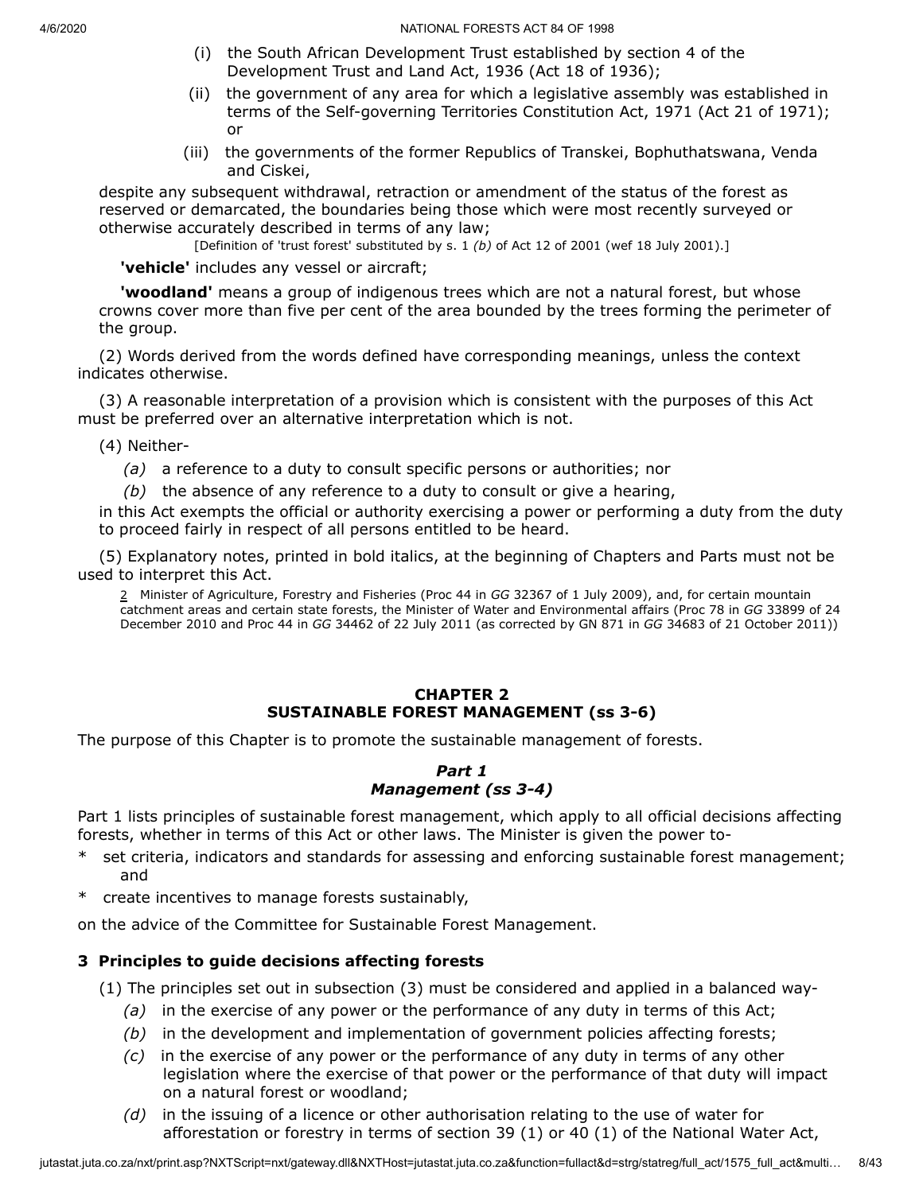- (i) the South African Development Trust established by section 4 of the Development Trust and Land Act, 1936 (Act 18 of 1936);
- (ii) the government of any area for which a legislative assembly was established in terms of the Self-governing Territories Constitution Act, 1971 (Act 21 of 1971); or
- (iii) the governments of the former Republics of Transkei, Bophuthatswana, Venda and Ciskei,

despite any subsequent withdrawal, retraction or amendment of the status of the forest as reserved or demarcated, the boundaries being those which were most recently surveyed or otherwise accurately described in terms of any law;

[Definition of 'trust forest' substituted by s. 1 *(b)* of Act 12 of 2001 (wef 18 July 2001).]

**'vehicle'** includes any vessel or aircraft;

**'woodland'** means a group of indigenous trees which are not a natural forest, but whose crowns cover more than five per cent of the area bounded by the trees forming the perimeter of the group.

(2) Words derived from the words defined have corresponding meanings, unless the context indicates otherwise.

(3) A reasonable interpretation of a provision which is consistent with the purposes of this Act must be preferred over an alternative interpretation which is not.

(4) Neither-

- *(a)* a reference to a duty to consult specific persons or authorities; nor
- *(b)* the absence of any reference to a duty to consult or give a hearing,

in this Act exempts the official or authority exercising a power or performing a duty from the duty to proceed fairly in respect of all persons entitled to be heard.

<span id="page-7-0"></span>(5) Explanatory notes, printed in bold italics, at the beginning of Chapters and Parts must not be used to interpret this Act.

2 Minister of Agriculture, Forestry and Fisheries (Proc 44 in *GG* 32367 of 1 July 2009), and, for certain mountain catchment areas and certain state forests, the Minister of Water and Environmental affairs (Proc 78 in *GG* 33899 of 24 December 2010 and Proc 44 in *GG* 34462 of 22 July 2011 (as corrected by GN 871 in *GG* 34683 of 21 October 2011))

### **CHAPTER 2 SUSTAINABLE FOREST MANAGEMENT (ss 3-6)**

The purpose of this Chapter is to promote the sustainable management of forests.

# *Part 1 Management (ss 3-4)*

Part 1 lists principles of sustainable forest management, which apply to all official decisions affecting forests, whether in terms of this Act or other laws. The Minister is given the power to-

- \* set criteria, indicators and standards for assessing and enforcing sustainable forest management; and
- create incentives to manage forests sustainably,

on the advice of the Committee for Sustainable Forest Management.

#### **3 Principles to guide decisions affecting forests**

(1) The principles set out in subsection (3) must be considered and applied in a balanced way-

- *(a)* in the exercise of any power or the performance of any duty in terms of this Act;
- *(b)* in the development and implementation of government policies affecting forests;
- *(c)* in the exercise of any power or the performance of any duty in terms of any other legislation where the exercise of that power or the performance of that duty will impact on a natural forest or woodland;
- *(d)* in the issuing of a licence or other authorisation relating to the use of water for afforestation or forestry in terms of section 39 (1) or 40 (1) of the National Water Act,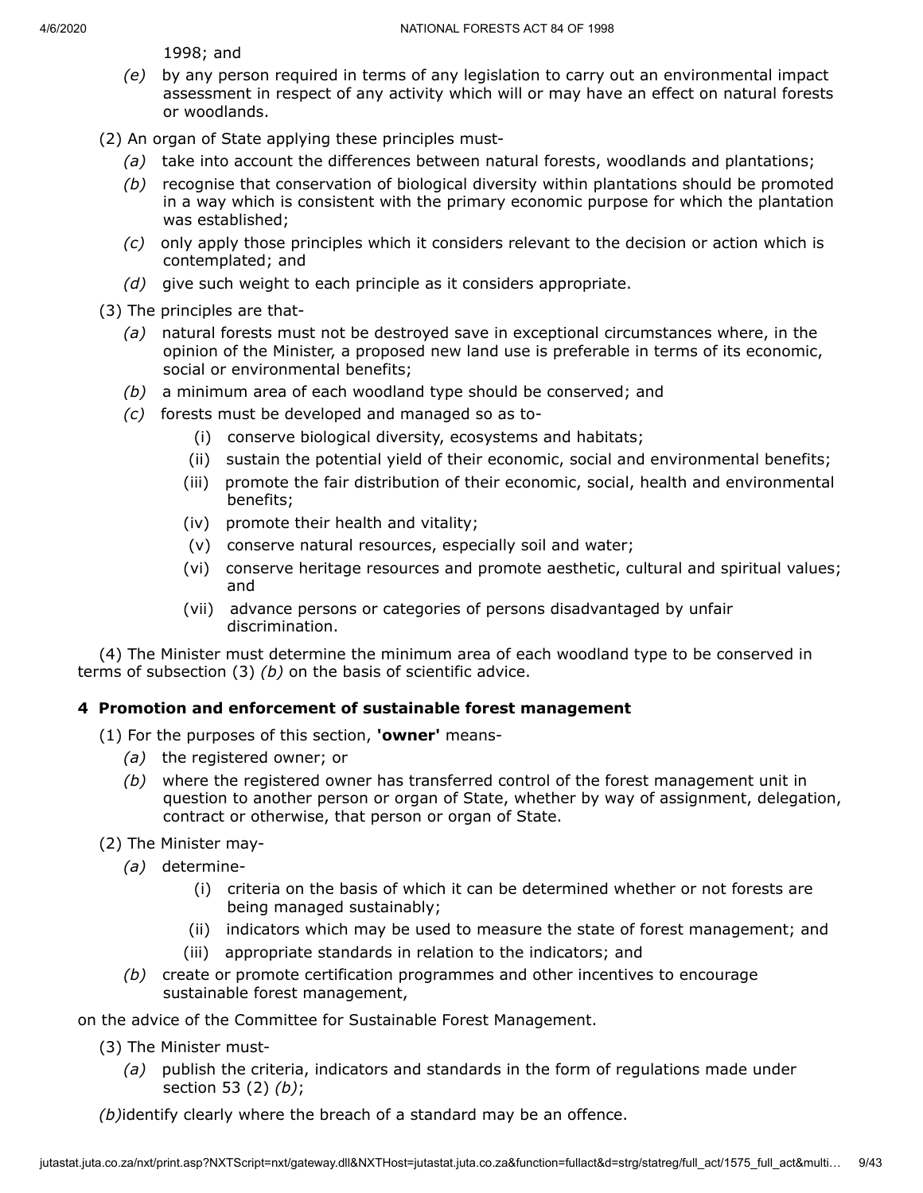1998; and

- *(e)* by any person required in terms of any legislation to carry out an environmental impact assessment in respect of any activity which will or may have an effect on natural forests or woodlands.
- (2) An organ of State applying these principles must-
	- *(a)* take into account the differences between natural forests, woodlands and plantations;
	- *(b)* recognise that conservation of biological diversity within plantations should be promoted in a way which is consistent with the primary economic purpose for which the plantation was established;
	- *(c)* only apply those principles which it considers relevant to the decision or action which is contemplated; and
	- *(d)* give such weight to each principle as it considers appropriate.
- (3) The principles are that-
	- *(a)* natural forests must not be destroyed save in exceptional circumstances where, in the opinion of the Minister, a proposed new land use is preferable in terms of its economic, social or environmental benefits;
	- *(b)* a minimum area of each woodland type should be conserved; and
	- *(c)* forests must be developed and managed so as to-
		- (i) conserve biological diversity, ecosystems and habitats;
		- (ii) sustain the potential yield of their economic, social and environmental benefits;
		- (iii) promote the fair distribution of their economic, social, health and environmental benefits;
		- (iv) promote their health and vitality;
		- (v) conserve natural resources, especially soil and water;
		- (vi) conserve heritage resources and promote aesthetic, cultural and spiritual values; and
		- (vii) advance persons or categories of persons disadvantaged by unfair discrimination.

(4) The Minister must determine the minimum area of each woodland type to be conserved in terms of subsection (3) *(b)* on the basis of scientific advice.

# **4 Promotion and enforcement of sustainable forest management**

- (1) For the purposes of this section, **'owner'** means-
	- *(a)* the registered owner; or
	- *(b)* where the registered owner has transferred control of the forest management unit in question to another person or organ of State, whether by way of assignment, delegation, contract or otherwise, that person or organ of State.
- (2) The Minister may-
	- *(a)* determine-
		- (i) criteria on the basis of which it can be determined whether or not forests are being managed sustainably;
		- (ii) indicators which may be used to measure the state of forest management; and
		- (iii) appropriate standards in relation to the indicators; and
	- *(b)* create or promote certification programmes and other incentives to encourage sustainable forest management,

on the advice of the Committee for Sustainable Forest Management.

- (3) The Minister must-
	- *(a)* publish the criteria, indicators and standards in the form of regulations made under section 53 (2) *(b)*;

*(b)*identify clearly where the breach of a standard may be an offence.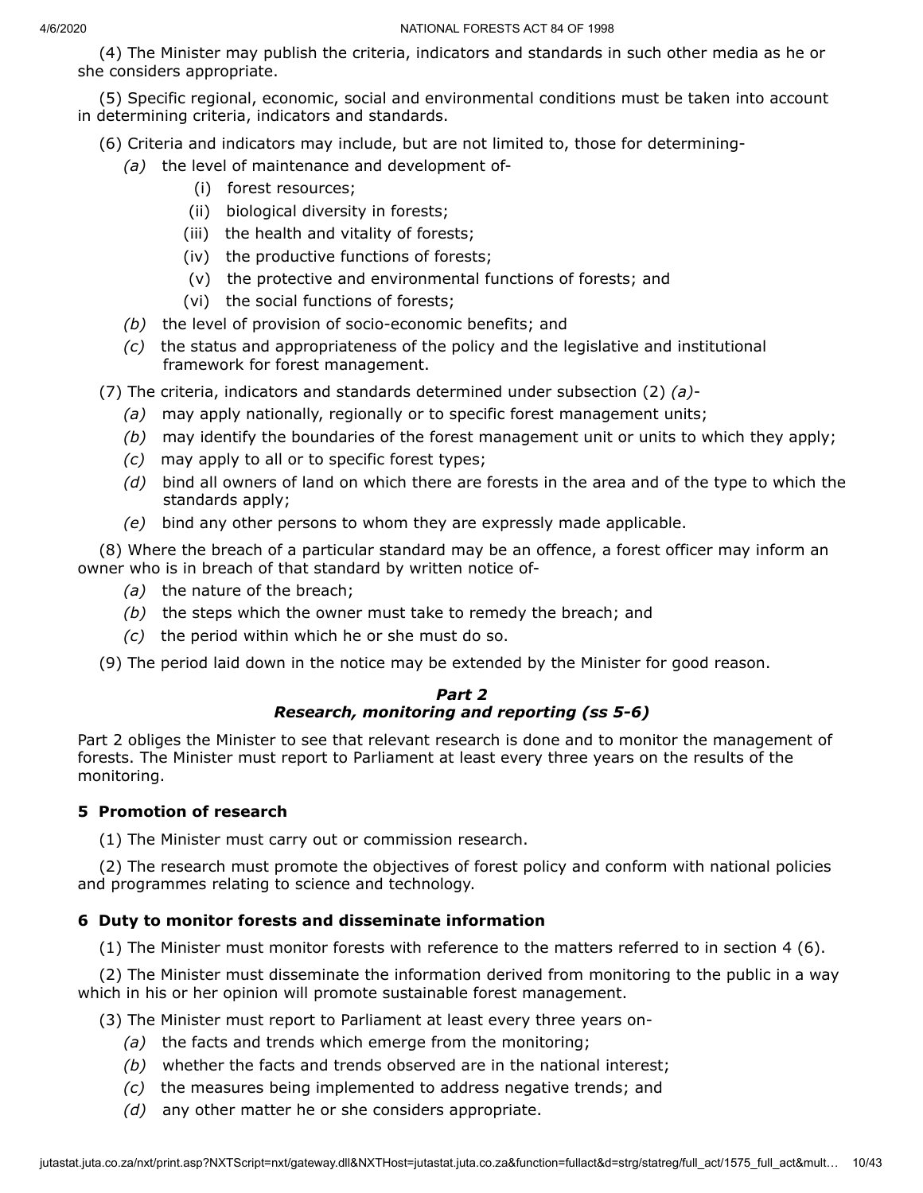(4) The Minister may publish the criteria, indicators and standards in such other media as he or she considers appropriate.

(5) Specific regional, economic, social and environmental conditions must be taken into account in determining criteria, indicators and standards.

(6) Criteria and indicators may include, but are not limited to, those for determining-

- *(a)* the level of maintenance and development of-
	- (i) forest resources;
	- (ii) biological diversity in forests;
	- (iii) the health and vitality of forests;
	- (iv) the productive functions of forests;
	- (v) the protective and environmental functions of forests; and
	- (vi) the social functions of forests;
- *(b)* the level of provision of socio-economic benefits; and
- *(c)* the status and appropriateness of the policy and the legislative and institutional framework for forest management.

(7) The criteria, indicators and standards determined under subsection (2) *(a)*-

- *(a)* may apply nationally, regionally or to specific forest management units;
- *(b)* may identify the boundaries of the forest management unit or units to which they apply;
- *(c)* may apply to all or to specific forest types;
- *(d)* bind all owners of land on which there are forests in the area and of the type to which the standards apply;
- *(e)* bind any other persons to whom they are expressly made applicable.

(8) Where the breach of a particular standard may be an offence, a forest officer may inform an owner who is in breach of that standard by written notice of-

- *(a)* the nature of the breach;
- *(b)* the steps which the owner must take to remedy the breach; and
- *(c)* the period within which he or she must do so.

(9) The period laid down in the notice may be extended by the Minister for good reason.

### *Part 2 Research, monitoring and reporting (ss 5-6)*

Part 2 obliges the Minister to see that relevant research is done and to monitor the management of forests. The Minister must report to Parliament at least every three years on the results of the monitoring.

# **5 Promotion of research**

(1) The Minister must carry out or commission research.

(2) The research must promote the objectives of forest policy and conform with national policies and programmes relating to science and technology.

#### **6 Duty to monitor forests and disseminate information**

(1) The Minister must monitor forests with reference to the matters referred to in section 4 (6).

(2) The Minister must disseminate the information derived from monitoring to the public in a way which in his or her opinion will promote sustainable forest management.

(3) The Minister must report to Parliament at least every three years on-

- *(a)* the facts and trends which emerge from the monitoring;
- *(b)* whether the facts and trends observed are in the national interest;
- *(c)* the measures being implemented to address negative trends; and
- *(d)* any other matter he or she considers appropriate.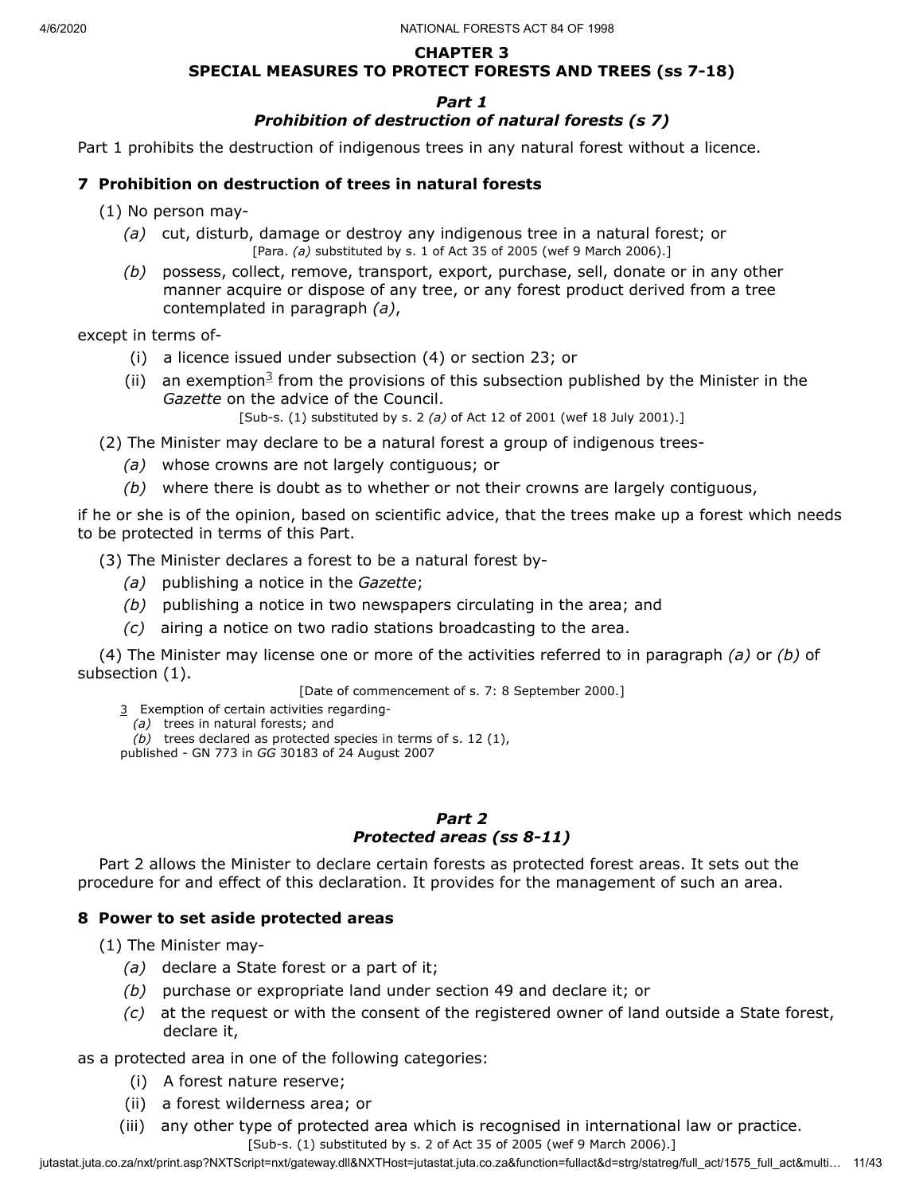#### **CHAPTER 3 SPECIAL MEASURES TO PROTECT FORESTS AND TREES (ss 7-18)**

# *Part 1 Prohibition of destruction of natural forests (s 7)*

Part 1 prohibits the destruction of indigenous trees in any natural forest without a licence.

# **7 Prohibition on destruction of trees in natural forests**

- (1) No person may-
	- *(a)* cut, disturb, damage or destroy any indigenous tree in a natural forest; or [Para. *(a)* substituted by s. 1 of Act 35 of 2005 (wef 9 March 2006).]
	- *(b)* possess, collect, remove, transport, export, purchase, sell, donate or in any other manner acquire or dispose of any tree, or any forest product derived from a tree contemplated in paragraph *(a)*,

except in terms of-

- (i) a licence issued under subsection (4) or section 23; or
- (ii) an exemption<sup>[3](#page-10-0)</sup> from the provisions of this subsection published by the Minister in the *Gazette* on the advice of the Council.

[Sub-s. (1) substituted by s. 2 *(a)* of Act 12 of 2001 (wef 18 July 2001).]

(2) The Minister may declare to be a natural forest a group of indigenous trees-

- *(a)* whose crowns are not largely contiguous; or
- *(b)* where there is doubt as to whether or not their crowns are largely contiguous,

if he or she is of the opinion, based on scientific advice, that the trees make up a forest which needs to be protected in terms of this Part.

(3) The Minister declares a forest to be a natural forest by-

- *(a)* publishing a notice in the *Gazette*;
- *(b)* publishing a notice in two newspapers circulating in the area; and
- *(c)* airing a notice on two radio stations broadcasting to the area.

(4) The Minister may license one or more of the activities referred to in paragraph *(a)* or *(b)* of subsection (1).

[Date of commencement of s. 7: 8 September 2000.]

- <span id="page-10-0"></span>3 Exemption of certain activities regarding-
	- *(a)* trees in natural forests; and
	- *(b)* trees declared as protected species in terms of s. 12 (1),

published - GN 773 in *GG* 30183 of 24 August 2007

# *Part 2 Protected areas (ss 8-11)*

Part 2 allows the Minister to declare certain forests as protected forest areas. It sets out the procedure for and effect of this declaration. It provides for the management of such an area.

# **8 Power to set aside protected areas**

(1) The Minister may-

- *(a)* declare a State forest or a part of it;
- *(b)* purchase or expropriate land under section 49 and declare it; or
- *(c)* at the request or with the consent of the registered owner of land outside a State forest, declare it,

as a protected area in one of the following categories:

- (i) A forest nature reserve;
- (ii) a forest wilderness area; or
- (iii) any other type of protected area which is recognised in international law or practice. [Sub-s. (1) substituted by s. 2 of Act 35 of 2005 (wef 9 March 2006).]

jutastat.juta.co.za/nxt/print.asp?NXTScript=nxt/gateway.dll&NXTHost=jutastat.juta.co.za&function=fullact&d=strg/statreg/full\_act/1575\_full\_act&multi… 11/43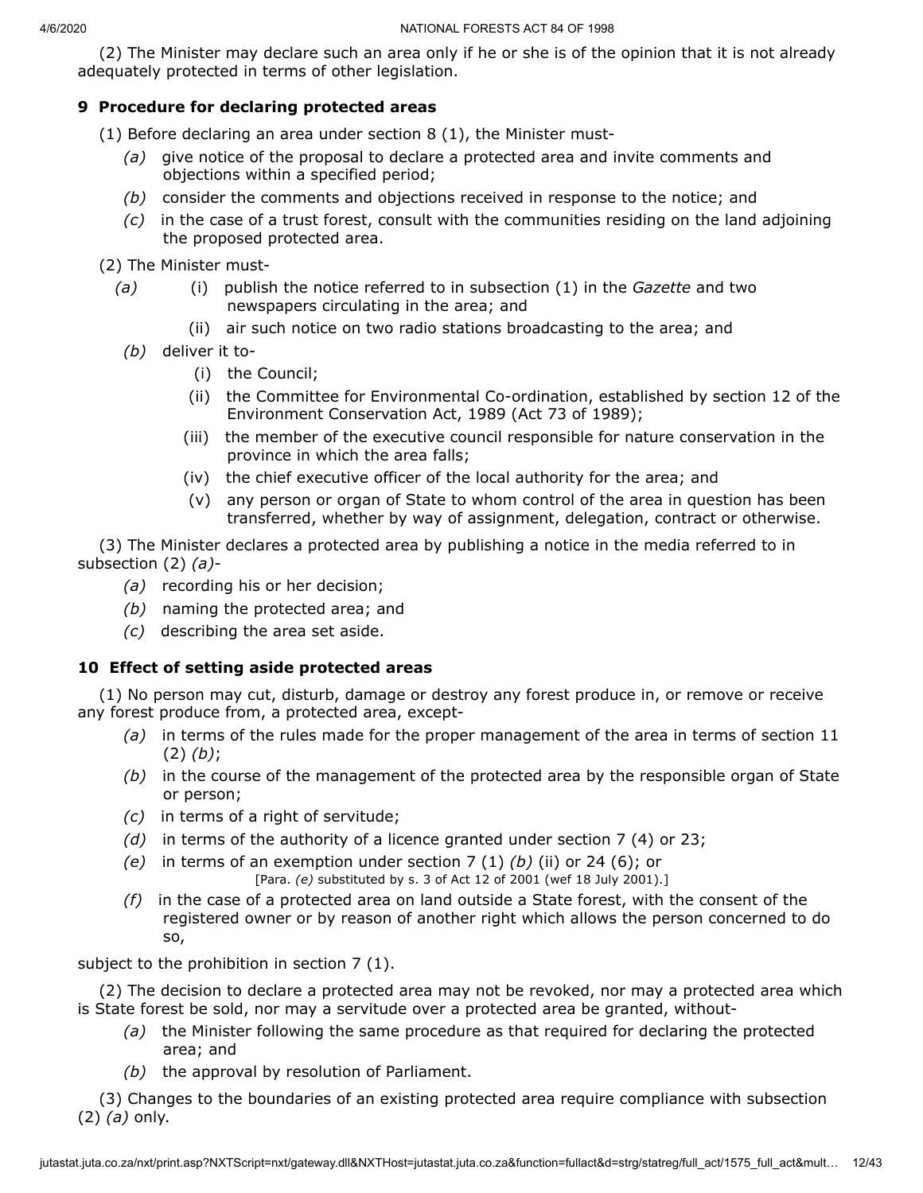(2) The Minister may declare such an area only if he or she is of the opinion that it is not already adequately protected in terms of other legislation.

## **9 Procedure for declaring protected areas**

- (1) Before declaring an area under section 8 (1), the Minister must-
	- *(a)* give notice of the proposal to declare a protected area and invite comments and objections within a specified period;
	- *(b)* consider the comments and objections received in response to the notice; and
	- *(c)* in the case of a trust forest, consult with the communities residing on the land adjoining the proposed protected area.
- (2) The Minister must-
	- *(a)* (i) publish the notice referred to in subsection (1) in the *Gazette* and two newspapers circulating in the area; and
		- (ii) air such notice on two radio stations broadcasting to the area; and
	- *(b)* deliver it to-
		- (i) the Council;
		- (ii) the Committee for Environmental Co-ordination, established by section 12 of the Environment Conservation Act, 1989 (Act 73 of 1989);
		- (iii) the member of the executive council responsible for nature conservation in the province in which the area falls;
		- (iv) the chief executive officer of the local authority for the area; and
		- (v) any person or organ of State to whom control of the area in question has been transferred, whether by way of assignment, delegation, contract or otherwise.

(3) The Minister declares a protected area by publishing a notice in the media referred to in subsection (2) *(a)*-

- *(a)* recording his or her decision;
- *(b)* naming the protected area; and
- *(c)* describing the area set aside.

#### **10 Effect of setting aside protected areas**

(1) No person may cut, disturb, damage or destroy any forest produce in, or remove or receive any forest produce from, a protected area, except-

- *(a)* in terms of the rules made for the proper management of the area in terms of section 11 (2) *(b)*;
- *(b)* in the course of the management of the protected area by the responsible organ of State or person;
- *(c)* in terms of a right of servitude;
- *(d)* in terms of the authority of a licence granted under section 7 (4) or 23;
- *(e)* in terms of an exemption under section 7 (1) *(b)* (ii) or 24 (6); or

[Para. *(e)* substituted by s. 3 of Act 12 of 2001 (wef 18 July 2001).]

*(f)* in the case of a protected area on land outside a State forest, with the consent of the registered owner or by reason of another right which allows the person concerned to do so,

#### subject to the prohibition in section 7 (1).

(2) The decision to declare a protected area may not be revoked, nor may a protected area which is State forest be sold, nor may a servitude over a protected area be granted, without-

- *(a)* the Minister following the same procedure as that required for declaring the protected area; and
- *(b)* the approval by resolution of Parliament.

(3) Changes to the boundaries of an existing protected area require compliance with subsection (2) *(a)* only.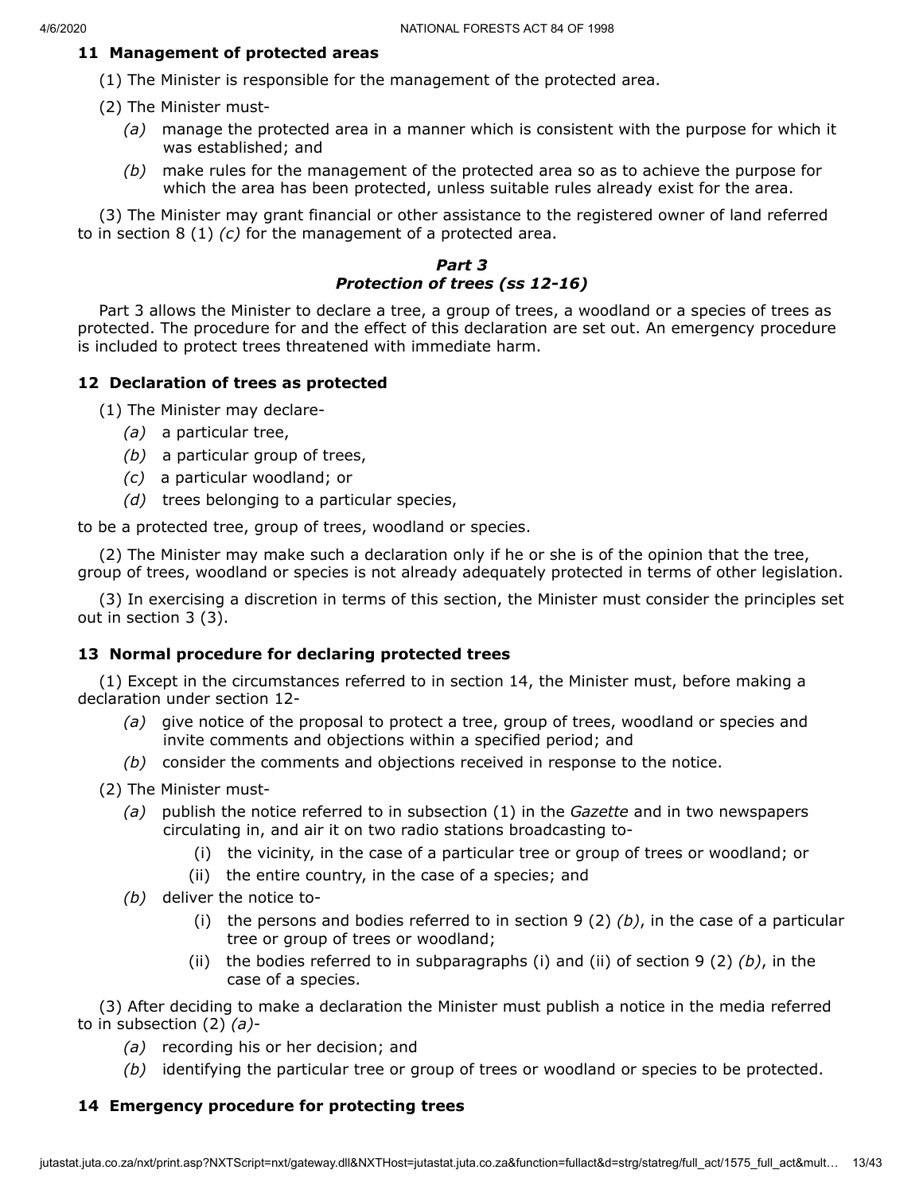### **11 Management of protected areas**

- (1) The Minister is responsible for the management of the protected area.
- (2) The Minister must-
	- *(a)* manage the protected area in a manner which is consistent with the purpose for which it was established; and
	- *(b)* make rules for the management of the protected area so as to achieve the purpose for which the area has been protected, unless suitable rules already exist for the area.

(3) The Minister may grant financial or other assistance to the registered owner of land referred to in section 8 (1) *(c)* for the management of a protected area.

#### *Part 3 Protection of trees (ss 12-16)*

Part 3 allows the Minister to declare a tree, a group of trees, a woodland or a species of trees as protected. The procedure for and the effect of this declaration are set out. An emergency procedure is included to protect trees threatened with immediate harm.

#### **12 Declaration of trees as protected**

(1) The Minister may declare-

- *(a)* a particular tree,
- *(b)* a particular group of trees,
- *(c)* a particular woodland; or
- *(d)* trees belonging to a particular species,

to be a protected tree, group of trees, woodland or species.

(2) The Minister may make such a declaration only if he or she is of the opinion that the tree, group of trees, woodland or species is not already adequately protected in terms of other legislation.

(3) In exercising a discretion in terms of this section, the Minister must consider the principles set out in section 3 (3).

#### **13 Normal procedure for declaring protected trees**

(1) Except in the circumstances referred to in section 14, the Minister must, before making a declaration under section 12-

- *(a)* give notice of the proposal to protect a tree, group of trees, woodland or species and invite comments and objections within a specified period; and
- *(b)* consider the comments and objections received in response to the notice.
- (2) The Minister must-
	- *(a)* publish the notice referred to in subsection (1) in the *Gazette* and in two newspapers circulating in, and air it on two radio stations broadcasting to-
		- (i) the vicinity, in the case of a particular tree or group of trees or woodland; or
		- (ii) the entire country, in the case of a species; and
	- *(b)* deliver the notice to-
		- (i) the persons and bodies referred to in section 9 (2) *(b)*, in the case of a particular tree or group of trees or woodland;
		- (ii) the bodies referred to in subparagraphs (i) and (ii) of section 9 (2) *(b)*, in the case of a species.

(3) After deciding to make a declaration the Minister must publish a notice in the media referred to in subsection (2) *(a)*-

- *(a)* recording his or her decision; and
- *(b)* identifying the particular tree or group of trees or woodland or species to be protected.

#### **14 Emergency procedure for protecting trees**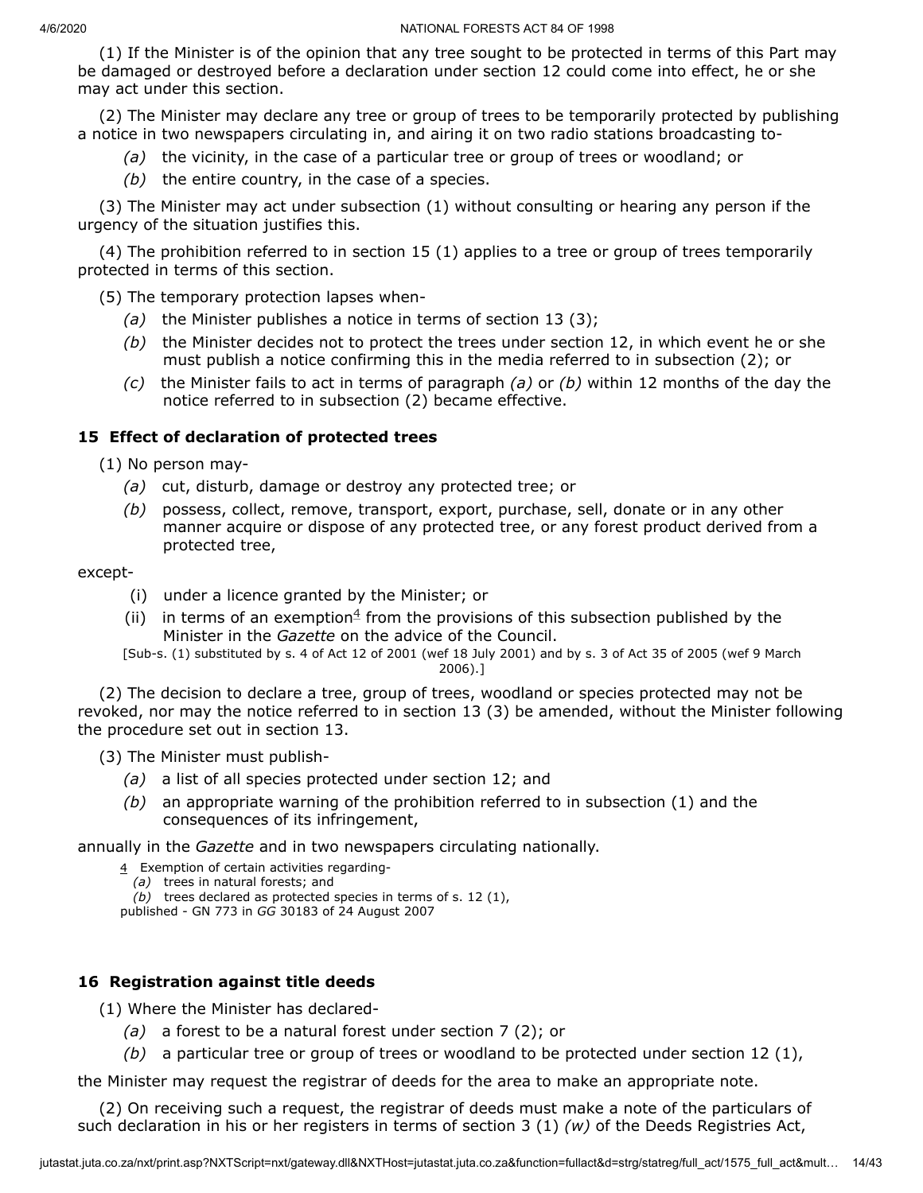(1) If the Minister is of the opinion that any tree sought to be protected in terms of this Part may be damaged or destroyed before a declaration under section 12 could come into effect, he or she may act under this section.

(2) The Minister may declare any tree or group of trees to be temporarily protected by publishing a notice in two newspapers circulating in, and airing it on two radio stations broadcasting to-

- *(a)* the vicinity, in the case of a particular tree or group of trees or woodland; or
- *(b)* the entire country, in the case of a species.

(3) The Minister may act under subsection (1) without consulting or hearing any person if the urgency of the situation justifies this.

(4) The prohibition referred to in section 15 (1) applies to a tree or group of trees temporarily protected in terms of this section.

(5) The temporary protection lapses when-

- *(a)* the Minister publishes a notice in terms of section 13 (3);
- *(b)* the Minister decides not to protect the trees under section 12, in which event he or she must publish a notice confirming this in the media referred to in subsection (2); or
- *(c)* the Minister fails to act in terms of paragraph *(a)* or *(b)* within 12 months of the day the notice referred to in subsection (2) became effective.

# **15 Effect of declaration of protected trees**

(1) No person may-

- *(a)* cut, disturb, damage or destroy any protected tree; or
- *(b)* possess, collect, remove, transport, export, purchase, sell, donate or in any other manner acquire or dispose of any protected tree, or any forest product derived from a protected tree,

#### except-

- (i) under a licence granted by the Minister; or
- (ii) in terms of an exemption $4$  from the provisions of this subsection published by the Minister in the *Gazette* on the advice of the Council.

[Sub-s. (1) substituted by s. 4 of Act 12 of 2001 (wef 18 July 2001) and by s. 3 of Act 35 of 2005 (wef 9 March 2006).]

(2) The decision to declare a tree, group of trees, woodland or species protected may not be revoked, nor may the notice referred to in section 13 (3) be amended, without the Minister following the procedure set out in section 13.

(3) The Minister must publish-

- *(a)* a list of all species protected under section 12; and
- *(b)* an appropriate warning of the prohibition referred to in subsection (1) and the consequences of its infringement,

<span id="page-13-0"></span>annually in the *Gazette* and in two newspapers circulating nationally.

- 4 Exemption of certain activities regarding-
- *(a)* trees in natural forests; and

*(b)* trees declared as protected species in terms of s. 12 (1),

published - GN 773 in *GG* 30183 of 24 August 2007

# **16 Registration against title deeds**

(1) Where the Minister has declared-

- *(a)* a forest to be a natural forest under section 7 (2); or
- *(b)* a particular tree or group of trees or woodland to be protected under section 12 (1),

the Minister may request the registrar of deeds for the area to make an appropriate note.

(2) On receiving such a request, the registrar of deeds must make a note of the particulars of such declaration in his or her registers in terms of section 3 (1) *(w)* of the Deeds Registries Act,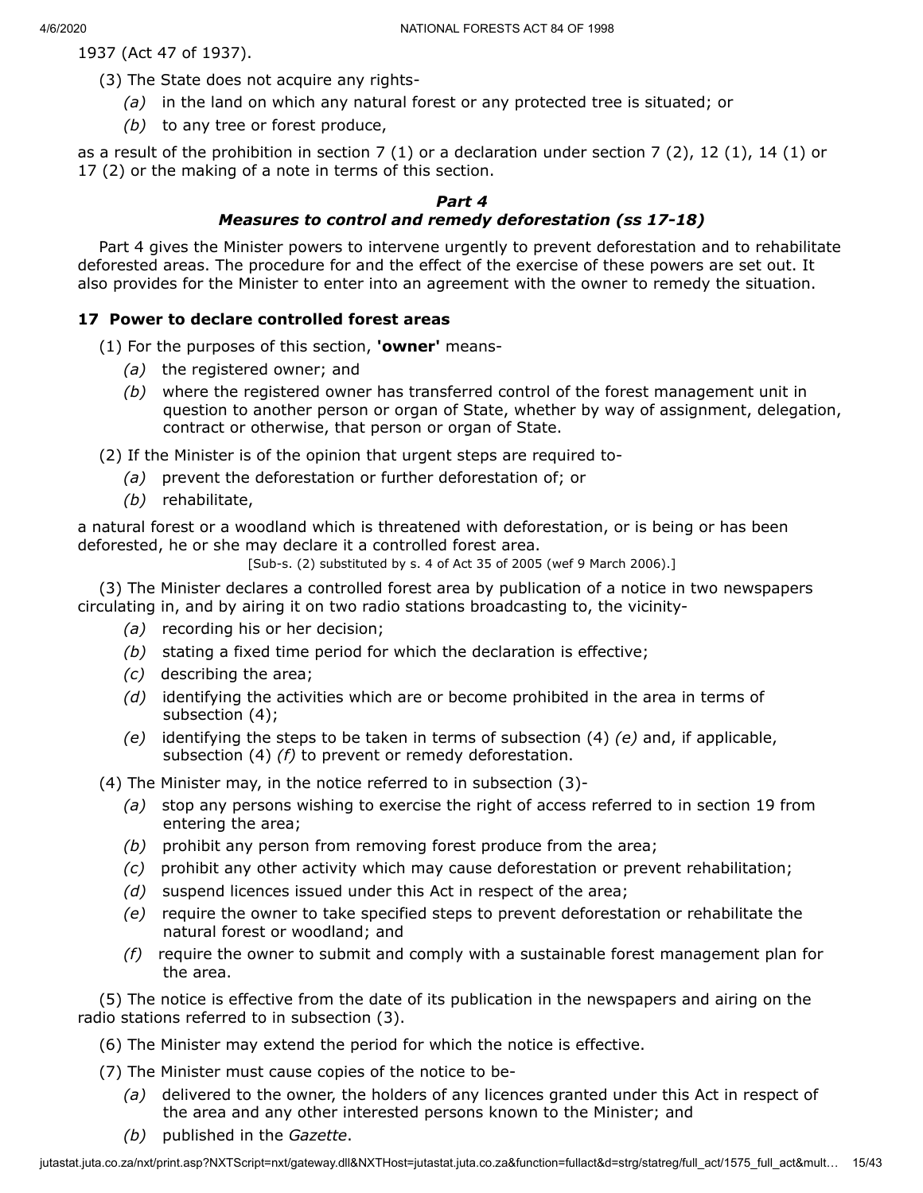1937 (Act 47 of 1937).

- (3) The State does not acquire any rights-
	- *(a)* in the land on which any natural forest or any protected tree is situated; or
	- *(b)* to any tree or forest produce,

as a result of the prohibition in section 7 (1) or a declaration under section 7 (2), 12 (1), 14 (1) or 17 (2) or the making of a note in terms of this section.

# *Part 4*

# *Measures to control and remedy deforestation (ss 17-18)*

Part 4 gives the Minister powers to intervene urgently to prevent deforestation and to rehabilitate deforested areas. The procedure for and the effect of the exercise of these powers are set out. It also provides for the Minister to enter into an agreement with the owner to remedy the situation.

# **17 Power to declare controlled forest areas**

- (1) For the purposes of this section, **'owner'** means-
	- *(a)* the registered owner; and
	- *(b)* where the registered owner has transferred control of the forest management unit in question to another person or organ of State, whether by way of assignment, delegation, contract or otherwise, that person or organ of State.

(2) If the Minister is of the opinion that urgent steps are required to-

- *(a)* prevent the deforestation or further deforestation of; or
- *(b)* rehabilitate,

a natural forest or a woodland which is threatened with deforestation, or is being or has been deforested, he or she may declare it a controlled forest area.

[Sub-s. (2) substituted by s. 4 of Act 35 of 2005 (wef 9 March 2006).]

(3) The Minister declares a controlled forest area by publication of a notice in two newspapers circulating in, and by airing it on two radio stations broadcasting to, the vicinity-

- *(a)* recording his or her decision;
- *(b)* stating a fixed time period for which the declaration is effective;
- *(c)* describing the area;
- *(d)* identifying the activities which are or become prohibited in the area in terms of subsection (4);
- *(e)* identifying the steps to be taken in terms of subsection (4) *(e)* and, if applicable, subsection (4) *(f)* to prevent or remedy deforestation.

(4) The Minister may, in the notice referred to in subsection (3)-

- *(a)* stop any persons wishing to exercise the right of access referred to in section 19 from entering the area;
- *(b)* prohibit any person from removing forest produce from the area;
- *(c)* prohibit any other activity which may cause deforestation or prevent rehabilitation;
- *(d)* suspend licences issued under this Act in respect of the area;
- *(e)* require the owner to take specified steps to prevent deforestation or rehabilitate the natural forest or woodland; and
- *(f)* require the owner to submit and comply with a sustainable forest management plan for the area.

(5) The notice is effective from the date of its publication in the newspapers and airing on the radio stations referred to in subsection (3).

- (6) The Minister may extend the period for which the notice is effective.
- (7) The Minister must cause copies of the notice to be-
	- *(a)* delivered to the owner, the holders of any licences granted under this Act in respect of the area and any other interested persons known to the Minister; and
	- *(b)* published in the *Gazette*.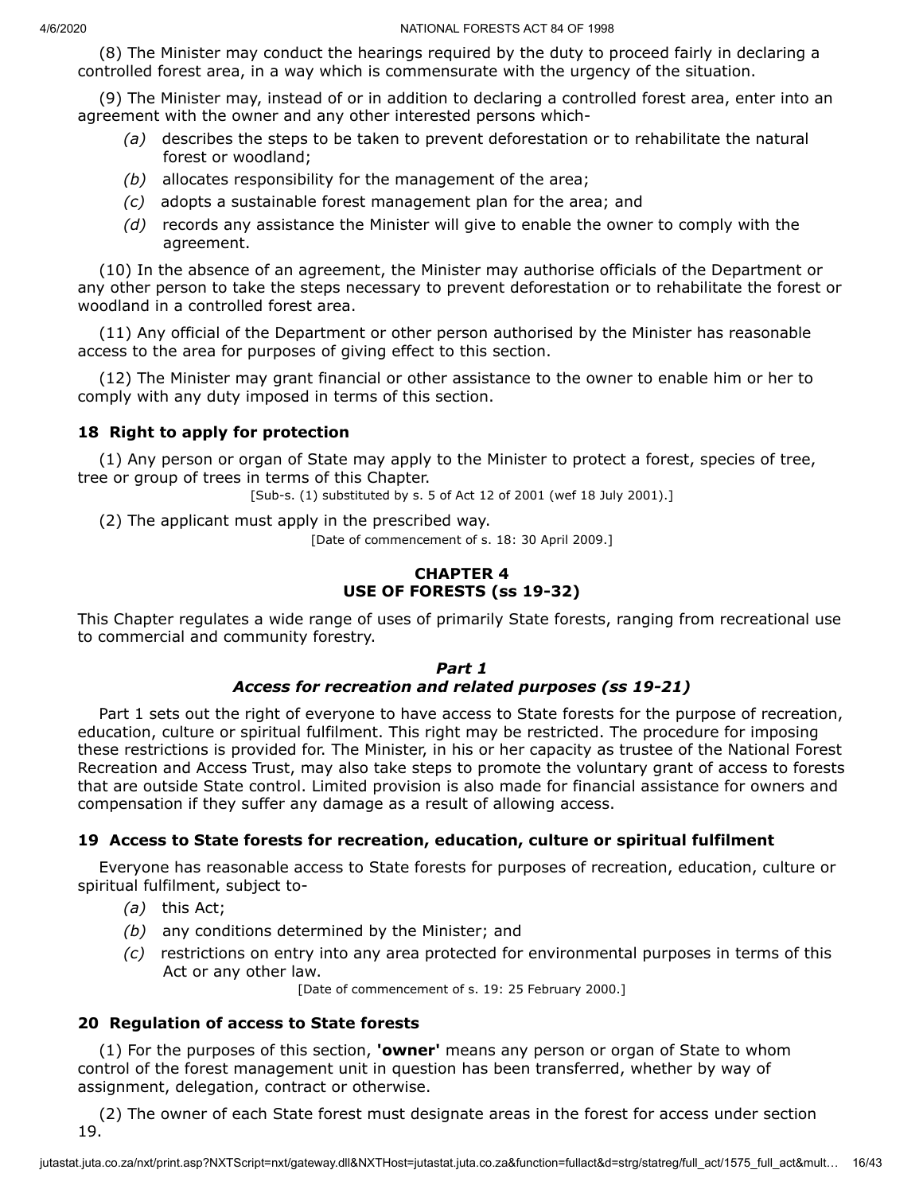(8) The Minister may conduct the hearings required by the duty to proceed fairly in declaring a controlled forest area, in a way which is commensurate with the urgency of the situation.

(9) The Minister may, instead of or in addition to declaring a controlled forest area, enter into an agreement with the owner and any other interested persons which-

- *(a)* describes the steps to be taken to prevent deforestation or to rehabilitate the natural forest or woodland;
- *(b)* allocates responsibility for the management of the area;
- *(c)* adopts a sustainable forest management plan for the area; and
- *(d)* records any assistance the Minister will give to enable the owner to comply with the agreement.

(10) In the absence of an agreement, the Minister may authorise officials of the Department or any other person to take the steps necessary to prevent deforestation or to rehabilitate the forest or woodland in a controlled forest area.

(11) Any official of the Department or other person authorised by the Minister has reasonable access to the area for purposes of giving effect to this section.

(12) The Minister may grant financial or other assistance to the owner to enable him or her to comply with any duty imposed in terms of this section.

# **18 Right to apply for protection**

(1) Any person or organ of State may apply to the Minister to protect a forest, species of tree, tree or group of trees in terms of this Chapter.

[Sub-s. (1) substituted by s. 5 of Act 12 of 2001 (wef 18 July 2001).]

(2) The applicant must apply in the prescribed way.

[Date of commencement of s. 18: 30 April 2009.]

# **CHAPTER 4 USE OF FORESTS (ss 19-32)**

This Chapter regulates a wide range of uses of primarily State forests, ranging from recreational use to commercial and community forestry.

# *Part 1 Access for recreation and related purposes (ss 19-21)*

Part 1 sets out the right of everyone to have access to State forests for the purpose of recreation, education, culture or spiritual fulfilment. This right may be restricted. The procedure for imposing these restrictions is provided for. The Minister, in his or her capacity as trustee of the National Forest Recreation and Access Trust, may also take steps to promote the voluntary grant of access to forests that are outside State control. Limited provision is also made for financial assistance for owners and compensation if they suffer any damage as a result of allowing access.

# **19 Access to State forests for recreation, education, culture or spiritual fulfilment**

Everyone has reasonable access to State forests for purposes of recreation, education, culture or spiritual fulfilment, subject to-

- *(a)* this Act;
- *(b)* any conditions determined by the Minister; and
- *(c)* restrictions on entry into any area protected for environmental purposes in terms of this Act or any other law.

[Date of commencement of s. 19: 25 February 2000.]

# **20 Regulation of access to State forests**

(1) For the purposes of this section, **'owner'** means any person or organ of State to whom control of the forest management unit in question has been transferred, whether by way of assignment, delegation, contract or otherwise.

(2) The owner of each State forest must designate areas in the forest for access under section 19.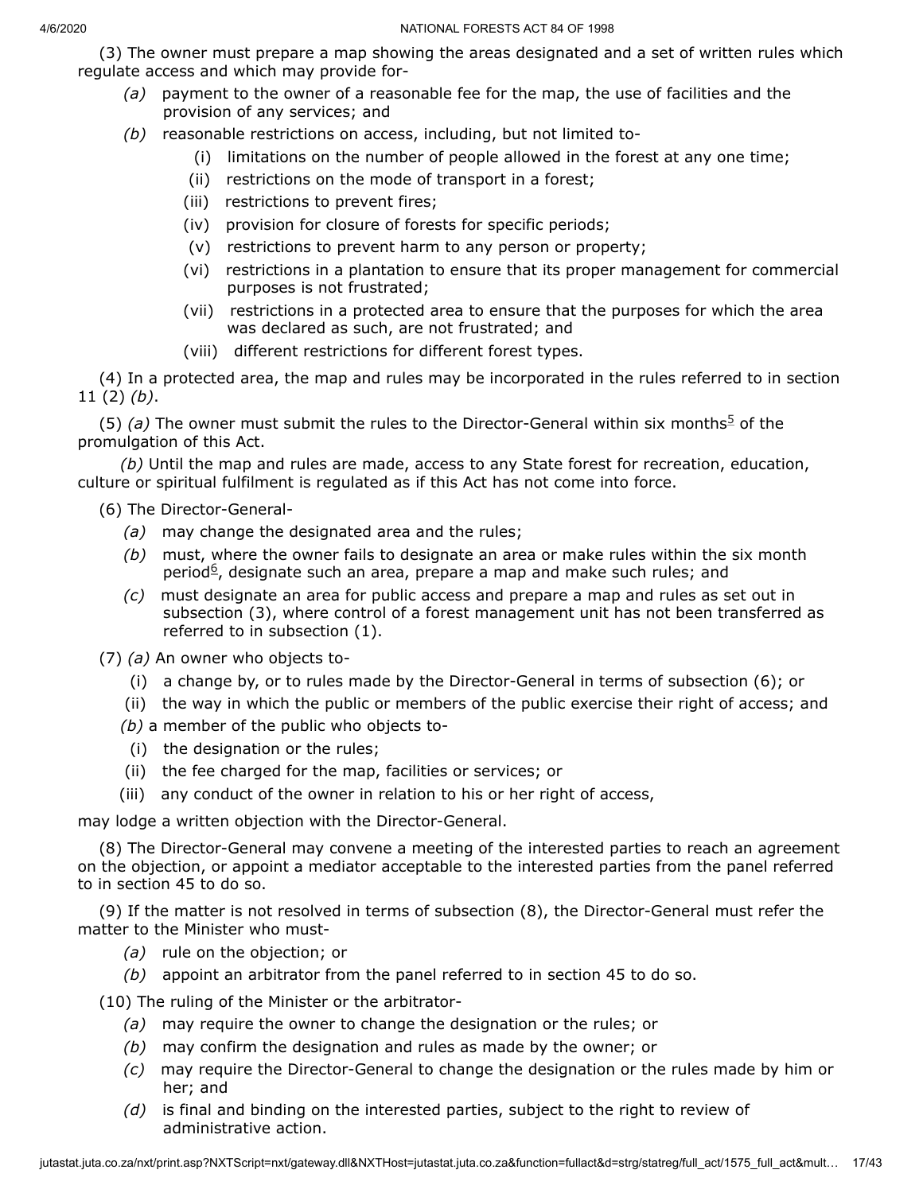(3) The owner must prepare a map showing the areas designated and a set of written rules which regulate access and which may provide for-

- *(a)* payment to the owner of a reasonable fee for the map, the use of facilities and the provision of any services; and
- *(b)* reasonable restrictions on access, including, but not limited to-
	- (i) limitations on the number of people allowed in the forest at any one time;
	- (ii) restrictions on the mode of transport in a forest;
	- (iii) restrictions to prevent fires;
	- (iv) provision for closure of forests for specific periods;
	- (v) restrictions to prevent harm to any person or property;
	- (vi) restrictions in a plantation to ensure that its proper management for commercial purposes is not frustrated;
	- (vii) restrictions in a protected area to ensure that the purposes for which the area was declared as such, are not frustrated; and
	- (viii) different restrictions for different forest types.

(4) In a protected area, the map and rules may be incorporated in the rules referred to in section 11 (2) *(b)*.

([5](#page-17-0)) (a) The owner must submit the rules to the Director-General within six months<sup>5</sup> of the promulgation of this Act.

*(b)* Until the map and rules are made, access to any State forest for recreation, education, culture or spiritual fulfilment is regulated as if this Act has not come into force.

(6) The Director-General-

- *(a)* may change the designated area and the rules;
- *(b)* must, where the owner fails to designate an area or make rules within the six month period<sup>[6](#page-17-1)</sup>, designate such an area, prepare a map and make such rules; and
- *(c)* must designate an area for public access and prepare a map and rules as set out in subsection (3), where control of a forest management unit has not been transferred as referred to in subsection (1).

(7) *(a)* An owner who objects to-

- (i) a change by, or to rules made by the Director-General in terms of subsection (6); or
- (ii) the way in which the public or members of the public exercise their right of access; and
- *(b)* a member of the public who objects to-
- (i) the designation or the rules;
- (ii) the fee charged for the map, facilities or services; or
- (iii) any conduct of the owner in relation to his or her right of access,

may lodge a written objection with the Director-General.

(8) The Director-General may convene a meeting of the interested parties to reach an agreement on the objection, or appoint a mediator acceptable to the interested parties from the panel referred to in section 45 to do so.

(9) If the matter is not resolved in terms of subsection (8), the Director-General must refer the matter to the Minister who must-

- *(a)* rule on the objection; or
- *(b)* appoint an arbitrator from the panel referred to in section 45 to do so.

(10) The ruling of the Minister or the arbitrator-

- *(a)* may require the owner to change the designation or the rules; or
- *(b)* may confirm the designation and rules as made by the owner; or
- *(c)* may require the Director-General to change the designation or the rules made by him or her; and
- *(d)* is final and binding on the interested parties, subject to the right to review of administrative action.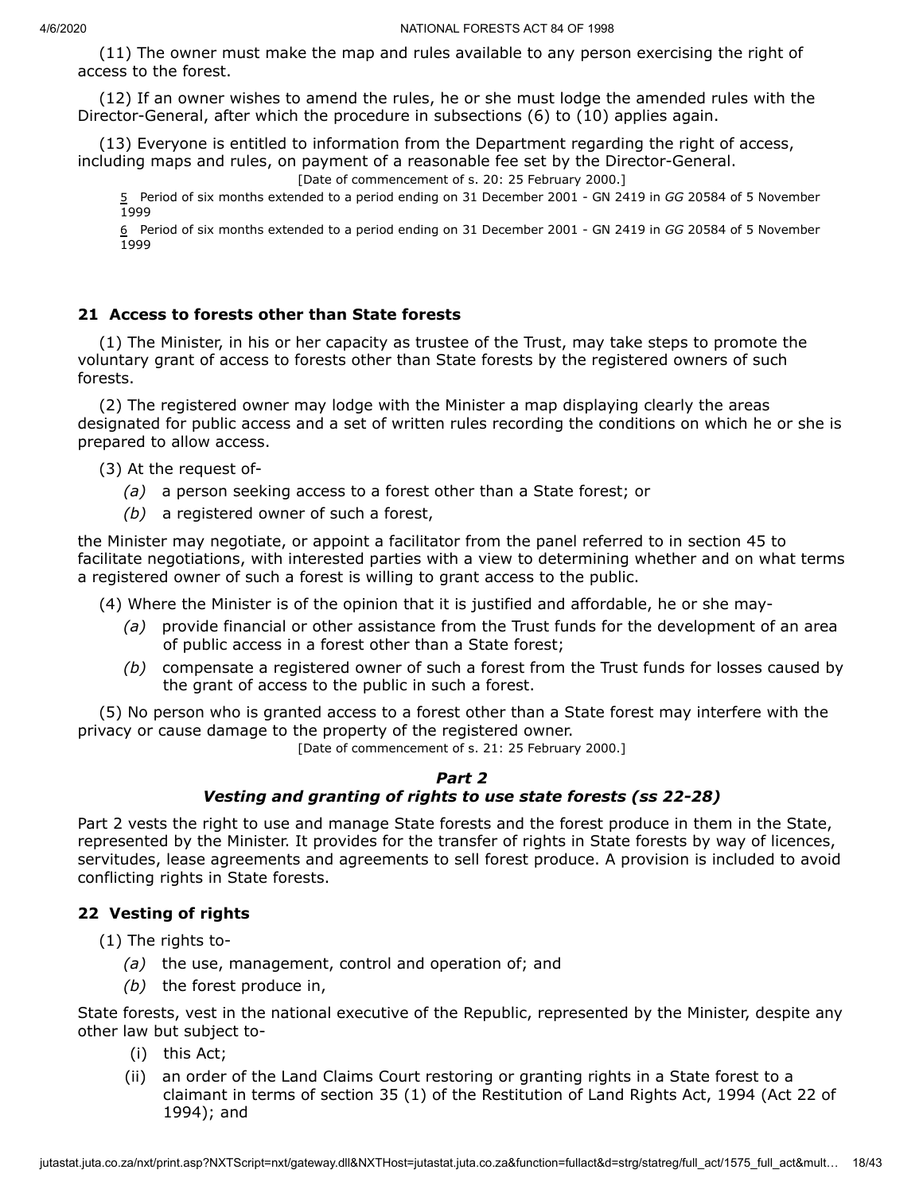(11) The owner must make the map and rules available to any person exercising the right of access to the forest.

(12) If an owner wishes to amend the rules, he or she must lodge the amended rules with the Director-General, after which the procedure in subsections (6) to (10) applies again.

(13) Everyone is entitled to information from the Department regarding the right of access, including maps and rules, on payment of a reasonable fee set by the Director-General.

[Date of commencement of s. 20: 25 February 2000.]

<span id="page-17-0"></span>5 Period of six months extended to a period ending on 31 December 2001 - GN 2419 in *GG* 20584 of 5 November 1999

<span id="page-17-1"></span>6 Period of six months extended to a period ending on 31 December 2001 - GN 2419 in *GG* 20584 of 5 November 1999

# **21 Access to forests other than State forests**

(1) The Minister, in his or her capacity as trustee of the Trust, may take steps to promote the voluntary grant of access to forests other than State forests by the registered owners of such forests.

(2) The registered owner may lodge with the Minister a map displaying clearly the areas designated for public access and a set of written rules recording the conditions on which he or she is prepared to allow access.

(3) At the request of-

- *(a)* a person seeking access to a forest other than a State forest; or
- *(b)* a registered owner of such a forest,

the Minister may negotiate, or appoint a facilitator from the panel referred to in section 45 to facilitate negotiations, with interested parties with a view to determining whether and on what terms a registered owner of such a forest is willing to grant access to the public.

(4) Where the Minister is of the opinion that it is justified and affordable, he or she may-

- *(a)* provide financial or other assistance from the Trust funds for the development of an area of public access in a forest other than a State forest;
- *(b)* compensate a registered owner of such a forest from the Trust funds for losses caused by the grant of access to the public in such a forest.

(5) No person who is granted access to a forest other than a State forest may interfere with the privacy or cause damage to the property of the registered owner.

[Date of commencement of s. 21: 25 February 2000.]

### *Part 2 Vesting and granting of rights to use state forests (ss 22-28)*

Part 2 vests the right to use and manage State forests and the forest produce in them in the State, represented by the Minister. It provides for the transfer of rights in State forests by way of licences, servitudes, lease agreements and agreements to sell forest produce. A provision is included to avoid conflicting rights in State forests.

# **22 Vesting of rights**

(1) The rights to-

- *(a)* the use, management, control and operation of; and
- *(b)* the forest produce in,

State forests, vest in the national executive of the Republic, represented by the Minister, despite any other law but subject to-

- (i) this Act;
- (ii) an order of the Land Claims Court restoring or granting rights in a State forest to a claimant in terms of section 35 (1) of the Restitution of Land Rights Act, 1994 (Act 22 of 1994); and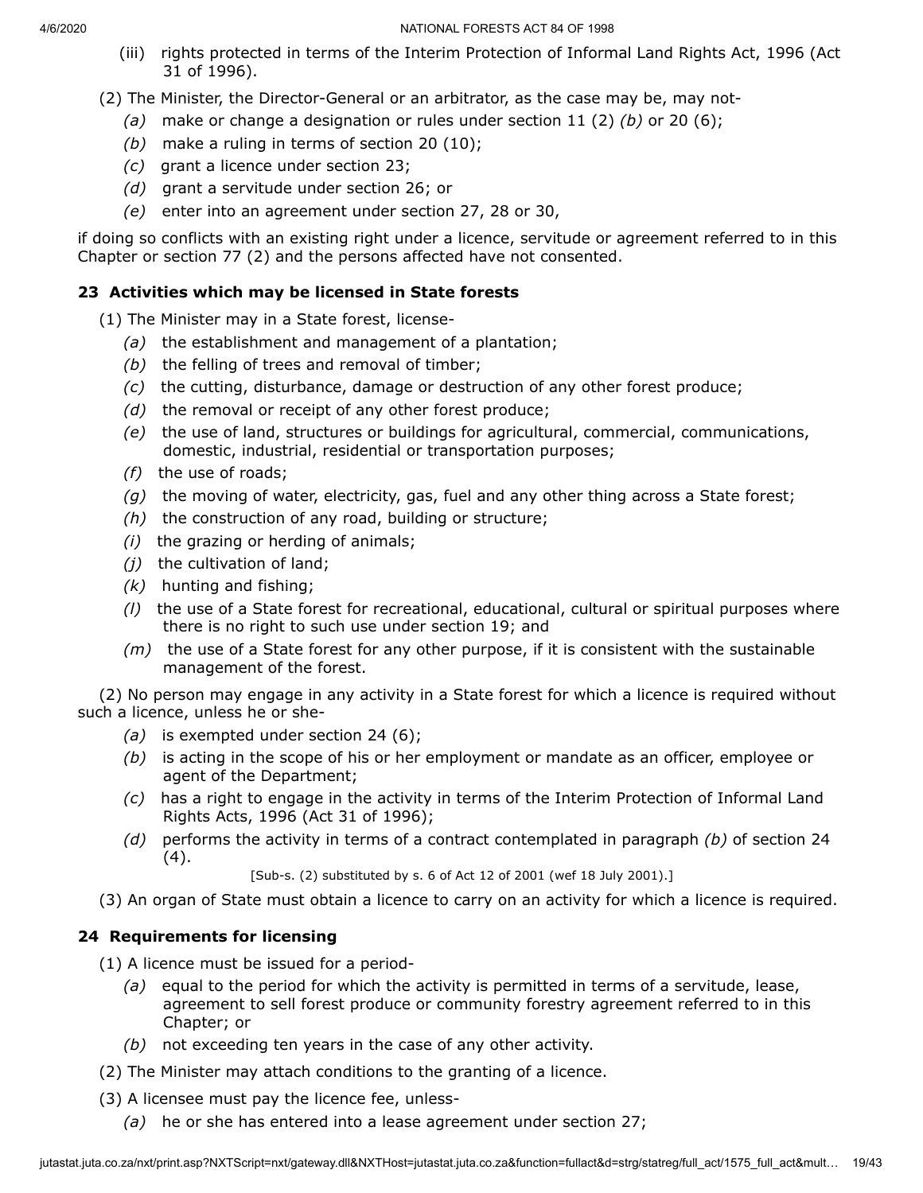(iii) rights protected in terms of the Interim Protection of Informal Land Rights Act, 1996 (Act 31 of 1996).

(2) The Minister, the Director-General or an arbitrator, as the case may be, may not-

- *(a)* make or change a designation or rules under section 11 (2) *(b)* or 20 (6);
- *(b)* make a ruling in terms of section 20 (10);
- *(c)* grant a licence under section 23;
- *(d)* grant a servitude under section 26; or
- *(e)* enter into an agreement under section 27, 28 or 30,

if doing so conflicts with an existing right under a licence, servitude or agreement referred to in this Chapter or section 77 (2) and the persons affected have not consented.

# **23 Activities which may be licensed in State forests**

- (1) The Minister may in a State forest, license-
	- *(a)* the establishment and management of a plantation;
	- *(b)* the felling of trees and removal of timber;
	- *(c)* the cutting, disturbance, damage or destruction of any other forest produce;
	- *(d)* the removal or receipt of any other forest produce;
	- *(e)* the use of land, structures or buildings for agricultural, commercial, communications, domestic, industrial, residential or transportation purposes;
	- *(f)* the use of roads;
	- *(g)* the moving of water, electricity, gas, fuel and any other thing across a State forest;
	- *(h)* the construction of any road, building or structure;
	- *(i)* the grazing or herding of animals;
	- *(j)* the cultivation of land;
	- *(k)* hunting and fishing;
	- *(l)* the use of a State forest for recreational, educational, cultural or spiritual purposes where there is no right to such use under section 19; and
	- *(m)* the use of a State forest for any other purpose, if it is consistent with the sustainable management of the forest.

(2) No person may engage in any activity in a State forest for which a licence is required without such a licence, unless he or she-

- *(a)* is exempted under section 24 (6);
- *(b)* is acting in the scope of his or her employment or mandate as an officer, employee or agent of the Department;
- *(c)* has a right to engage in the activity in terms of the Interim Protection of Informal Land Rights Acts, 1996 (Act 31 of 1996);
- *(d)* performs the activity in terms of a contract contemplated in paragraph *(b)* of section 24 (4).

[Sub-s. (2) substituted by s. 6 of Act 12 of 2001 (wef 18 July 2001).]

(3) An organ of State must obtain a licence to carry on an activity for which a licence is required.

# **24 Requirements for licensing**

- (1) A licence must be issued for a period-
	- *(a)* equal to the period for which the activity is permitted in terms of a servitude, lease, agreement to sell forest produce or community forestry agreement referred to in this Chapter; or
	- *(b)* not exceeding ten years in the case of any other activity.
- (2) The Minister may attach conditions to the granting of a licence.
- (3) A licensee must pay the licence fee, unless-
	- *(a)* he or she has entered into a lease agreement under section 27;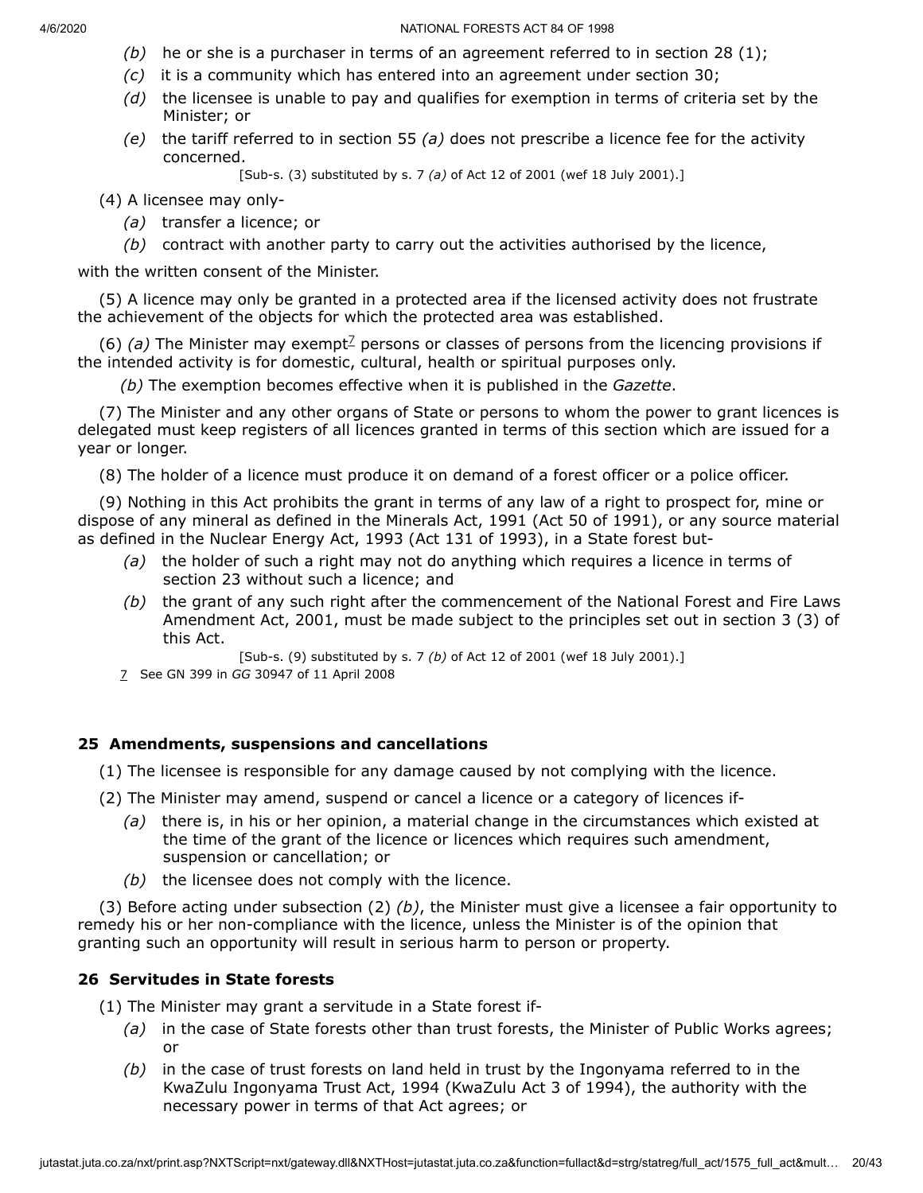4/6/2020 NATIONAL FORESTS ACT 84 OF 1998

- *(b)* he or she is a purchaser in terms of an agreement referred to in section 28 (1);
- *(c)* it is a community which has entered into an agreement under section 30;
- *(d)* the licensee is unable to pay and qualifies for exemption in terms of criteria set by the Minister; or
- *(e)* the tariff referred to in section 55 *(a)* does not prescribe a licence fee for the activity concerned.

[Sub-s. (3) substituted by s. 7 *(a)* of Act 12 of 2001 (wef 18 July 2001).]

(4) A licensee may only-

- *(a)* transfer a licence; or
- *(b)* contract with another party to carry out the activities authorised by the licence,

with the written consent of the Minister.

(5) A licence may only be granted in a protected area if the licensed activity does not frustrate the achievement of the objects for which the protected area was established.

(6) (a) The Minister may exempt<sup>[7](#page-19-0)</sup> persons or classes of persons from the licencing provisions if the intended activity is for domestic, cultural, health or spiritual purposes only.

*(b)* The exemption becomes effective when it is published in the *Gazette*.

(7) The Minister and any other organs of State or persons to whom the power to grant licences is delegated must keep registers of all licences granted in terms of this section which are issued for a year or longer.

(8) The holder of a licence must produce it on demand of a forest officer or a police officer.

(9) Nothing in this Act prohibits the grant in terms of any law of a right to prospect for, mine or dispose of any mineral as defined in the Minerals Act, 1991 (Act 50 of 1991), or any source material as defined in the Nuclear Energy Act, 1993 (Act 131 of 1993), in a State forest but-

- *(a)* the holder of such a right may not do anything which requires a licence in terms of section 23 without such a licence; and
- *(b)* the grant of any such right after the commencement of the National Forest and Fire Laws Amendment Act, 2001, must be made subject to the principles set out in section 3 (3) of this Act.

[Sub-s. (9) substituted by s. 7 *(b)* of Act 12 of 2001 (wef 18 July 2001).]

<span id="page-19-0"></span>7 See GN 399 in *GG* 30947 of 11 April 2008

# **25 Amendments, suspensions and cancellations**

- (1) The licensee is responsible for any damage caused by not complying with the licence.
- (2) The Minister may amend, suspend or cancel a licence or a category of licences if-
	- *(a)* there is, in his or her opinion, a material change in the circumstances which existed at the time of the grant of the licence or licences which requires such amendment, suspension or cancellation; or
	- *(b)* the licensee does not comply with the licence.

(3) Before acting under subsection (2) *(b)*, the Minister must give a licensee a fair opportunity to remedy his or her non-compliance with the licence, unless the Minister is of the opinion that granting such an opportunity will result in serious harm to person or property.

# **26 Servitudes in State forests**

(1) The Minister may grant a servitude in a State forest if-

- *(a)* in the case of State forests other than trust forests, the Minister of Public Works agrees; or
- *(b)* in the case of trust forests on land held in trust by the Ingonyama referred to in the KwaZulu Ingonyama Trust Act, 1994 (KwaZulu Act 3 of 1994), the authority with the necessary power in terms of that Act agrees; or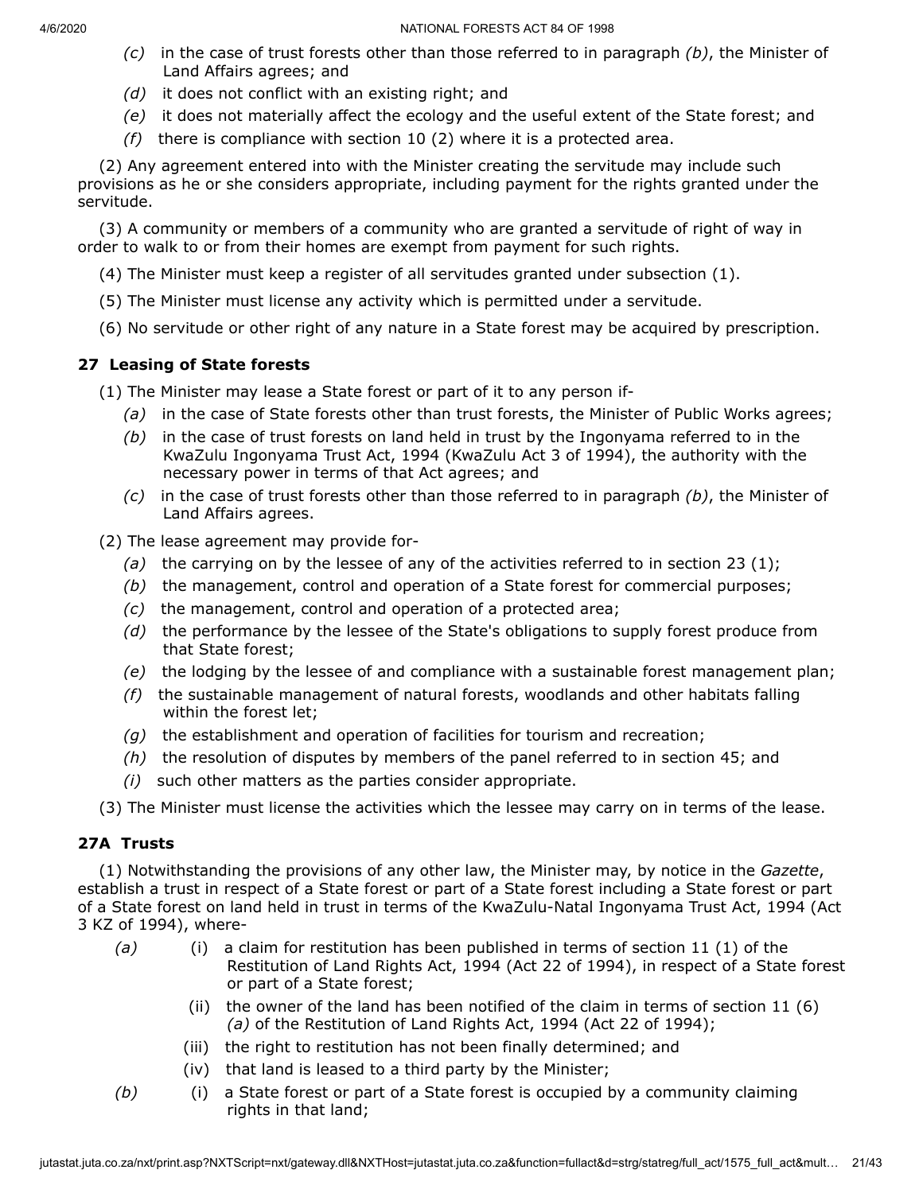- *(c)* in the case of trust forests other than those referred to in paragraph *(b)*, the Minister of Land Affairs agrees; and
- *(d)* it does not conflict with an existing right; and
- *(e)* it does not materially affect the ecology and the useful extent of the State forest; and
- *(f)* there is compliance with section 10 (2) where it is a protected area.

(2) Any agreement entered into with the Minister creating the servitude may include such provisions as he or she considers appropriate, including payment for the rights granted under the servitude.

(3) A community or members of a community who are granted a servitude of right of way in order to walk to or from their homes are exempt from payment for such rights.

- (4) The Minister must keep a register of all servitudes granted under subsection (1).
- (5) The Minister must license any activity which is permitted under a servitude.
- (6) No servitude or other right of any nature in a State forest may be acquired by prescription.

# **27 Leasing of State forests**

(1) The Minister may lease a State forest or part of it to any person if-

- *(a)* in the case of State forests other than trust forests, the Minister of Public Works agrees;
- *(b)* in the case of trust forests on land held in trust by the Ingonyama referred to in the KwaZulu Ingonyama Trust Act, 1994 (KwaZulu Act 3 of 1994), the authority with the necessary power in terms of that Act agrees; and
- *(c)* in the case of trust forests other than those referred to in paragraph *(b)*, the Minister of Land Affairs agrees.

(2) The lease agreement may provide for-

- *(a)* the carrying on by the lessee of any of the activities referred to in section 23 (1);
- *(b)* the management, control and operation of a State forest for commercial purposes;
- *(c)* the management, control and operation of a protected area;
- *(d)* the performance by the lessee of the State's obligations to supply forest produce from that State forest;
- *(e)* the lodging by the lessee of and compliance with a sustainable forest management plan;
- *(f)* the sustainable management of natural forests, woodlands and other habitats falling within the forest let;
- *(g)* the establishment and operation of facilities for tourism and recreation;
- *(h)* the resolution of disputes by members of the panel referred to in section 45; and
- *(i)* such other matters as the parties consider appropriate.

(3) The Minister must license the activities which the lessee may carry on in terms of the lease.

# **27A Trusts**

(1) Notwithstanding the provisions of any other law, the Minister may, by notice in the *Gazette*, establish a trust in respect of a State forest or part of a State forest including a State forest or part of a State forest on land held in trust in terms of the KwaZulu-Natal Ingonyama Trust Act, 1994 (Act 3 KZ of 1994), where-

- *(a)* (i) a claim for restitution has been published in terms of section 11 (1) of the Restitution of Land Rights Act, 1994 (Act 22 of 1994), in respect of a State forest or part of a State forest;
	- (ii) the owner of the land has been notified of the claim in terms of section 11 (6) *(a)* of the Restitution of Land Rights Act, 1994 (Act 22 of 1994);
	- (iii) the right to restitution has not been finally determined; and
	- (iv) that land is leased to a third party by the Minister;
- *(b)* (i) a State forest or part of a State forest is occupied by a community claiming rights in that land;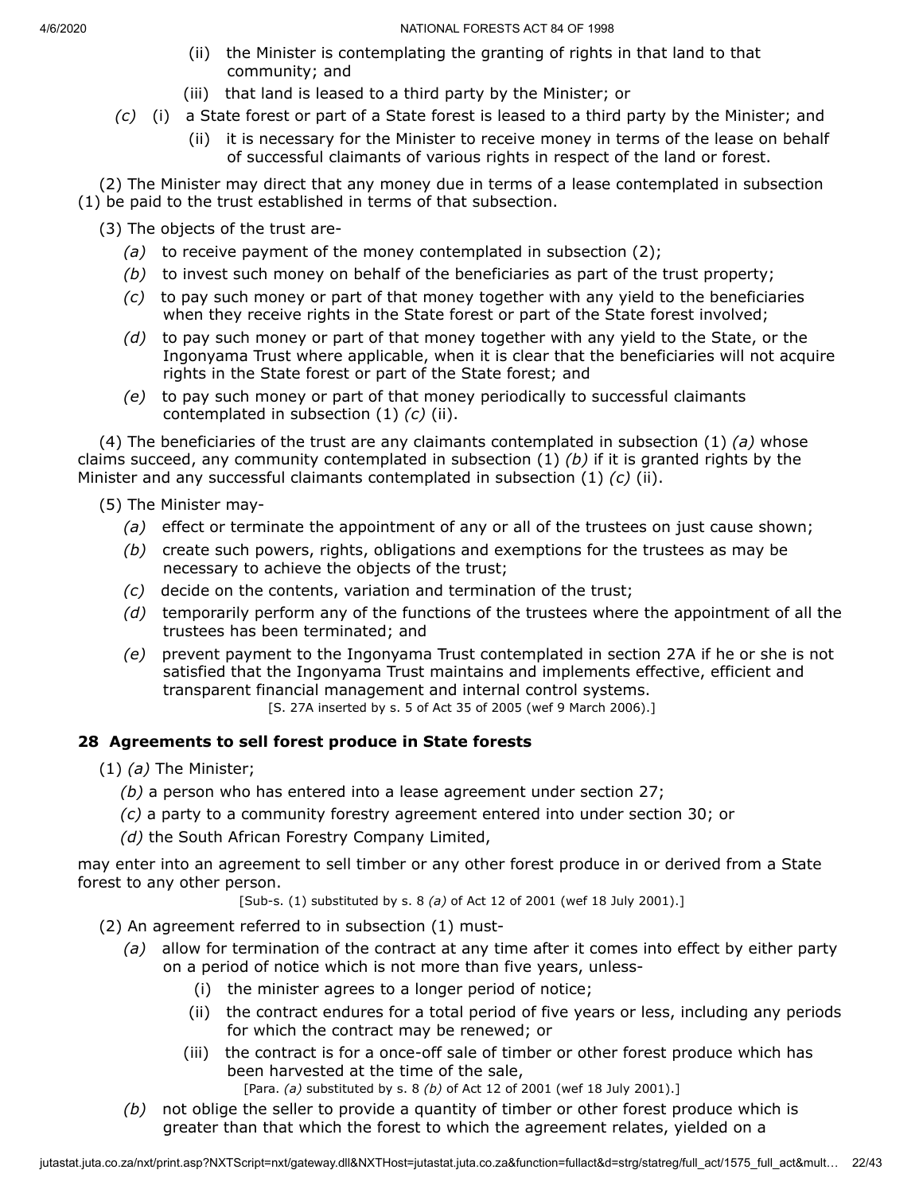- (ii) the Minister is contemplating the granting of rights in that land to that community; and
- (iii) that land is leased to a third party by the Minister; or
- *(c)* (i) a State forest or part of a State forest is leased to a third party by the Minister; and
	- (ii) it is necessary for the Minister to receive money in terms of the lease on behalf of successful claimants of various rights in respect of the land or forest.

(2) The Minister may direct that any money due in terms of a lease contemplated in subsection (1) be paid to the trust established in terms of that subsection.

(3) The objects of the trust are-

- *(a)* to receive payment of the money contemplated in subsection (2);
- *(b)* to invest such money on behalf of the beneficiaries as part of the trust property;
- *(c)* to pay such money or part of that money together with any yield to the beneficiaries when they receive rights in the State forest or part of the State forest involved;
- *(d)* to pay such money or part of that money together with any yield to the State, or the Ingonyama Trust where applicable, when it is clear that the beneficiaries will not acquire rights in the State forest or part of the State forest; and
- *(e)* to pay such money or part of that money periodically to successful claimants contemplated in subsection (1) *(c)* (ii).

(4) The beneficiaries of the trust are any claimants contemplated in subsection (1) *(a)* whose claims succeed, any community contemplated in subsection (1) *(b)* if it is granted rights by the Minister and any successful claimants contemplated in subsection (1) *(c)* (ii).

(5) The Minister may-

- *(a)* effect or terminate the appointment of any or all of the trustees on just cause shown;
- *(b)* create such powers, rights, obligations and exemptions for the trustees as may be necessary to achieve the objects of the trust;
- *(c)* decide on the contents, variation and termination of the trust;
- *(d)* temporarily perform any of the functions of the trustees where the appointment of all the trustees has been terminated; and
- *(e)* prevent payment to the Ingonyama Trust contemplated in section 27A if he or she is not satisfied that the Ingonyama Trust maintains and implements effective, efficient and transparent financial management and internal control systems.

[S. 27A inserted by s. 5 of Act 35 of 2005 (wef 9 March 2006).]

# **28 Agreements to sell forest produce in State forests**

- (1) *(a)* The Minister;
	- *(b)* a person who has entered into a lease agreement under section 27;
	- *(c)* a party to a community forestry agreement entered into under section 30; or
	- *(d)* the South African Forestry Company Limited,

may enter into an agreement to sell timber or any other forest produce in or derived from a State forest to any other person.

[Sub-s. (1) substituted by s. 8 *(a)* of Act 12 of 2001 (wef 18 July 2001).]

- (2) An agreement referred to in subsection (1) must-
	- *(a)* allow for termination of the contract at any time after it comes into effect by either party on a period of notice which is not more than five years, unless-
		- (i) the minister agrees to a longer period of notice;
		- (ii) the contract endures for a total period of five years or less, including any periods for which the contract may be renewed; or
		- (iii) the contract is for a once-off sale of timber or other forest produce which has been harvested at the time of the sale,

[Para. *(a)* substituted by s. 8 *(b)* of Act 12 of 2001 (wef 18 July 2001).]

*(b)* not oblige the seller to provide a quantity of timber or other forest produce which is greater than that which the forest to which the agreement relates, yielded on a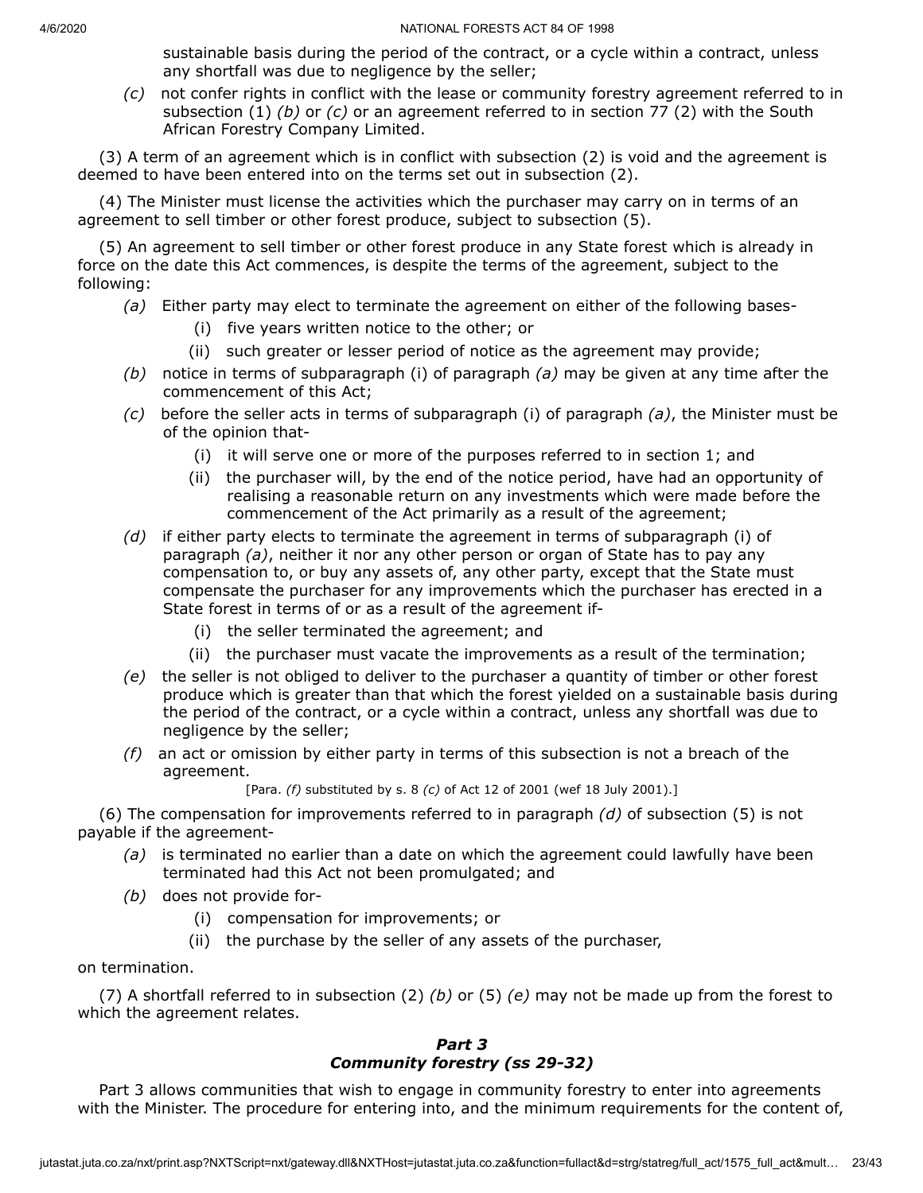sustainable basis during the period of the contract, or a cycle within a contract, unless any shortfall was due to negligence by the seller;

*(c)* not confer rights in conflict with the lease or community forestry agreement referred to in subsection (1) *(b)* or *(c)* or an agreement referred to in section 77 (2) with the South African Forestry Company Limited.

(3) A term of an agreement which is in conflict with subsection (2) is void and the agreement is deemed to have been entered into on the terms set out in subsection (2).

(4) The Minister must license the activities which the purchaser may carry on in terms of an agreement to sell timber or other forest produce, subject to subsection (5).

(5) An agreement to sell timber or other forest produce in any State forest which is already in force on the date this Act commences, is despite the terms of the agreement, subject to the following:

- *(a)* Either party may elect to terminate the agreement on either of the following bases-
	- (i) five years written notice to the other; or
	- (ii) such greater or lesser period of notice as the agreement may provide;
- *(b)* notice in terms of subparagraph (i) of paragraph *(a)* may be given at any time after the commencement of this Act;
- *(c)* before the seller acts in terms of subparagraph (i) of paragraph *(a)*, the Minister must be of the opinion that-
	- (i) it will serve one or more of the purposes referred to in section 1; and
	- (ii) the purchaser will, by the end of the notice period, have had an opportunity of realising a reasonable return on any investments which were made before the commencement of the Act primarily as a result of the agreement;
- *(d)* if either party elects to terminate the agreement in terms of subparagraph (i) of paragraph *(a)*, neither it nor any other person or organ of State has to pay any compensation to, or buy any assets of, any other party, except that the State must compensate the purchaser for any improvements which the purchaser has erected in a State forest in terms of or as a result of the agreement if-
	- (i) the seller terminated the agreement; and
	- (ii) the purchaser must vacate the improvements as a result of the termination;
- *(e)* the seller is not obliged to deliver to the purchaser a quantity of timber or other forest produce which is greater than that which the forest yielded on a sustainable basis during the period of the contract, or a cycle within a contract, unless any shortfall was due to negligence by the seller;
- *(f)* an act or omission by either party in terms of this subsection is not a breach of the agreement.
	- [Para. *(f)* substituted by s. 8 *(c)* of Act 12 of 2001 (wef 18 July 2001).]

(6) The compensation for improvements referred to in paragraph *(d)* of subsection (5) is not payable if the agreement-

- *(a)* is terminated no earlier than a date on which the agreement could lawfully have been terminated had this Act not been promulgated; and
- *(b)* does not provide for-
	- (i) compensation for improvements; or
	- (ii) the purchase by the seller of any assets of the purchaser,
- on termination.

(7) A shortfall referred to in subsection (2) *(b)* or (5) *(e)* may not be made up from the forest to which the agreement relates.

# *Part 3 Community forestry (ss 29-32)*

Part 3 allows communities that wish to engage in community forestry to enter into agreements with the Minister. The procedure for entering into, and the minimum requirements for the content of,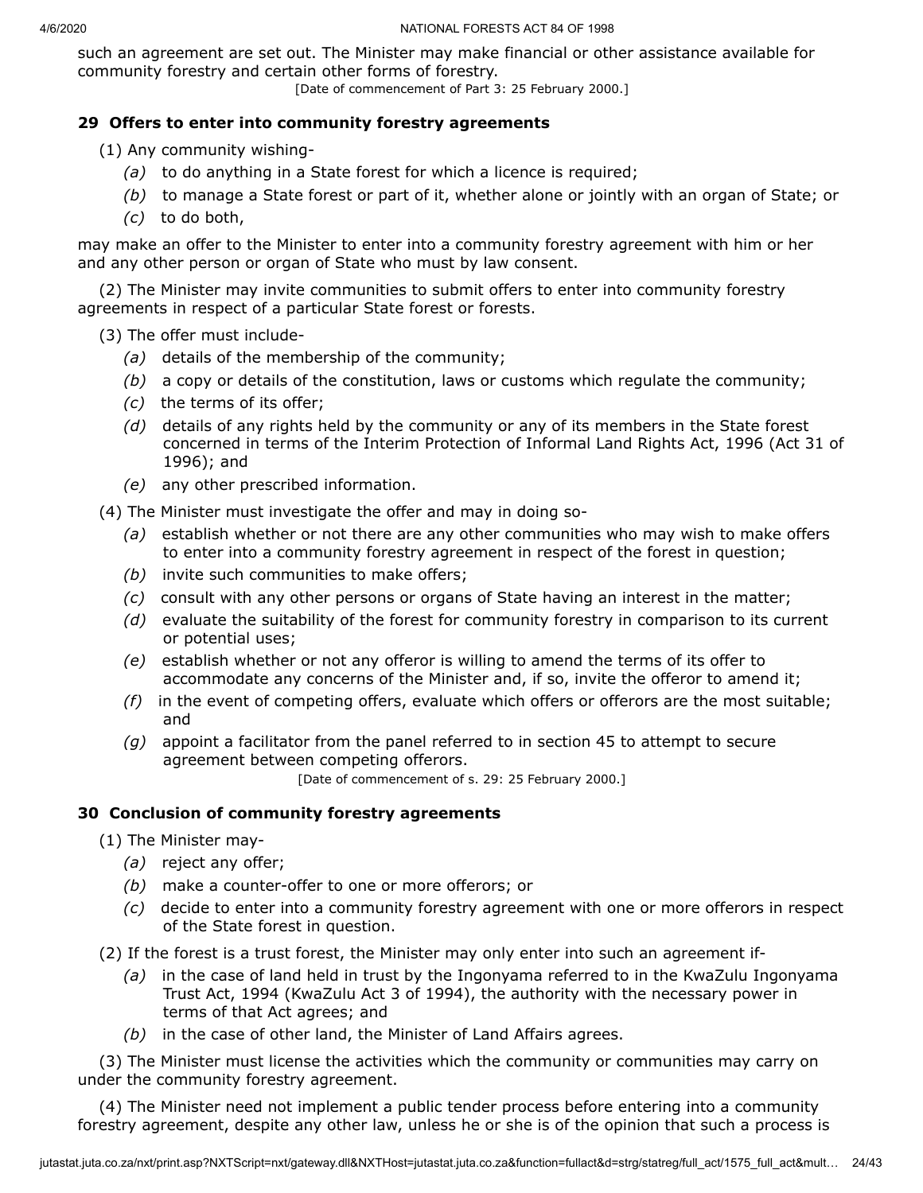such an agreement are set out. The Minister may make financial or other assistance available for community forestry and certain other forms of forestry.

[Date of commencement of Part 3: 25 February 2000.]

### **29 Offers to enter into community forestry agreements**

(1) Any community wishing-

- *(a)* to do anything in a State forest for which a licence is required;
- *(b)* to manage a State forest or part of it, whether alone or jointly with an organ of State; or
- *(c)* to do both,

may make an offer to the Minister to enter into a community forestry agreement with him or her and any other person or organ of State who must by law consent.

(2) The Minister may invite communities to submit offers to enter into community forestry agreements in respect of a particular State forest or forests.

- (3) The offer must include-
	- *(a)* details of the membership of the community;
	- *(b)* a copy or details of the constitution, laws or customs which regulate the community;
	- *(c)* the terms of its offer;
	- *(d)* details of any rights held by the community or any of its members in the State forest concerned in terms of the Interim Protection of Informal Land Rights Act, 1996 (Act 31 of 1996); and
	- *(e)* any other prescribed information.
- (4) The Minister must investigate the offer and may in doing so-
	- *(a)* establish whether or not there are any other communities who may wish to make offers to enter into a community forestry agreement in respect of the forest in question;
	- *(b)* invite such communities to make offers;
	- *(c)* consult with any other persons or organs of State having an interest in the matter;
	- *(d)* evaluate the suitability of the forest for community forestry in comparison to its current or potential uses;
	- *(e)* establish whether or not any offeror is willing to amend the terms of its offer to accommodate any concerns of the Minister and, if so, invite the offeror to amend it;
	- *(f)* in the event of competing offers, evaluate which offers or offerors are the most suitable; and
	- *(g)* appoint a facilitator from the panel referred to in section 45 to attempt to secure agreement between competing offerors.

[Date of commencement of s. 29: 25 February 2000.]

#### **30 Conclusion of community forestry agreements**

- (1) The Minister may-
	- *(a)* reject any offer;
	- *(b)* make a counter-offer to one or more offerors; or
	- *(c)* decide to enter into a community forestry agreement with one or more offerors in respect of the State forest in question.

(2) If the forest is a trust forest, the Minister may only enter into such an agreement if-

- *(a)* in the case of land held in trust by the Ingonyama referred to in the KwaZulu Ingonyama Trust Act, 1994 (KwaZulu Act 3 of 1994), the authority with the necessary power in terms of that Act agrees; and
- *(b)* in the case of other land, the Minister of Land Affairs agrees.

(3) The Minister must license the activities which the community or communities may carry on under the community forestry agreement.

(4) The Minister need not implement a public tender process before entering into a community forestry agreement, despite any other law, unless he or she is of the opinion that such a process is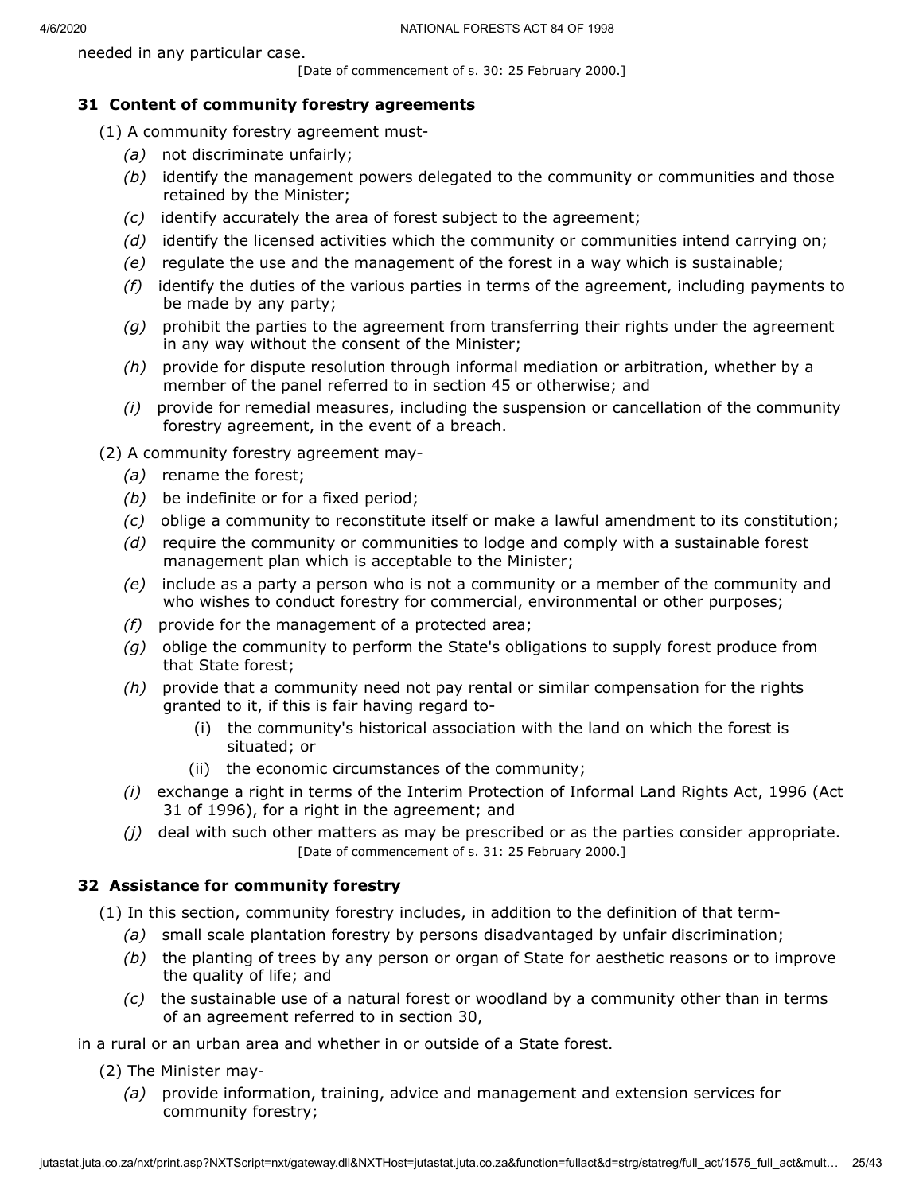needed in any particular case.

[Date of commencement of s. 30: 25 February 2000.]

## **31 Content of community forestry agreements**

- (1) A community forestry agreement must-
	- *(a)* not discriminate unfairly;
	- *(b)* identify the management powers delegated to the community or communities and those retained by the Minister;
	- *(c)* identify accurately the area of forest subject to the agreement;
	- *(d)* identify the licensed activities which the community or communities intend carrying on;
	- *(e)* regulate the use and the management of the forest in a way which is sustainable;
	- *(f)* identify the duties of the various parties in terms of the agreement, including payments to be made by any party;
	- *(g)* prohibit the parties to the agreement from transferring their rights under the agreement in any way without the consent of the Minister;
	- *(h)* provide for dispute resolution through informal mediation or arbitration, whether by a member of the panel referred to in section 45 or otherwise; and
	- *(i)* provide for remedial measures, including the suspension or cancellation of the community forestry agreement, in the event of a breach.

(2) A community forestry agreement may-

- *(a)* rename the forest;
- *(b)* be indefinite or for a fixed period;
- *(c)* oblige a community to reconstitute itself or make a lawful amendment to its constitution;
- *(d)* require the community or communities to lodge and comply with a sustainable forest management plan which is acceptable to the Minister;
- *(e)* include as a party a person who is not a community or a member of the community and who wishes to conduct forestry for commercial, environmental or other purposes;
- *(f)* provide for the management of a protected area;
- *(g)* oblige the community to perform the State's obligations to supply forest produce from that State forest;
- *(h)* provide that a community need not pay rental or similar compensation for the rights granted to it, if this is fair having regard to-
	- (i) the community's historical association with the land on which the forest is situated; or
	- (ii) the economic circumstances of the community;
- *(i)* exchange a right in terms of the Interim Protection of Informal Land Rights Act, 1996 (Act 31 of 1996), for a right in the agreement; and
- *(j)* deal with such other matters as may be prescribed or as the parties consider appropriate. [Date of commencement of s. 31: 25 February 2000.]

# **32 Assistance for community forestry**

(1) In this section, community forestry includes, in addition to the definition of that term-

- *(a)* small scale plantation forestry by persons disadvantaged by unfair discrimination;
- *(b)* the planting of trees by any person or organ of State for aesthetic reasons or to improve the quality of life; and
- *(c)* the sustainable use of a natural forest or woodland by a community other than in terms of an agreement referred to in section 30,

in a rural or an urban area and whether in or outside of a State forest.

- (2) The Minister may-
	- *(a)* provide information, training, advice and management and extension services for community forestry;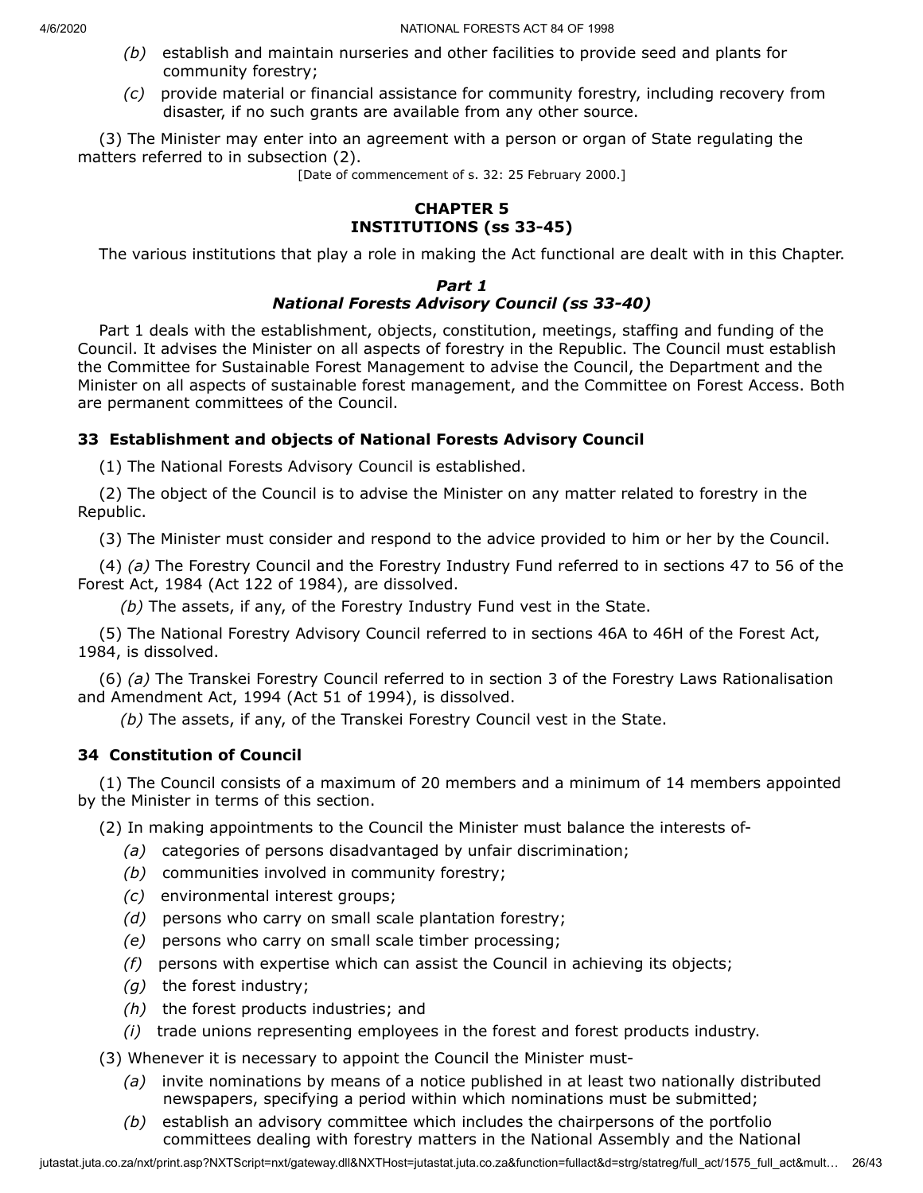- *(b)* establish and maintain nurseries and other facilities to provide seed and plants for community forestry;
- *(c)* provide material or financial assistance for community forestry, including recovery from disaster, if no such grants are available from any other source.

(3) The Minister may enter into an agreement with a person or organ of State regulating the matters referred to in subsection (2).

[Date of commencement of s. 32: 25 February 2000.]

# **CHAPTER 5 INSTITUTIONS (ss 33-45)**

The various institutions that play a role in making the Act functional are dealt with in this Chapter.

#### *Part 1 National Forests Advisory Council (ss 33-40)*

Part 1 deals with the establishment, objects, constitution, meetings, staffing and funding of the Council. It advises the Minister on all aspects of forestry in the Republic. The Council must establish the Committee for Sustainable Forest Management to advise the Council, the Department and the Minister on all aspects of sustainable forest management, and the Committee on Forest Access. Both are permanent committees of the Council.

# **33 Establishment and objects of National Forests Advisory Council**

(1) The National Forests Advisory Council is established.

(2) The object of the Council is to advise the Minister on any matter related to forestry in the Republic.

(3) The Minister must consider and respond to the advice provided to him or her by the Council.

(4) *(a)* The Forestry Council and the Forestry Industry Fund referred to in sections 47 to 56 of the Forest Act, 1984 (Act 122 of 1984), are dissolved.

*(b)* The assets, if any, of the Forestry Industry Fund vest in the State.

(5) The National Forestry Advisory Council referred to in sections 46A to 46H of the Forest Act, 1984, is dissolved.

(6) *(a)* The Transkei Forestry Council referred to in section 3 of the Forestry Laws Rationalisation and Amendment Act, 1994 (Act 51 of 1994), is dissolved.

*(b)* The assets, if any, of the Transkei Forestry Council vest in the State.

# **34 Constitution of Council**

(1) The Council consists of a maximum of 20 members and a minimum of 14 members appointed by the Minister in terms of this section.

(2) In making appointments to the Council the Minister must balance the interests of-

- *(a)* categories of persons disadvantaged by unfair discrimination;
- *(b)* communities involved in community forestry;
- *(c)* environmental interest groups;
- *(d)* persons who carry on small scale plantation forestry;
- *(e)* persons who carry on small scale timber processing;
- *(f)* persons with expertise which can assist the Council in achieving its objects;
- *(g)* the forest industry;
- *(h)* the forest products industries; and
- *(i)* trade unions representing employees in the forest and forest products industry.

(3) Whenever it is necessary to appoint the Council the Minister must-

- *(a)* invite nominations by means of a notice published in at least two nationally distributed newspapers, specifying a period within which nominations must be submitted;
- *(b)* establish an advisory committee which includes the chairpersons of the portfolio committees dealing with forestry matters in the National Assembly and the National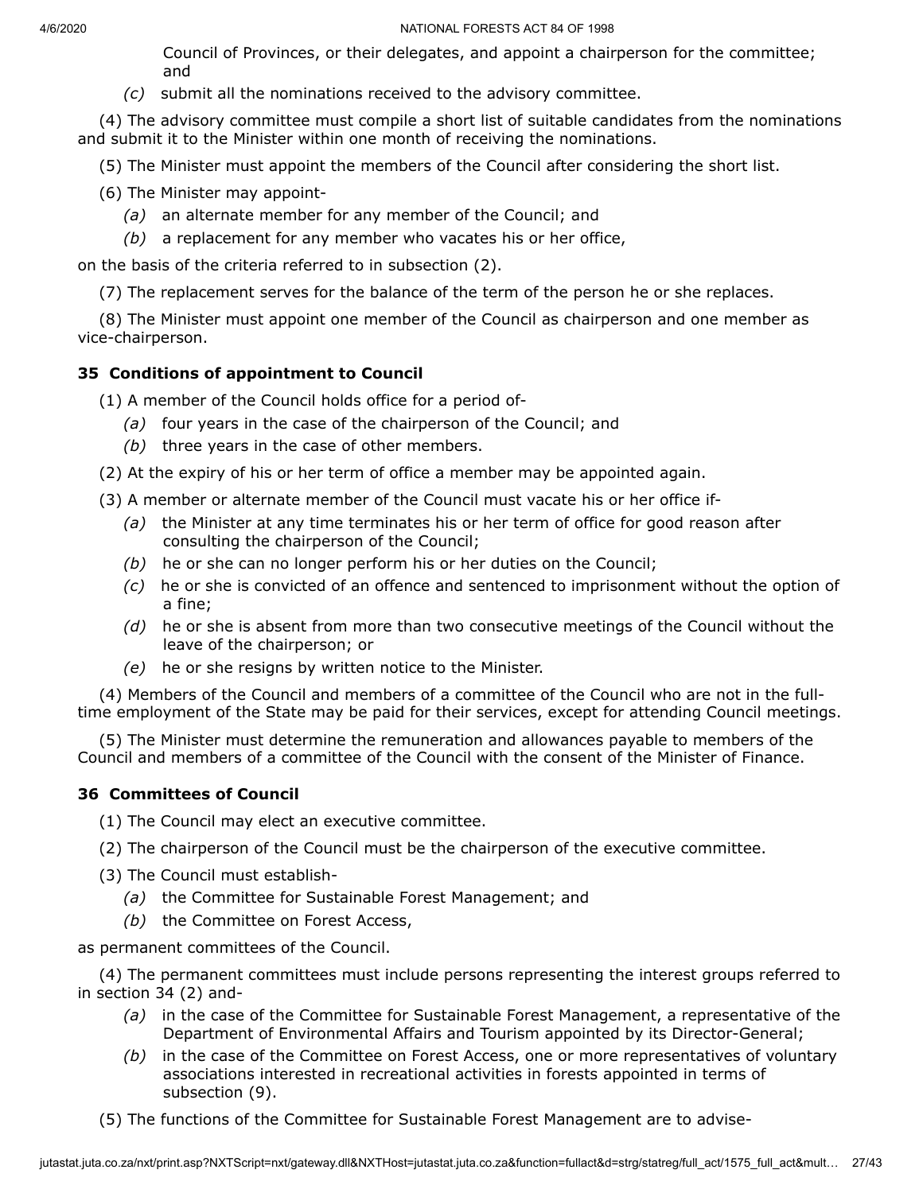Council of Provinces, or their delegates, and appoint a chairperson for the committee; and

*(c)* submit all the nominations received to the advisory committee.

(4) The advisory committee must compile a short list of suitable candidates from the nominations and submit it to the Minister within one month of receiving the nominations.

(5) The Minister must appoint the members of the Council after considering the short list.

- (6) The Minister may appoint-
	- *(a)* an alternate member for any member of the Council; and
	- *(b)* a replacement for any member who vacates his or her office,

on the basis of the criteria referred to in subsection (2).

(7) The replacement serves for the balance of the term of the person he or she replaces.

(8) The Minister must appoint one member of the Council as chairperson and one member as vice-chairperson.

# **35 Conditions of appointment to Council**

(1) A member of the Council holds office for a period of-

- *(a)* four years in the case of the chairperson of the Council; and
- *(b)* three years in the case of other members.

(2) At the expiry of his or her term of office a member may be appointed again.

- (3) A member or alternate member of the Council must vacate his or her office if-
	- *(a)* the Minister at any time terminates his or her term of office for good reason after consulting the chairperson of the Council;
	- *(b)* he or she can no longer perform his or her duties on the Council;
	- *(c)* he or she is convicted of an offence and sentenced to imprisonment without the option of a fine;
	- *(d)* he or she is absent from more than two consecutive meetings of the Council without the leave of the chairperson; or
	- *(e)* he or she resigns by written notice to the Minister.

(4) Members of the Council and members of a committee of the Council who are not in the fulltime employment of the State may be paid for their services, except for attending Council meetings.

(5) The Minister must determine the remuneration and allowances payable to members of the Council and members of a committee of the Council with the consent of the Minister of Finance.

# **36 Committees of Council**

- (1) The Council may elect an executive committee.
- (2) The chairperson of the Council must be the chairperson of the executive committee.
- (3) The Council must establish-
	- *(a)* the Committee for Sustainable Forest Management; and
	- *(b)* the Committee on Forest Access,

as permanent committees of the Council.

(4) The permanent committees must include persons representing the interest groups referred to in section 34 (2) and-

- *(a)* in the case of the Committee for Sustainable Forest Management, a representative of the Department of Environmental Affairs and Tourism appointed by its Director-General;
- *(b)* in the case of the Committee on Forest Access, one or more representatives of voluntary associations interested in recreational activities in forests appointed in terms of subsection (9).
- (5) The functions of the Committee for Sustainable Forest Management are to advise-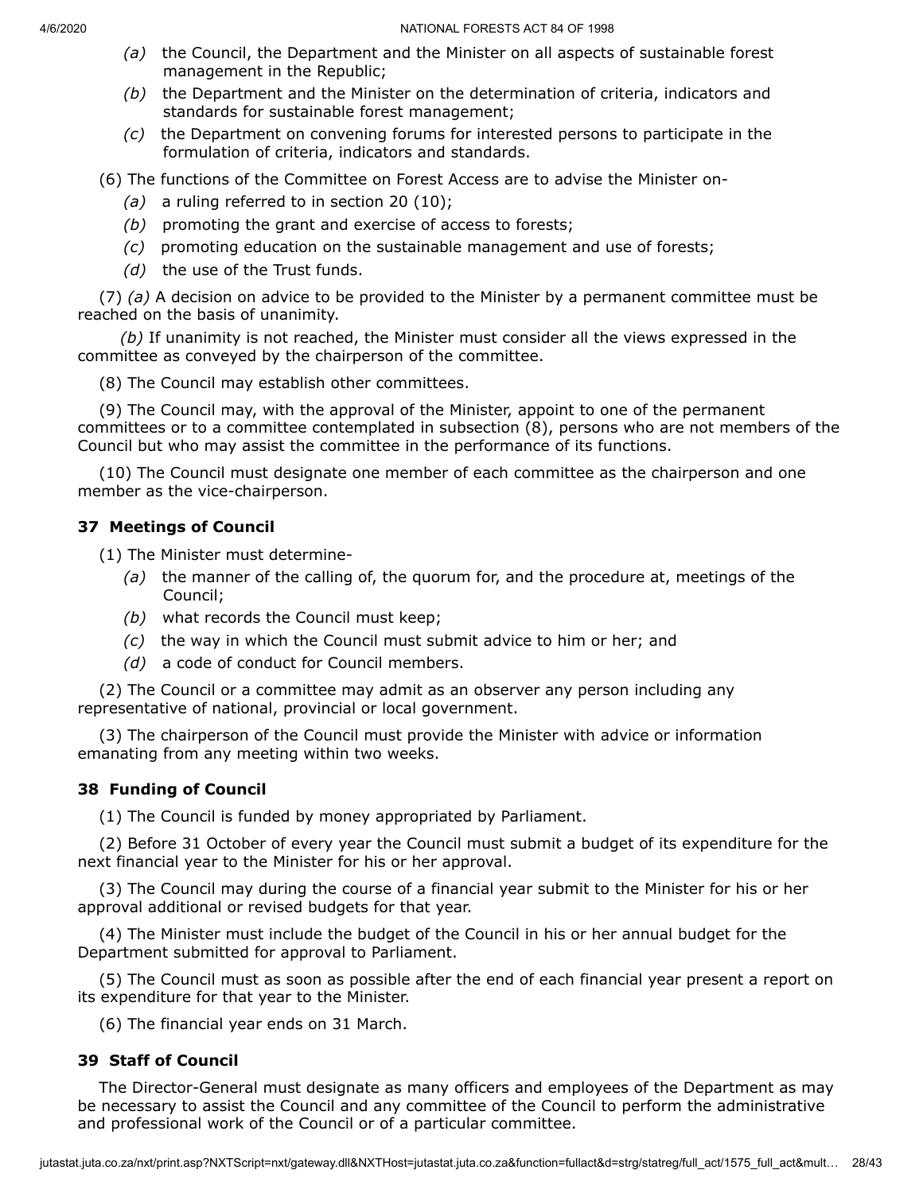- *(a)* the Council, the Department and the Minister on all aspects of sustainable forest management in the Republic;
- *(b)* the Department and the Minister on the determination of criteria, indicators and standards for sustainable forest management;
- *(c)* the Department on convening forums for interested persons to participate in the formulation of criteria, indicators and standards.

(6) The functions of the Committee on Forest Access are to advise the Minister on-

- *(a)* a ruling referred to in section 20 (10);
- *(b)* promoting the grant and exercise of access to forests;
- *(c)* promoting education on the sustainable management and use of forests;
- *(d)* the use of the Trust funds.

(7) *(a)* A decision on advice to be provided to the Minister by a permanent committee must be reached on the basis of unanimity.

*(b)* If unanimity is not reached, the Minister must consider all the views expressed in the committee as conveyed by the chairperson of the committee.

(8) The Council may establish other committees.

(9) The Council may, with the approval of the Minister, appoint to one of the permanent committees or to a committee contemplated in subsection (8), persons who are not members of the Council but who may assist the committee in the performance of its functions.

(10) The Council must designate one member of each committee as the chairperson and one member as the vice-chairperson.

# **37 Meetings of Council**

(1) The Minister must determine-

- *(a)* the manner of the calling of, the quorum for, and the procedure at, meetings of the Council;
- *(b)* what records the Council must keep;
- *(c)* the way in which the Council must submit advice to him or her; and
- *(d)* a code of conduct for Council members.

(2) The Council or a committee may admit as an observer any person including any representative of national, provincial or local government.

(3) The chairperson of the Council must provide the Minister with advice or information emanating from any meeting within two weeks.

# **38 Funding of Council**

(1) The Council is funded by money appropriated by Parliament.

(2) Before 31 October of every year the Council must submit a budget of its expenditure for the next financial year to the Minister for his or her approval.

(3) The Council may during the course of a financial year submit to the Minister for his or her approval additional or revised budgets for that year.

(4) The Minister must include the budget of the Council in his or her annual budget for the Department submitted for approval to Parliament.

(5) The Council must as soon as possible after the end of each financial year present a report on its expenditure for that year to the Minister.

(6) The financial year ends on 31 March.

# **39 Staff of Council**

The Director-General must designate as many officers and employees of the Department as may be necessary to assist the Council and any committee of the Council to perform the administrative and professional work of the Council or of a particular committee.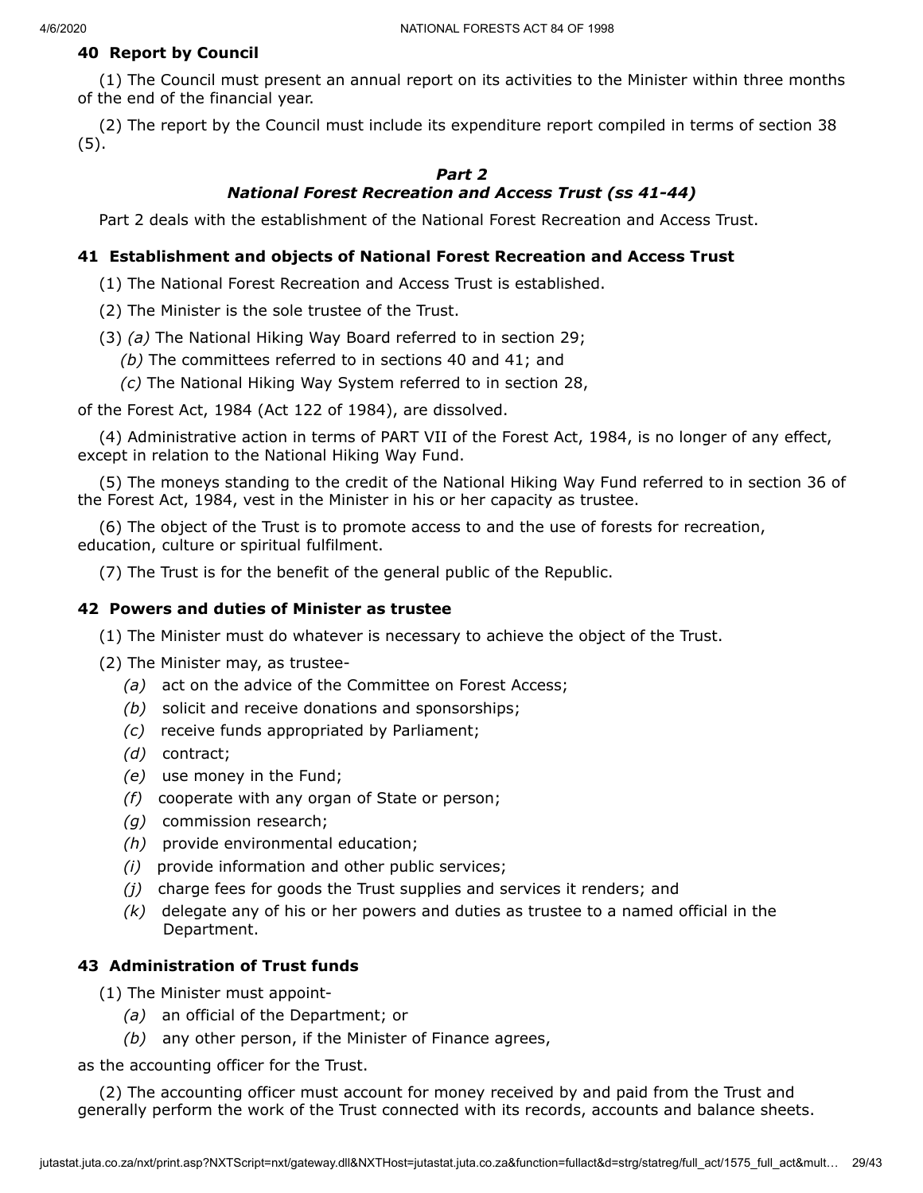# **40 Report by Council**

(1) The Council must present an annual report on its activities to the Minister within three months of the end of the financial year.

(2) The report by the Council must include its expenditure report compiled in terms of section 38 (5).

# *Part 2 National Forest Recreation and Access Trust (ss 41-44)*

Part 2 deals with the establishment of the National Forest Recreation and Access Trust.

# **41 Establishment and objects of National Forest Recreation and Access Trust**

(1) The National Forest Recreation and Access Trust is established.

(2) The Minister is the sole trustee of the Trust.

(3) *(a)* The National Hiking Way Board referred to in section 29;

- *(b)* The committees referred to in sections 40 and 41; and
- *(c)* The National Hiking Way System referred to in section 28,

of the Forest Act, 1984 (Act 122 of 1984), are dissolved.

(4) Administrative action in terms of PART VII of the Forest Act, 1984, is no longer of any effect, except in relation to the National Hiking Way Fund.

(5) The moneys standing to the credit of the National Hiking Way Fund referred to in section 36 of the Forest Act, 1984, vest in the Minister in his or her capacity as trustee.

(6) The object of the Trust is to promote access to and the use of forests for recreation, education, culture or spiritual fulfilment.

(7) The Trust is for the benefit of the general public of the Republic.

#### **42 Powers and duties of Minister as trustee**

(1) The Minister must do whatever is necessary to achieve the object of the Trust.

- (2) The Minister may, as trustee-
	- *(a)* act on the advice of the Committee on Forest Access;
	- *(b)* solicit and receive donations and sponsorships;
	- *(c)* receive funds appropriated by Parliament;
	- *(d)* contract;
	- *(e)* use money in the Fund;
	- *(f)* cooperate with any organ of State or person;
	- *(g)* commission research;
	- *(h)* provide environmental education;
	- *(i)* provide information and other public services;
	- *(j)* charge fees for goods the Trust supplies and services it renders; and
	- *(k)* delegate any of his or her powers and duties as trustee to a named official in the Department.

# **43 Administration of Trust funds**

(1) The Minister must appoint-

- *(a)* an official of the Department; or
- *(b)* any other person, if the Minister of Finance agrees,

as the accounting officer for the Trust.

(2) The accounting officer must account for money received by and paid from the Trust and generally perform the work of the Trust connected with its records, accounts and balance sheets.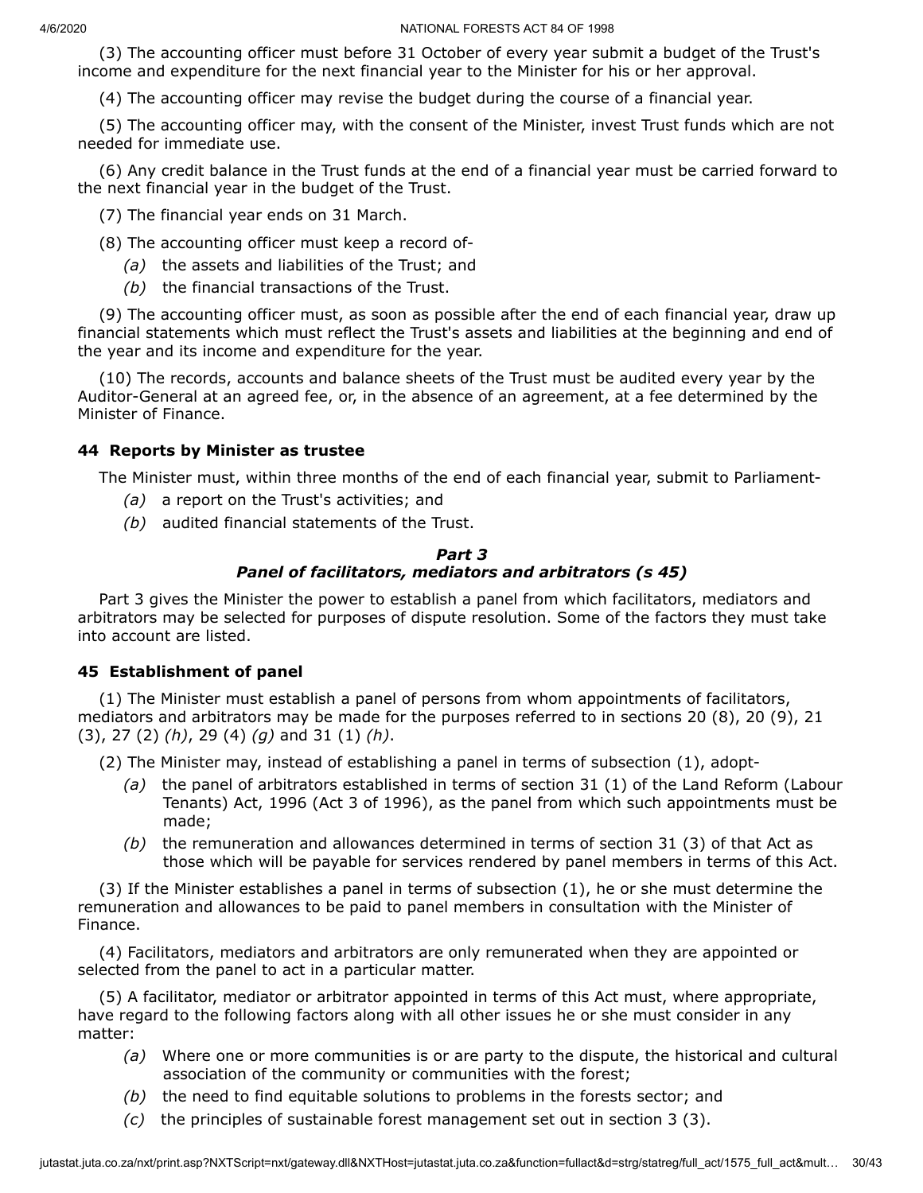(3) The accounting officer must before 31 October of every year submit a budget of the Trust's income and expenditure for the next financial year to the Minister for his or her approval.

(4) The accounting officer may revise the budget during the course of a financial year.

(5) The accounting officer may, with the consent of the Minister, invest Trust funds which are not needed for immediate use.

(6) Any credit balance in the Trust funds at the end of a financial year must be carried forward to the next financial year in the budget of the Trust.

(7) The financial year ends on 31 March.

- (8) The accounting officer must keep a record of-
	- *(a)* the assets and liabilities of the Trust; and
	- *(b)* the financial transactions of the Trust.

(9) The accounting officer must, as soon as possible after the end of each financial year, draw up financial statements which must reflect the Trust's assets and liabilities at the beginning and end of the year and its income and expenditure for the year.

(10) The records, accounts and balance sheets of the Trust must be audited every year by the Auditor-General at an agreed fee, or, in the absence of an agreement, at a fee determined by the Minister of Finance.

### **44 Reports by Minister as trustee**

The Minister must, within three months of the end of each financial year, submit to Parliament-

- *(a)* a report on the Trust's activities; and
- *(b)* audited financial statements of the Trust.

# *Part 3 Panel of facilitators, mediators and arbitrators (s 45)*

Part 3 gives the Minister the power to establish a panel from which facilitators, mediators and arbitrators may be selected for purposes of dispute resolution. Some of the factors they must take into account are listed.

#### **45 Establishment of panel**

(1) The Minister must establish a panel of persons from whom appointments of facilitators, mediators and arbitrators may be made for the purposes referred to in sections 20 (8), 20 (9), 21 (3), 27 (2) *(h)*, 29 (4) *(g)* and 31 (1) *(h)*.

(2) The Minister may, instead of establishing a panel in terms of subsection (1), adopt-

- *(a)* the panel of arbitrators established in terms of section 31 (1) of the Land Reform (Labour Tenants) Act, 1996 (Act 3 of 1996), as the panel from which such appointments must be made;
- *(b)* the remuneration and allowances determined in terms of section 31 (3) of that Act as those which will be payable for services rendered by panel members in terms of this Act.

(3) If the Minister establishes a panel in terms of subsection (1), he or she must determine the remuneration and allowances to be paid to panel members in consultation with the Minister of Finance.

(4) Facilitators, mediators and arbitrators are only remunerated when they are appointed or selected from the panel to act in a particular matter.

(5) A facilitator, mediator or arbitrator appointed in terms of this Act must, where appropriate, have regard to the following factors along with all other issues he or she must consider in any matter:

- *(a)* Where one or more communities is or are party to the dispute, the historical and cultural association of the community or communities with the forest;
- *(b)* the need to find equitable solutions to problems in the forests sector; and
- *(c)* the principles of sustainable forest management set out in section 3 (3).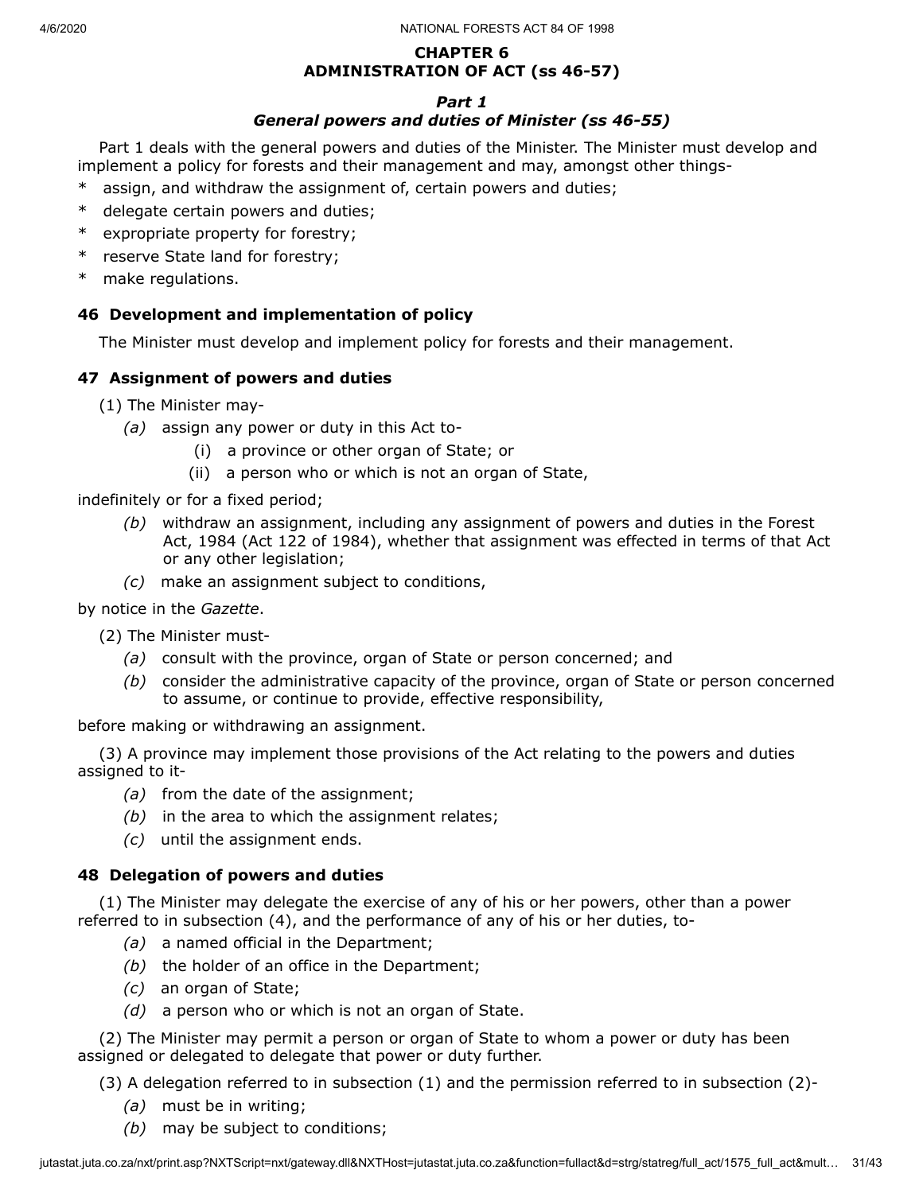4/6/2020 NATIONAL FORESTS ACT 84 OF 1998

# **CHAPTER 6 ADMINISTRATION OF ACT (ss 46-57)**

# *Part 1*

# *General powers and duties of Minister (ss 46-55)*

Part 1 deals with the general powers and duties of the Minister. The Minister must develop and implement a policy for forests and their management and may, amongst other things-

- assign, and withdraw the assignment of, certain powers and duties;
- \* delegate certain powers and duties;
- \* expropriate property for forestry;
- \* reserve State land for forestry;
- \* make regulations.

# **46 Development and implementation of policy**

The Minister must develop and implement policy for forests and their management.

# **47 Assignment of powers and duties**

- (1) The Minister may-
	- *(a)* assign any power or duty in this Act to-
		- (i) a province or other organ of State; or
		- (ii) a person who or which is not an organ of State,

indefinitely or for a fixed period;

- *(b)* withdraw an assignment, including any assignment of powers and duties in the Forest Act, 1984 (Act 122 of 1984), whether that assignment was effected in terms of that Act or any other legislation;
- *(c)* make an assignment subject to conditions,

by notice in the *Gazette*.

- (2) The Minister must-
	- *(a)* consult with the province, organ of State or person concerned; and
	- *(b)* consider the administrative capacity of the province, organ of State or person concerned to assume, or continue to provide, effective responsibility,

before making or withdrawing an assignment.

(3) A province may implement those provisions of the Act relating to the powers and duties assigned to it-

- *(a)* from the date of the assignment;
- *(b)* in the area to which the assignment relates;
- *(c)* until the assignment ends.

# **48 Delegation of powers and duties**

(1) The Minister may delegate the exercise of any of his or her powers, other than a power referred to in subsection (4), and the performance of any of his or her duties, to-

- *(a)* a named official in the Department;
- *(b)* the holder of an office in the Department;
- *(c)* an organ of State;
- *(d)* a person who or which is not an organ of State.

(2) The Minister may permit a person or organ of State to whom a power or duty has been assigned or delegated to delegate that power or duty further.

(3) A delegation referred to in subsection (1) and the permission referred to in subsection (2)-

- *(a)* must be in writing;
- *(b)* may be subject to conditions;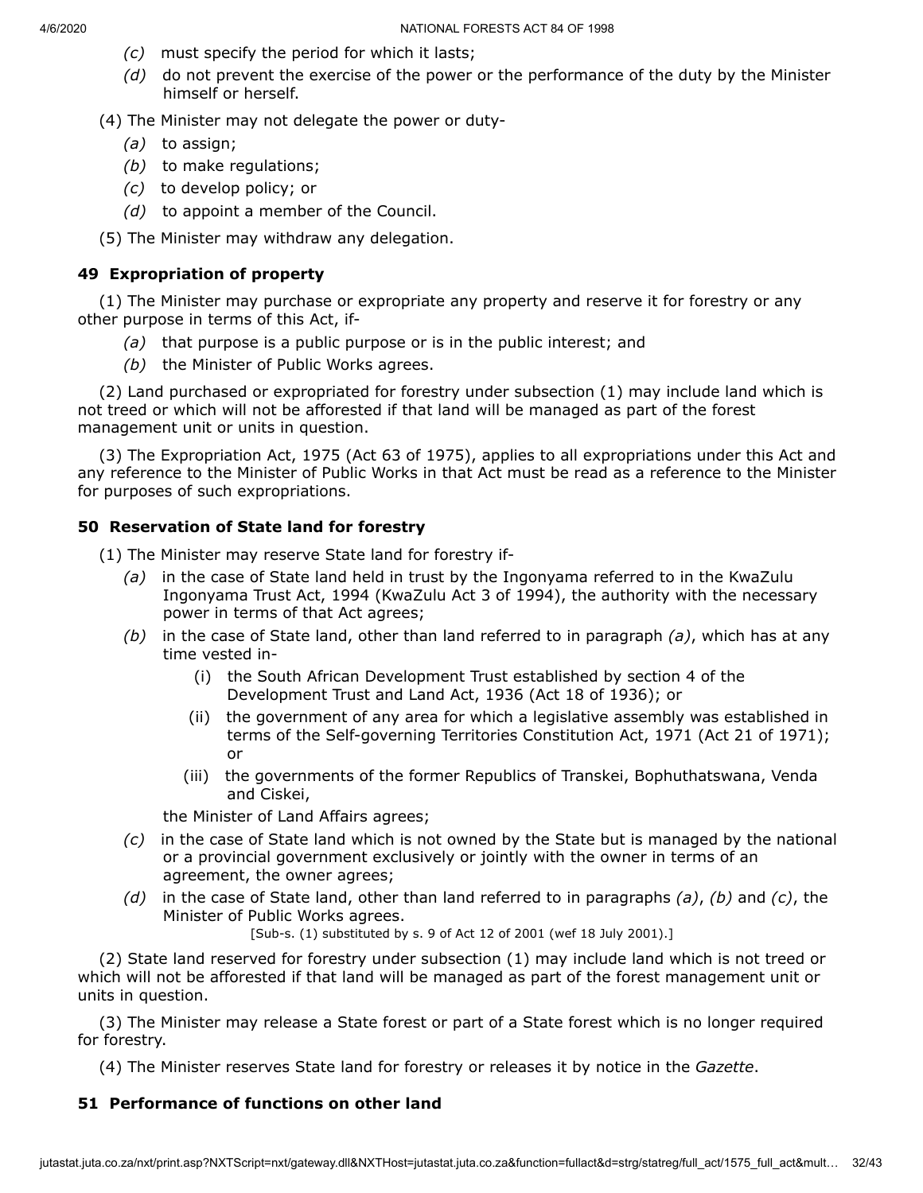- *(c)* must specify the period for which it lasts;
- *(d)* do not prevent the exercise of the power or the performance of the duty by the Minister himself or herself.
- (4) The Minister may not delegate the power or duty-
	- *(a)* to assign;
	- *(b)* to make regulations;
	- *(c)* to develop policy; or
	- *(d)* to appoint a member of the Council.

(5) The Minister may withdraw any delegation.

# **49 Expropriation of property**

(1) The Minister may purchase or expropriate any property and reserve it for forestry or any other purpose in terms of this Act, if-

- *(a)* that purpose is a public purpose or is in the public interest; and
- *(b)* the Minister of Public Works agrees.

(2) Land purchased or expropriated for forestry under subsection (1) may include land which is not treed or which will not be afforested if that land will be managed as part of the forest management unit or units in question.

(3) The Expropriation Act, 1975 (Act 63 of 1975), applies to all expropriations under this Act and any reference to the Minister of Public Works in that Act must be read as a reference to the Minister for purposes of such expropriations.

# **50 Reservation of State land for forestry**

- (1) The Minister may reserve State land for forestry if-
	- *(a)* in the case of State land held in trust by the Ingonyama referred to in the KwaZulu Ingonyama Trust Act, 1994 (KwaZulu Act 3 of 1994), the authority with the necessary power in terms of that Act agrees;
	- *(b)* in the case of State land, other than land referred to in paragraph *(a)*, which has at any time vested in-
		- (i) the South African Development Trust established by section 4 of the Development Trust and Land Act, 1936 (Act 18 of 1936); or
		- (ii) the government of any area for which a legislative assembly was established in terms of the Self-governing Territories Constitution Act, 1971 (Act 21 of 1971); or
		- (iii) the governments of the former Republics of Transkei, Bophuthatswana, Venda and Ciskei,

the Minister of Land Affairs agrees;

- *(c)* in the case of State land which is not owned by the State but is managed by the national or a provincial government exclusively or jointly with the owner in terms of an agreement, the owner agrees;
- *(d)* in the case of State land, other than land referred to in paragraphs *(a)*, *(b)* and *(c)*, the Minister of Public Works agrees.

[Sub-s. (1) substituted by s. 9 of Act 12 of 2001 (wef 18 July 2001).]

(2) State land reserved for forestry under subsection (1) may include land which is not treed or which will not be afforested if that land will be managed as part of the forest management unit or units in question.

(3) The Minister may release a State forest or part of a State forest which is no longer required for forestry.

(4) The Minister reserves State land for forestry or releases it by notice in the *Gazette*.

# **51 Performance of functions on other land**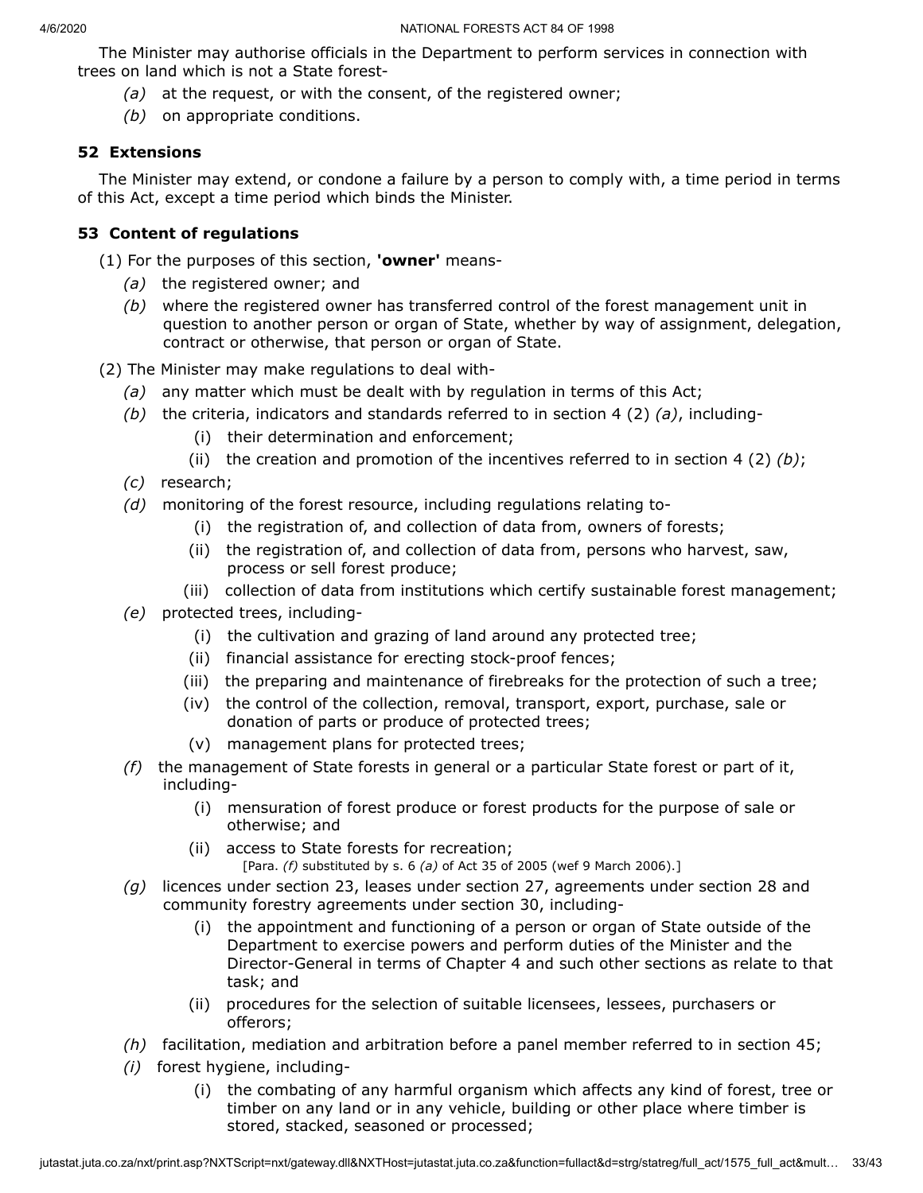The Minister may authorise officials in the Department to perform services in connection with trees on land which is not a State forest-

- *(a)* at the request, or with the consent, of the registered owner;
- *(b)* on appropriate conditions.

# **52 Extensions**

The Minister may extend, or condone a failure by a person to comply with, a time period in terms of this Act, except a time period which binds the Minister.

# **53 Content of regulations**

(1) For the purposes of this section, **'owner'** means-

- *(a)* the registered owner; and
- *(b)* where the registered owner has transferred control of the forest management unit in question to another person or organ of State, whether by way of assignment, delegation, contract or otherwise, that person or organ of State.
- (2) The Minister may make regulations to deal with-
	- *(a)* any matter which must be dealt with by regulation in terms of this Act;
	- *(b)* the criteria, indicators and standards referred to in section 4 (2) *(a)*, including-
		- (i) their determination and enforcement;
		- (ii) the creation and promotion of the incentives referred to in section 4 (2) *(b)*;
	- *(c)* research;
	- *(d)* monitoring of the forest resource, including regulations relating to-
		- (i) the registration of, and collection of data from, owners of forests;
		- (ii) the registration of, and collection of data from, persons who harvest, saw, process or sell forest produce;
		- (iii) collection of data from institutions which certify sustainable forest management;
	- *(e)* protected trees, including-
		- (i) the cultivation and grazing of land around any protected tree;
		- (ii) financial assistance for erecting stock-proof fences;
		- (iii) the preparing and maintenance of firebreaks for the protection of such a tree;
		- (iv) the control of the collection, removal, transport, export, purchase, sale or donation of parts or produce of protected trees;
		- (v) management plans for protected trees;
	- *(f)* the management of State forests in general or a particular State forest or part of it, including-
		- (i) mensuration of forest produce or forest products for the purpose of sale or otherwise; and
		- (ii) access to State forests for recreation;
			- [Para. *(f)* substituted by s. 6 *(a)* of Act 35 of 2005 (wef 9 March 2006).]
	- *(g)* licences under section 23, leases under section 27, agreements under section 28 and community forestry agreements under section 30, including-
		- (i) the appointment and functioning of a person or organ of State outside of the Department to exercise powers and perform duties of the Minister and the Director-General in terms of Chapter 4 and such other sections as relate to that task; and
		- (ii) procedures for the selection of suitable licensees, lessees, purchasers or offerors;
	- *(h)* facilitation, mediation and arbitration before a panel member referred to in section 45;
	- *(i)* forest hygiene, including-
		- (i) the combating of any harmful organism which affects any kind of forest, tree or timber on any land or in any vehicle, building or other place where timber is stored, stacked, seasoned or processed;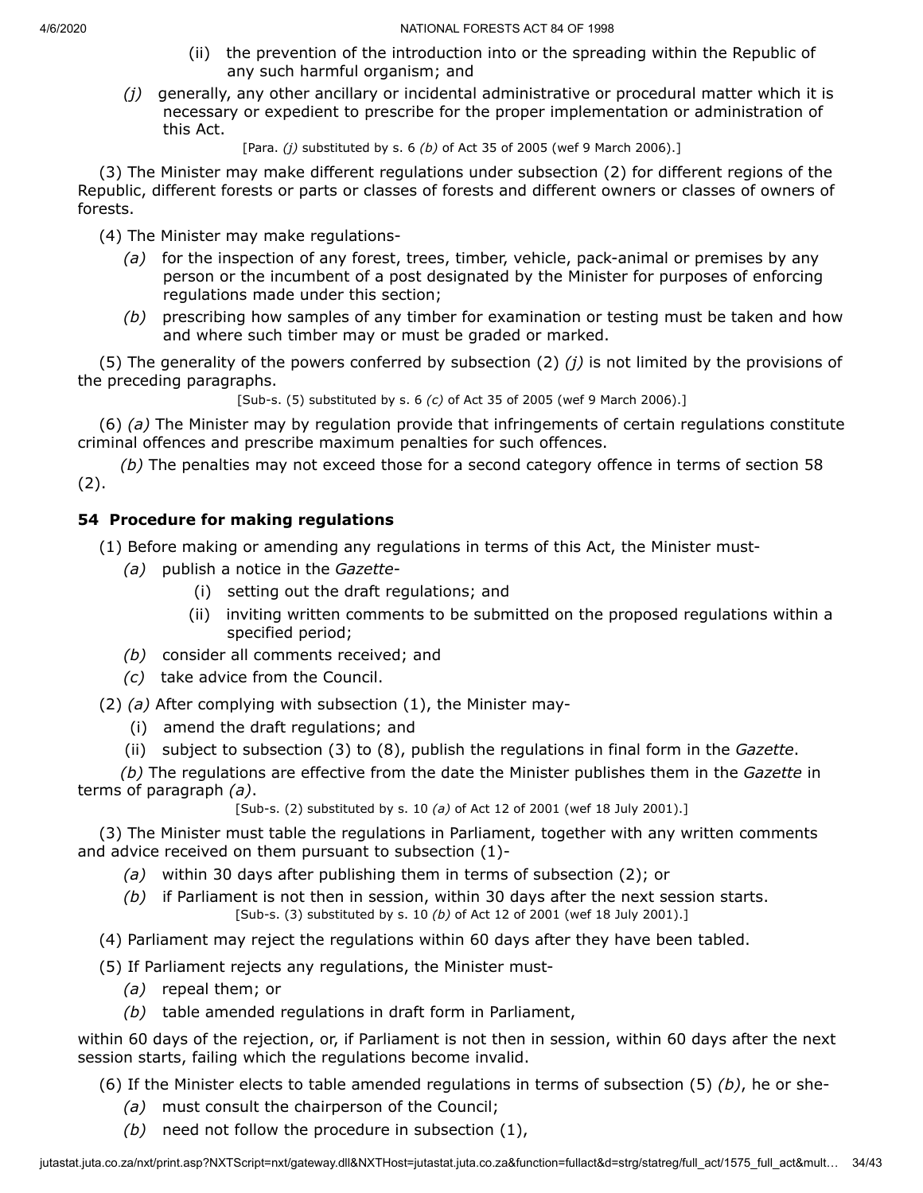- (ii) the prevention of the introduction into or the spreading within the Republic of any such harmful organism; and
- *(j)* generally, any other ancillary or incidental administrative or procedural matter which it is necessary or expedient to prescribe for the proper implementation or administration of this Act.

[Para. *(j)* substituted by s. 6 *(b)* of Act 35 of 2005 (wef 9 March 2006).]

(3) The Minister may make different regulations under subsection (2) for different regions of the Republic, different forests or parts or classes of forests and different owners or classes of owners of forests.

(4) The Minister may make regulations-

- *(a)* for the inspection of any forest, trees, timber, vehicle, pack-animal or premises by any person or the incumbent of a post designated by the Minister for purposes of enforcing regulations made under this section;
- *(b)* prescribing how samples of any timber for examination or testing must be taken and how and where such timber may or must be graded or marked.

(5) The generality of the powers conferred by subsection (2) *(j)* is not limited by the provisions of the preceding paragraphs.

[Sub-s. (5) substituted by s. 6 *(c)* of Act 35 of 2005 (wef 9 March 2006).]

(6) *(a)* The Minister may by regulation provide that infringements of certain regulations constitute criminal offences and prescribe maximum penalties for such offences.

*(b)* The penalties may not exceed those for a second category offence in terms of section 58 (2).

# **54 Procedure for making regulations**

(1) Before making or amending any regulations in terms of this Act, the Minister must-

- *(a)* publish a notice in the *Gazette*
	- (i) setting out the draft regulations; and
	- (ii) inviting written comments to be submitted on the proposed regulations within a specified period;
- *(b)* consider all comments received; and
- *(c)* take advice from the Council.

(2) *(a)* After complying with subsection (1), the Minister may-

- (i) amend the draft regulations; and
- (ii) subject to subsection (3) to (8), publish the regulations in final form in the *Gazette*.

*(b)* The regulations are effective from the date the Minister publishes them in the *Gazette* in terms of paragraph *(a)*.

```
[Sub-s. (2) substituted by s. 10 (a) of Act 12 of 2001 (wef 18 July 2001).]
```
(3) The Minister must table the regulations in Parliament, together with any written comments and advice received on them pursuant to subsection (1)-

- *(a)* within 30 days after publishing them in terms of subsection (2); or
- *(b)* if Parliament is not then in session, within 30 days after the next session starts. [Sub-s. (3) substituted by s. 10 *(b)* of Act 12 of 2001 (wef 18 July 2001).]
- (4) Parliament may reject the regulations within 60 days after they have been tabled.
- (5) If Parliament rejects any regulations, the Minister must-
	- *(a)* repeal them; or
	- *(b)* table amended regulations in draft form in Parliament,

within 60 days of the rejection, or, if Parliament is not then in session, within 60 days after the next session starts, failing which the regulations become invalid.

(6) If the Minister elects to table amended regulations in terms of subsection (5) *(b)*, he or she-

- *(a)* must consult the chairperson of the Council;
- *(b)* need not follow the procedure in subsection (1),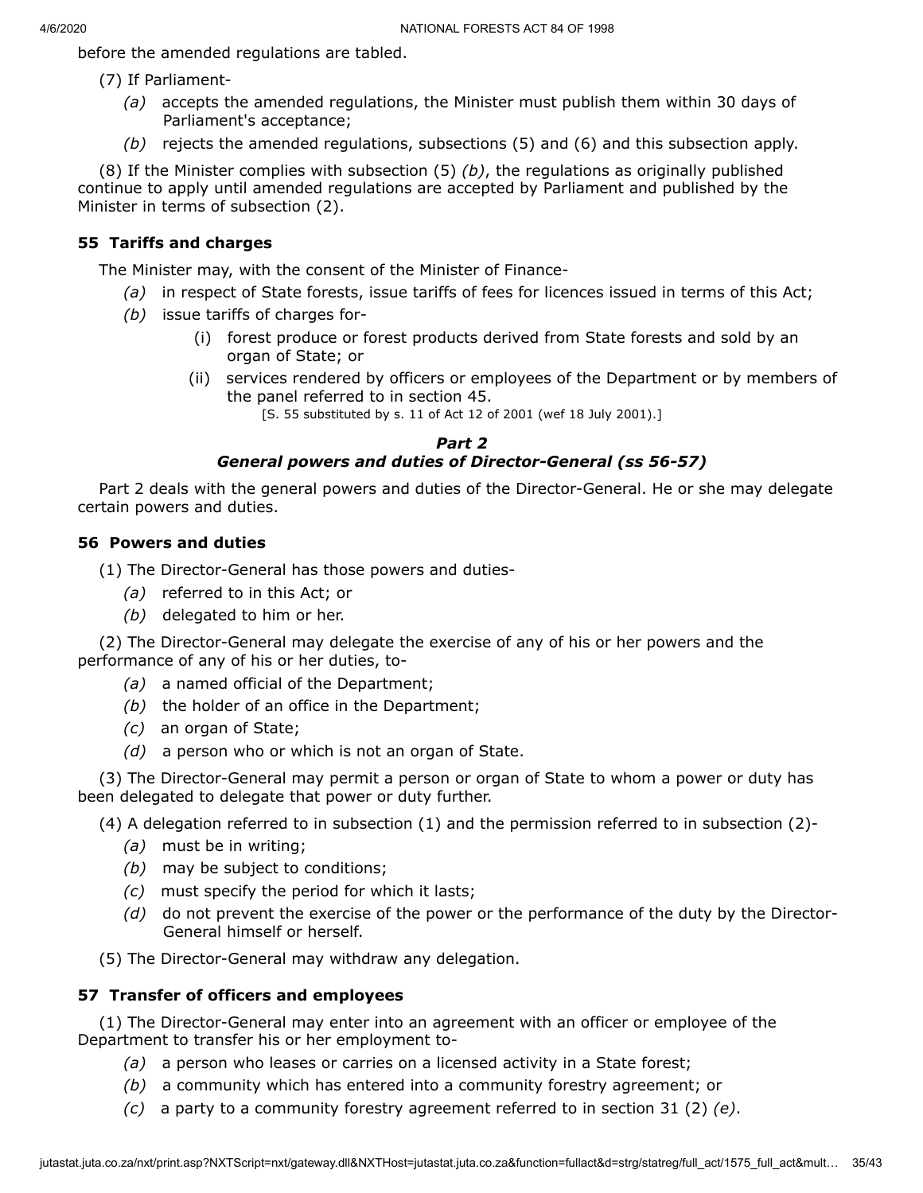before the amended regulations are tabled.

- (7) If Parliament-
	- *(a)* accepts the amended regulations, the Minister must publish them within 30 days of Parliament's acceptance;
	- *(b)* rejects the amended regulations, subsections (5) and (6) and this subsection apply.

(8) If the Minister complies with subsection (5) *(b)*, the regulations as originally published continue to apply until amended regulations are accepted by Parliament and published by the Minister in terms of subsection (2).

### **55 Tariffs and charges**

The Minister may, with the consent of the Minister of Finance-

- *(a)* in respect of State forests, issue tariffs of fees for licences issued in terms of this Act;
- *(b)* issue tariffs of charges for-
	- (i) forest produce or forest products derived from State forests and sold by an organ of State; or
	- (ii) services rendered by officers or employees of the Department or by members of the panel referred to in section 45.

[S. 55 substituted by s. 11 of Act 12 of 2001 (wef 18 July 2001).]

# *Part 2*

# *General powers and duties of Director-General (ss 56-57)*

Part 2 deals with the general powers and duties of the Director-General. He or she may delegate certain powers and duties.

# **56 Powers and duties**

(1) The Director-General has those powers and duties-

- *(a)* referred to in this Act; or
- *(b)* delegated to him or her.

(2) The Director-General may delegate the exercise of any of his or her powers and the performance of any of his or her duties, to-

- *(a)* a named official of the Department;
- *(b)* the holder of an office in the Department;
- *(c)* an organ of State;
- *(d)* a person who or which is not an organ of State.

(3) The Director-General may permit a person or organ of State to whom a power or duty has been delegated to delegate that power or duty further.

(4) A delegation referred to in subsection (1) and the permission referred to in subsection (2)-

- *(a)* must be in writing;
- *(b)* may be subject to conditions;
- *(c)* must specify the period for which it lasts;
- *(d)* do not prevent the exercise of the power or the performance of the duty by the Director-General himself or herself.
- (5) The Director-General may withdraw any delegation.

# **57 Transfer of officers and employees**

(1) The Director-General may enter into an agreement with an officer or employee of the Department to transfer his or her employment to-

- *(a)* a person who leases or carries on a licensed activity in a State forest;
- *(b)* a community which has entered into a community forestry agreement; or
- *(c)* a party to a community forestry agreement referred to in section 31 (2) *(e)*.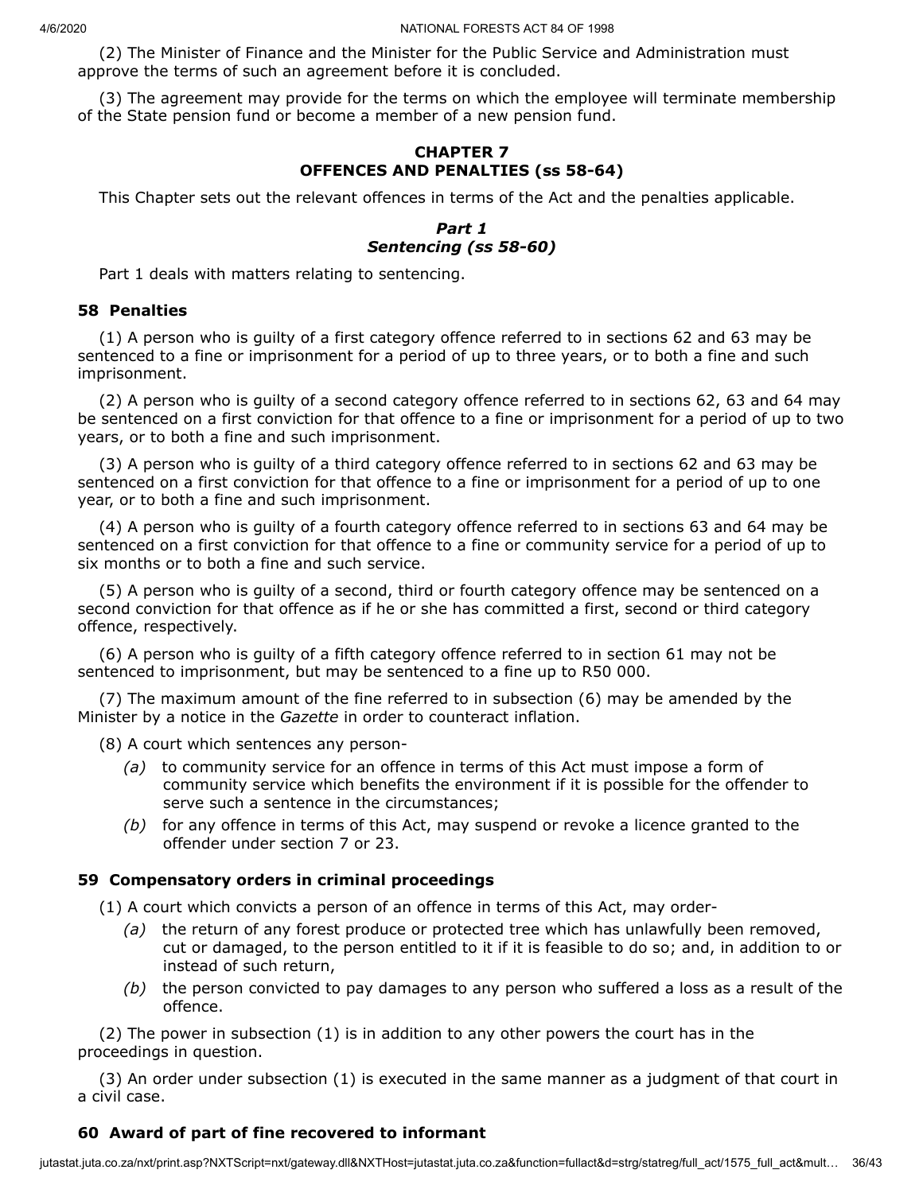(2) The Minister of Finance and the Minister for the Public Service and Administration must approve the terms of such an agreement before it is concluded.

(3) The agreement may provide for the terms on which the employee will terminate membership of the State pension fund or become a member of a new pension fund.

#### **CHAPTER 7 OFFENCES AND PENALTIES (ss 58-64)**

This Chapter sets out the relevant offences in terms of the Act and the penalties applicable.

### *Part 1 Sentencing (ss 58-60)*

Part 1 deals with matters relating to sentencing.

#### **58 Penalties**

(1) A person who is guilty of a first category offence referred to in sections 62 and 63 may be sentenced to a fine or imprisonment for a period of up to three years, or to both a fine and such imprisonment.

(2) A person who is guilty of a second category offence referred to in sections 62, 63 and 64 may be sentenced on a first conviction for that offence to a fine or imprisonment for a period of up to two years, or to both a fine and such imprisonment.

(3) A person who is guilty of a third category offence referred to in sections 62 and 63 may be sentenced on a first conviction for that offence to a fine or imprisonment for a period of up to one year, or to both a fine and such imprisonment.

(4) A person who is guilty of a fourth category offence referred to in sections 63 and 64 may be sentenced on a first conviction for that offence to a fine or community service for a period of up to six months or to both a fine and such service.

(5) A person who is guilty of a second, third or fourth category offence may be sentenced on a second conviction for that offence as if he or she has committed a first, second or third category offence, respectively.

(6) A person who is guilty of a fifth category offence referred to in section 61 may not be sentenced to imprisonment, but may be sentenced to a fine up to R50 000.

(7) The maximum amount of the fine referred to in subsection (6) may be amended by the Minister by a notice in the *Gazette* in order to counteract inflation.

(8) A court which sentences any person-

- *(a)* to community service for an offence in terms of this Act must impose a form of community service which benefits the environment if it is possible for the offender to serve such a sentence in the circumstances;
- *(b)* for any offence in terms of this Act, may suspend or revoke a licence granted to the offender under section 7 or 23.

# **59 Compensatory orders in criminal proceedings**

(1) A court which convicts a person of an offence in terms of this Act, may order-

- *(a)* the return of any forest produce or protected tree which has unlawfully been removed, cut or damaged, to the person entitled to it if it is feasible to do so; and, in addition to or instead of such return,
- *(b)* the person convicted to pay damages to any person who suffered a loss as a result of the offence.

(2) The power in subsection (1) is in addition to any other powers the court has in the proceedings in question.

(3) An order under subsection (1) is executed in the same manner as a judgment of that court in a civil case.

#### **60 Award of part of fine recovered to informant**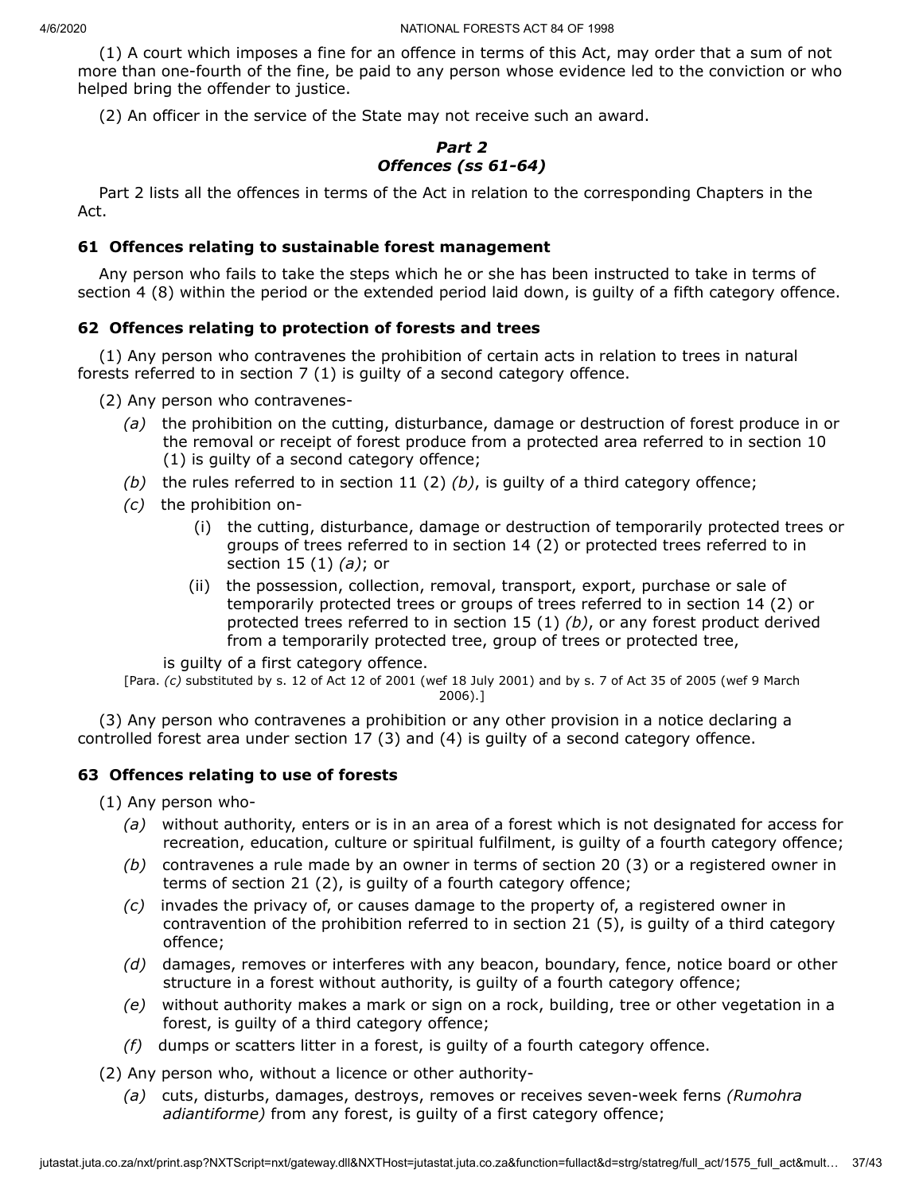(1) A court which imposes a fine for an offence in terms of this Act, may order that a sum of not more than one-fourth of the fine, be paid to any person whose evidence led to the conviction or who helped bring the offender to justice.

(2) An officer in the service of the State may not receive such an award.

### *Part 2 Offences (ss 61-64)*

Part 2 lists all the offences in terms of the Act in relation to the corresponding Chapters in the Act.

# **61 Offences relating to sustainable forest management**

Any person who fails to take the steps which he or she has been instructed to take in terms of section 4 (8) within the period or the extended period laid down, is guilty of a fifth category offence.

### **62 Offences relating to protection of forests and trees**

(1) Any person who contravenes the prohibition of certain acts in relation to trees in natural forests referred to in section 7 (1) is guilty of a second category offence.

(2) Any person who contravenes-

- *(a)* the prohibition on the cutting, disturbance, damage or destruction of forest produce in or the removal or receipt of forest produce from a protected area referred to in section 10 (1) is guilty of a second category offence;
- *(b)* the rules referred to in section 11 (2) *(b)*, is guilty of a third category offence;
- *(c)* the prohibition on-
	- (i) the cutting, disturbance, damage or destruction of temporarily protected trees or groups of trees referred to in section 14 (2) or protected trees referred to in section 15 (1) *(a)*; or
	- (ii) the possession, collection, removal, transport, export, purchase or sale of temporarily protected trees or groups of trees referred to in section 14 (2) or protected trees referred to in section 15 (1) *(b)*, or any forest product derived from a temporarily protected tree, group of trees or protected tree,

is guilty of a first category offence.

[Para. *(c)* substituted by s. 12 of Act 12 of 2001 (wef 18 July 2001) and by s. 7 of Act 35 of 2005 (wef 9 March 2006).]

(3) Any person who contravenes a prohibition or any other provision in a notice declaring a controlled forest area under section 17 (3) and (4) is guilty of a second category offence.

#### **63 Offences relating to use of forests**

(1) Any person who-

- *(a)* without authority, enters or is in an area of a forest which is not designated for access for recreation, education, culture or spiritual fulfilment, is guilty of a fourth category offence;
- *(b)* contravenes a rule made by an owner in terms of section 20 (3) or a registered owner in terms of section 21 (2), is guilty of a fourth category offence;
- *(c)* invades the privacy of, or causes damage to the property of, a registered owner in contravention of the prohibition referred to in section 21 (5), is guilty of a third category offence;
- *(d)* damages, removes or interferes with any beacon, boundary, fence, notice board or other structure in a forest without authority, is guilty of a fourth category offence;
- *(e)* without authority makes a mark or sign on a rock, building, tree or other vegetation in a forest, is guilty of a third category offence;
- *(f)* dumps or scatters litter in a forest, is guilty of a fourth category offence.

(2) Any person who, without a licence or other authority-

*(a)* cuts, disturbs, damages, destroys, removes or receives seven-week ferns *(Rumohra adiantiforme)* from any forest, is guilty of a first category offence;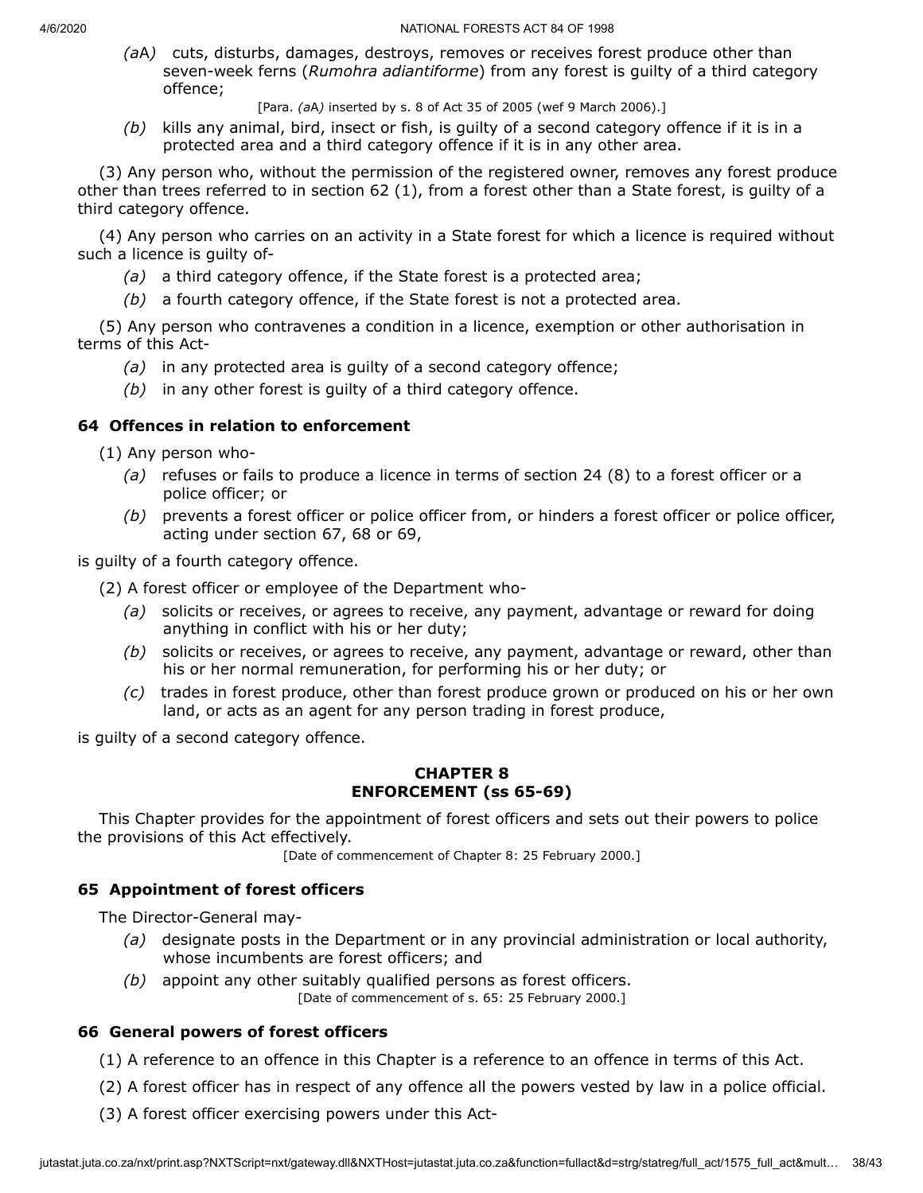*(a*A*)* cuts, disturbs, damages, destroys, removes or receives forest produce other than seven-week ferns (*Rumohra adiantiforme*) from any forest is guilty of a third category offence;

[Para. *(a*A*)* inserted by s. 8 of Act 35 of 2005 (wef 9 March 2006).]

*(b)* kills any animal, bird, insect or fish, is guilty of a second category offence if it is in a protected area and a third category offence if it is in any other area.

(3) Any person who, without the permission of the registered owner, removes any forest produce other than trees referred to in section 62 (1), from a forest other than a State forest, is guilty of a third category offence.

(4) Any person who carries on an activity in a State forest for which a licence is required without such a licence is guilty of-

- *(a)* a third category offence, if the State forest is a protected area;
- *(b)* a fourth category offence, if the State forest is not a protected area.

(5) Any person who contravenes a condition in a licence, exemption or other authorisation in terms of this Act-

- *(a)* in any protected area is guilty of a second category offence;
- *(b)* in any other forest is guilty of a third category offence.

# **64 Offences in relation to enforcement**

(1) Any person who-

- *(a)* refuses or fails to produce a licence in terms of section 24 (8) to a forest officer or a police officer; or
- *(b)* prevents a forest officer or police officer from, or hinders a forest officer or police officer, acting under section 67, 68 or 69,

is guilty of a fourth category offence.

- (2) A forest officer or employee of the Department who-
	- *(a)* solicits or receives, or agrees to receive, any payment, advantage or reward for doing anything in conflict with his or her duty;
	- *(b)* solicits or receives, or agrees to receive, any payment, advantage or reward, other than his or her normal remuneration, for performing his or her duty; or
	- *(c)* trades in forest produce, other than forest produce grown or produced on his or her own land, or acts as an agent for any person trading in forest produce,

is guilty of a second category offence.

### **CHAPTER 8 ENFORCEMENT (ss 65-69)**

This Chapter provides for the appointment of forest officers and sets out their powers to police the provisions of this Act effectively.

[Date of commencement of Chapter 8: 25 February 2000.]

# **65 Appointment of forest officers**

The Director-General may-

- *(a)* designate posts in the Department or in any provincial administration or local authority, whose incumbents are forest officers; and
- *(b)* appoint any other suitably qualified persons as forest officers.

[Date of commencement of s. 65: 25 February 2000.]

# **66 General powers of forest officers**

(1) A reference to an offence in this Chapter is a reference to an offence in terms of this Act.

- (2) A forest officer has in respect of any offence all the powers vested by law in a police official.
- (3) A forest officer exercising powers under this Act-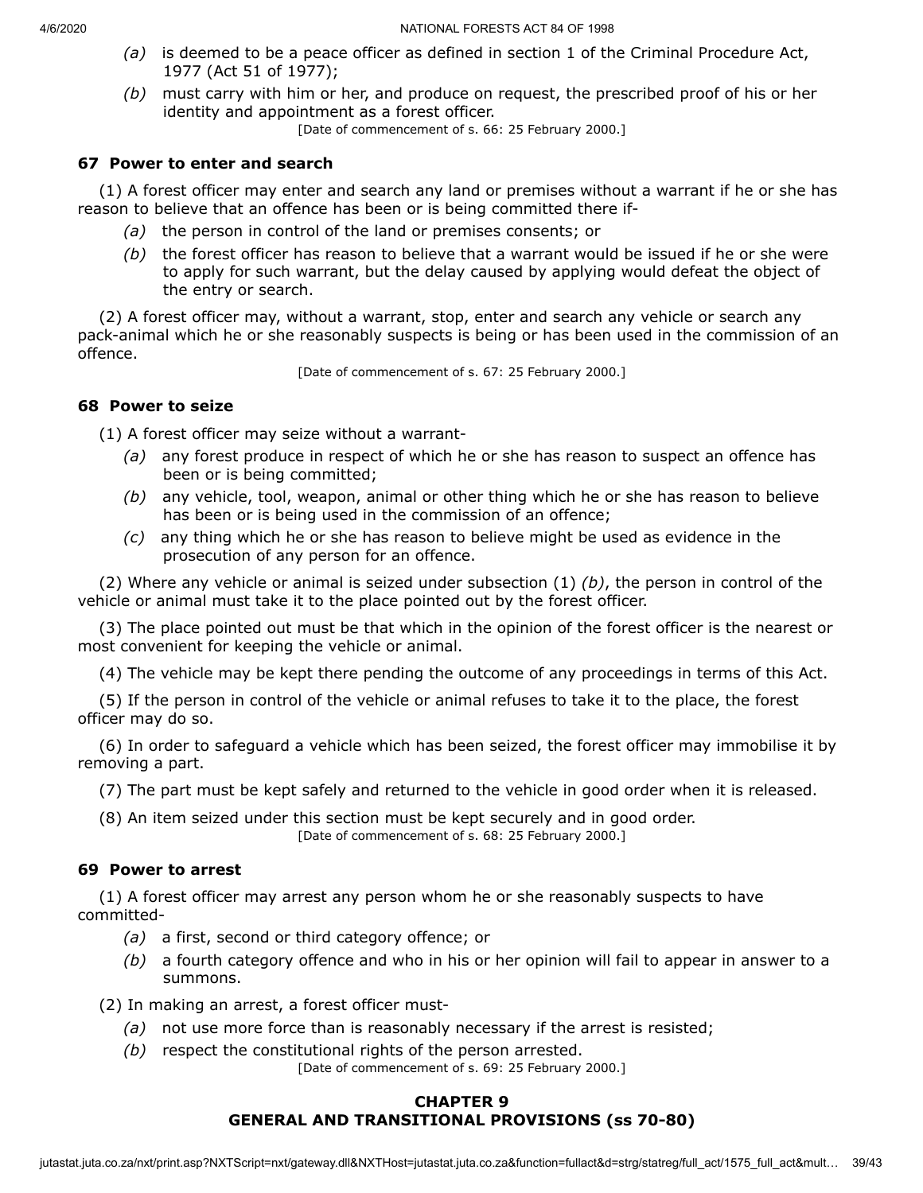- *(a)* is deemed to be a peace officer as defined in section 1 of the Criminal Procedure Act, 1977 (Act 51 of 1977);
- *(b)* must carry with him or her, and produce on request, the prescribed proof of his or her identity and appointment as a forest officer. [Date of commencement of s. 66: 25 February 2000.]

### **67 Power to enter and search**

(1) A forest officer may enter and search any land or premises without a warrant if he or she has reason to believe that an offence has been or is being committed there if-

- *(a)* the person in control of the land or premises consents; or
- *(b)* the forest officer has reason to believe that a warrant would be issued if he or she were to apply for such warrant, but the delay caused by applying would defeat the object of the entry or search.

(2) A forest officer may, without a warrant, stop, enter and search any vehicle or search any pack-animal which he or she reasonably suspects is being or has been used in the commission of an offence.

[Date of commencement of s. 67: 25 February 2000.]

# **68 Power to seize**

(1) A forest officer may seize without a warrant-

- *(a)* any forest produce in respect of which he or she has reason to suspect an offence has been or is being committed;
- *(b)* any vehicle, tool, weapon, animal or other thing which he or she has reason to believe has been or is being used in the commission of an offence;
- *(c)* any thing which he or she has reason to believe might be used as evidence in the prosecution of any person for an offence.

(2) Where any vehicle or animal is seized under subsection (1) *(b)*, the person in control of the vehicle or animal must take it to the place pointed out by the forest officer.

(3) The place pointed out must be that which in the opinion of the forest officer is the nearest or most convenient for keeping the vehicle or animal.

(4) The vehicle may be kept there pending the outcome of any proceedings in terms of this Act.

(5) If the person in control of the vehicle or animal refuses to take it to the place, the forest officer may do so.

(6) In order to safeguard a vehicle which has been seized, the forest officer may immobilise it by removing a part.

(7) The part must be kept safely and returned to the vehicle in good order when it is released.

(8) An item seized under this section must be kept securely and in good order. [Date of commencement of s. 68: 25 February 2000.]

#### **69 Power to arrest**

(1) A forest officer may arrest any person whom he or she reasonably suspects to have committed-

- *(a)* a first, second or third category offence; or
- *(b)* a fourth category offence and who in his or her opinion will fail to appear in answer to a summons.
- (2) In making an arrest, a forest officer must-
	- *(a)* not use more force than is reasonably necessary if the arrest is resisted;
	- *(b)* respect the constitutional rights of the person arrested.

[Date of commencement of s. 69: 25 February 2000.]

# **CHAPTER 9 GENERAL AND TRANSITIONAL PROVISIONS (ss 70-80)**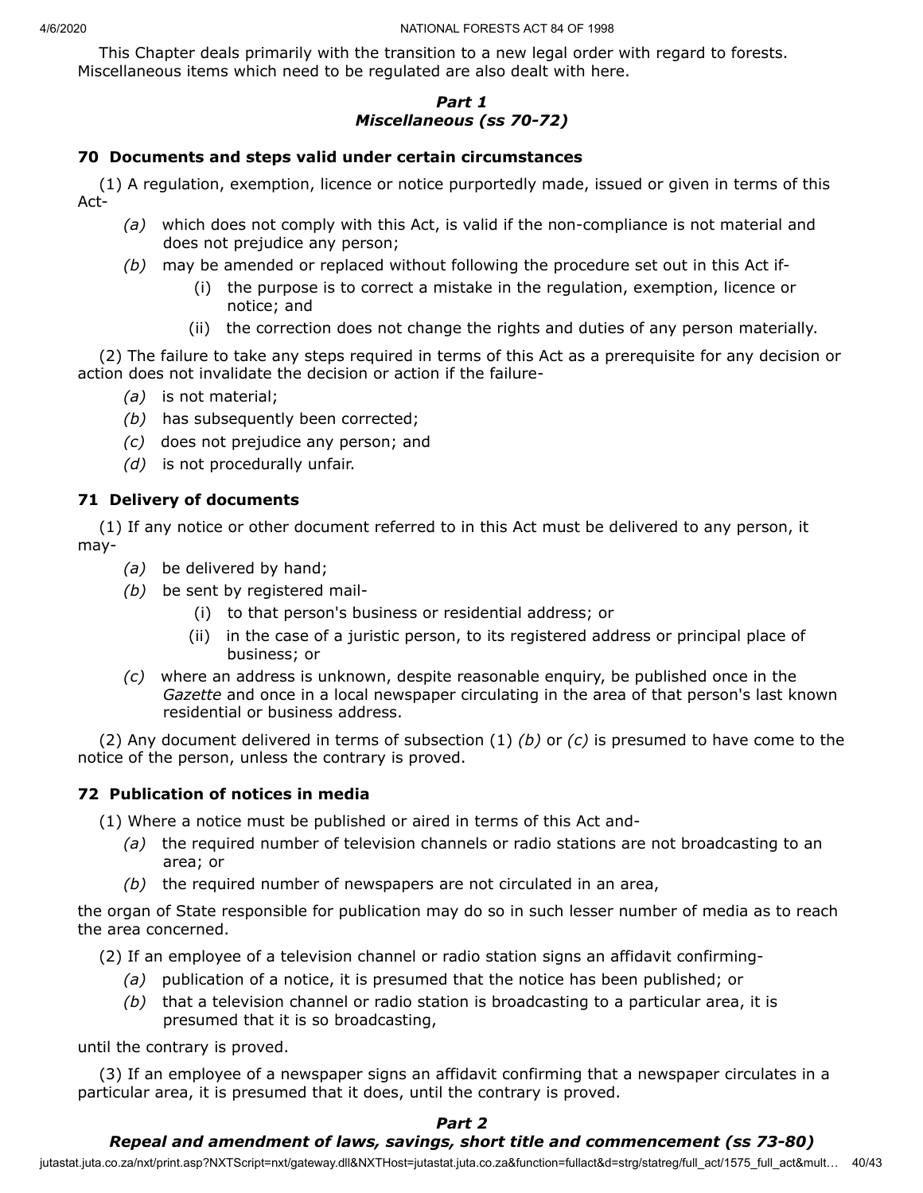This Chapter deals primarily with the transition to a new legal order with regard to forests. Miscellaneous items which need to be regulated are also dealt with here.

# *Part 1 Miscellaneous (ss 70-72)*

# **70 Documents and steps valid under certain circumstances**

(1) A regulation, exemption, licence or notice purportedly made, issued or given in terms of this Act-

- *(a)* which does not comply with this Act, is valid if the non-compliance is not material and does not prejudice any person;
- *(b)* may be amended or replaced without following the procedure set out in this Act if-
	- (i) the purpose is to correct a mistake in the regulation, exemption, licence or notice; and
	- (ii) the correction does not change the rights and duties of any person materially.

(2) The failure to take any steps required in terms of this Act as a prerequisite for any decision or action does not invalidate the decision or action if the failure-

- *(a)* is not material;
- *(b)* has subsequently been corrected;
- *(c)* does not prejudice any person; and
- *(d)* is not procedurally unfair.

# **71 Delivery of documents**

(1) If any notice or other document referred to in this Act must be delivered to any person, it may-

- *(a)* be delivered by hand;
- *(b)* be sent by registered mail-
	- (i) to that person's business or residential address; or
	- (ii) in the case of a juristic person, to its registered address or principal place of business; or
- *(c)* where an address is unknown, despite reasonable enquiry, be published once in the *Gazette* and once in a local newspaper circulating in the area of that person's last known residential or business address.

(2) Any document delivered in terms of subsection (1) *(b)* or *(c)* is presumed to have come to the notice of the person, unless the contrary is proved.

# **72 Publication of notices in media**

(1) Where a notice must be published or aired in terms of this Act and-

- *(a)* the required number of television channels or radio stations are not broadcasting to an area; or
- *(b)* the required number of newspapers are not circulated in an area,

the organ of State responsible for publication may do so in such lesser number of media as to reach the area concerned.

(2) If an employee of a television channel or radio station signs an affidavit confirming-

- *(a)* publication of a notice, it is presumed that the notice has been published; or
- *(b)* that a television channel or radio station is broadcasting to a particular area, it is presumed that it is so broadcasting,

until the contrary is proved.

(3) If an employee of a newspaper signs an affidavit confirming that a newspaper circulates in a particular area, it is presumed that it does, until the contrary is proved.

# *Part 2*

# *Repeal and amendment of laws, savings, short title and commencement (ss 73-80)*

jutastat.juta.co.za/nxt/print.asp?NXTScript=nxt/gateway.dll&NXTHost=jutastat.juta.co.za&function=fullact&d=strg/statreg/full\_act/1575\_full\_act&mult… 40/43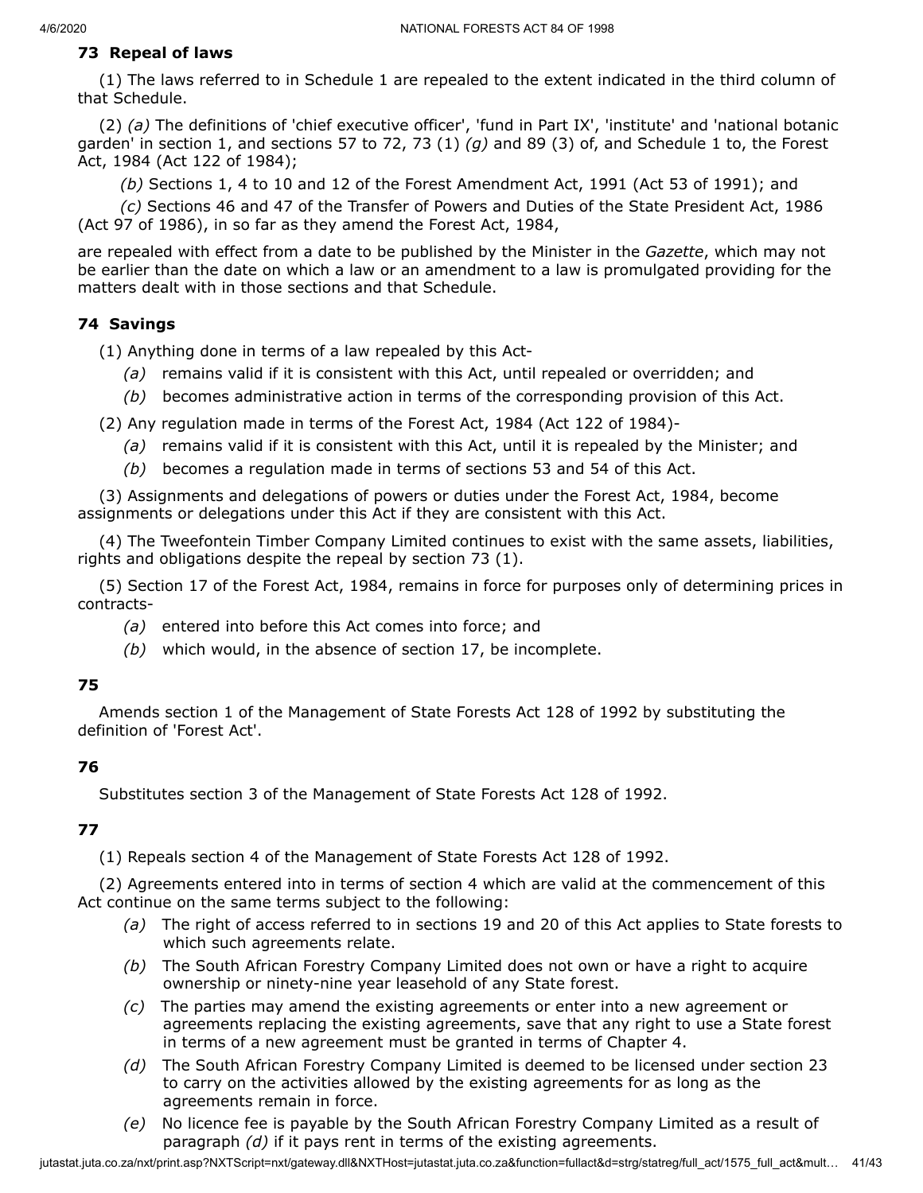# **73 Repeal of laws**

(1) The laws referred to in Schedule 1 are repealed to the extent indicated in the third column of that Schedule.

(2) *(a)* The definitions of 'chief executive officer', 'fund in Part IX', 'institute' and 'national botanic garden' in section 1, and sections 57 to 72, 73 (1) *(g)* and 89 (3) of, and Schedule 1 to, the Forest Act, 1984 (Act 122 of 1984);

*(b)* Sections 1, 4 to 10 and 12 of the Forest Amendment Act, 1991 (Act 53 of 1991); and

*(c)* Sections 46 and 47 of the Transfer of Powers and Duties of the State President Act, 1986 (Act 97 of 1986), in so far as they amend the Forest Act, 1984,

are repealed with effect from a date to be published by the Minister in the *Gazette*, which may not be earlier than the date on which a law or an amendment to a law is promulgated providing for the matters dealt with in those sections and that Schedule.

# **74 Savings**

(1) Anything done in terms of a law repealed by this Act-

- *(a)* remains valid if it is consistent with this Act, until repealed or overridden; and
- *(b)* becomes administrative action in terms of the corresponding provision of this Act.

(2) Any regulation made in terms of the Forest Act, 1984 (Act 122 of 1984)-

- *(a)* remains valid if it is consistent with this Act, until it is repealed by the Minister; and
- *(b)* becomes a regulation made in terms of sections 53 and 54 of this Act.

(3) Assignments and delegations of powers or duties under the Forest Act, 1984, become assignments or delegations under this Act if they are consistent with this Act.

(4) The Tweefontein Timber Company Limited continues to exist with the same assets, liabilities, rights and obligations despite the repeal by section 73 (1).

(5) Section 17 of the Forest Act, 1984, remains in force for purposes only of determining prices in contracts-

- *(a)* entered into before this Act comes into force; and
- *(b)* which would, in the absence of section 17, be incomplete.

# **75**

Amends section 1 of the Management of State Forests Act 128 of 1992 by substituting the definition of 'Forest Act'.

# **76**

Substitutes section 3 of the Management of State Forests Act 128 of 1992.

# **77**

(1) Repeals section 4 of the Management of State Forests Act 128 of 1992.

(2) Agreements entered into in terms of section 4 which are valid at the commencement of this Act continue on the same terms subject to the following:

- *(a)* The right of access referred to in sections 19 and 20 of this Act applies to State forests to which such agreements relate.
- *(b)* The South African Forestry Company Limited does not own or have a right to acquire ownership or ninety-nine year leasehold of any State forest.
- *(c)* The parties may amend the existing agreements or enter into a new agreement or agreements replacing the existing agreements, save that any right to use a State forest in terms of a new agreement must be granted in terms of Chapter 4.
- *(d)* The South African Forestry Company Limited is deemed to be licensed under section 23 to carry on the activities allowed by the existing agreements for as long as the agreements remain in force.
- *(e)* No licence fee is payable by the South African Forestry Company Limited as a result of paragraph *(d)* if it pays rent in terms of the existing agreements.

jutastat.juta.co.za/nxt/print.asp?NXTScript=nxt/gateway.dll&NXTHost=jutastat.juta.co.za&function=fullact&d=strg/statreg/full\_act/1575\_full\_act&mult… 41/43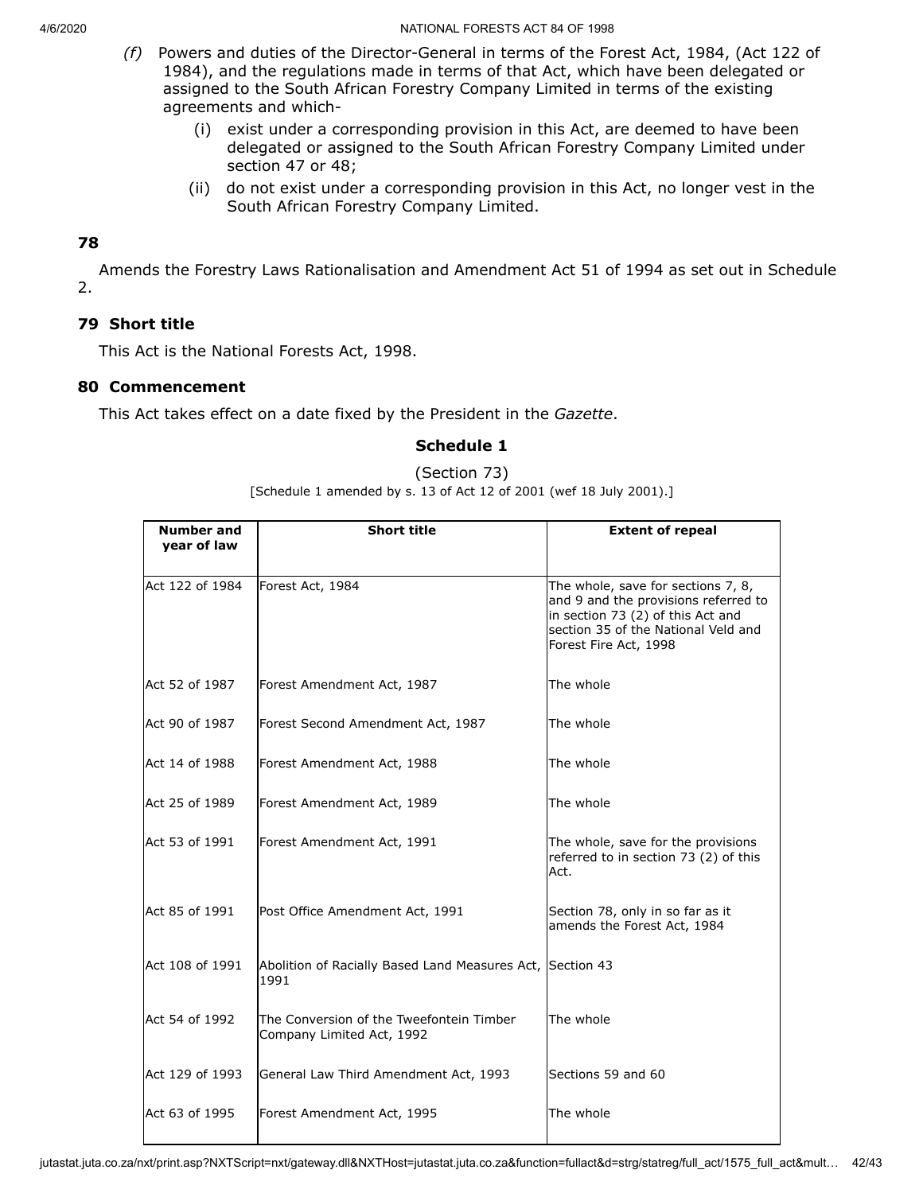- *(f)* Powers and duties of the Director-General in terms of the Forest Act, 1984, (Act 122 of 1984), and the regulations made in terms of that Act, which have been delegated or assigned to the South African Forestry Company Limited in terms of the existing agreements and which-
	- (i) exist under a corresponding provision in this Act, are deemed to have been delegated or assigned to the South African Forestry Company Limited under section 47 or 48;
	- (ii) do not exist under a corresponding provision in this Act, no longer vest in the South African Forestry Company Limited.

# **78**

Amends the Forestry Laws Rationalisation and Amendment Act 51 of 1994 as set out in Schedule 2.

# **79 Short title**

This Act is the National Forests Act, 1998.

### **80 Commencement**

This Act takes effect on a date fixed by the President in the *Gazette*.

# **Schedule 1**

### (Section 73) [Schedule 1 amended by s. 13 of Act 12 of 2001 (wef 18 July 2001).]

| <b>Number and</b><br>year of law | <b>Short title</b>                                                    | <b>Extent of repeal</b>                                                                                                                                                         |
|----------------------------------|-----------------------------------------------------------------------|---------------------------------------------------------------------------------------------------------------------------------------------------------------------------------|
| Act 122 of 1984                  | Forest Act, 1984                                                      | The whole, save for sections 7, 8,<br>and 9 and the provisions referred to<br>in section 73 (2) of this Act and<br>section 35 of the National Veld and<br>Forest Fire Act, 1998 |
| Act 52 of 1987                   | Forest Amendment Act, 1987                                            | The whole                                                                                                                                                                       |
| Act 90 of 1987                   | Forest Second Amendment Act, 1987                                     | The whole                                                                                                                                                                       |
| Act 14 of 1988                   | Forest Amendment Act, 1988                                            | The whole                                                                                                                                                                       |
| Act 25 of 1989                   | Forest Amendment Act, 1989                                            | The whole                                                                                                                                                                       |
| Act 53 of 1991                   | Forest Amendment Act, 1991                                            | The whole, save for the provisions<br>referred to in section 73 (2) of this<br>Act.                                                                                             |
| Act 85 of 1991                   | Post Office Amendment Act, 1991                                       | Section 78, only in so far as it<br>amends the Forest Act, 1984                                                                                                                 |
| Act 108 of 1991                  | Abolition of Racially Based Land Measures Act, Section 43<br>1991     |                                                                                                                                                                                 |
| Act 54 of 1992                   | The Conversion of the Tweefontein Timber<br>Company Limited Act, 1992 | The whole                                                                                                                                                                       |
| Act 129 of 1993                  | General Law Third Amendment Act, 1993                                 | Sections 59 and 60                                                                                                                                                              |
| Act 63 of 1995                   | Forest Amendment Act, 1995                                            | The whole                                                                                                                                                                       |